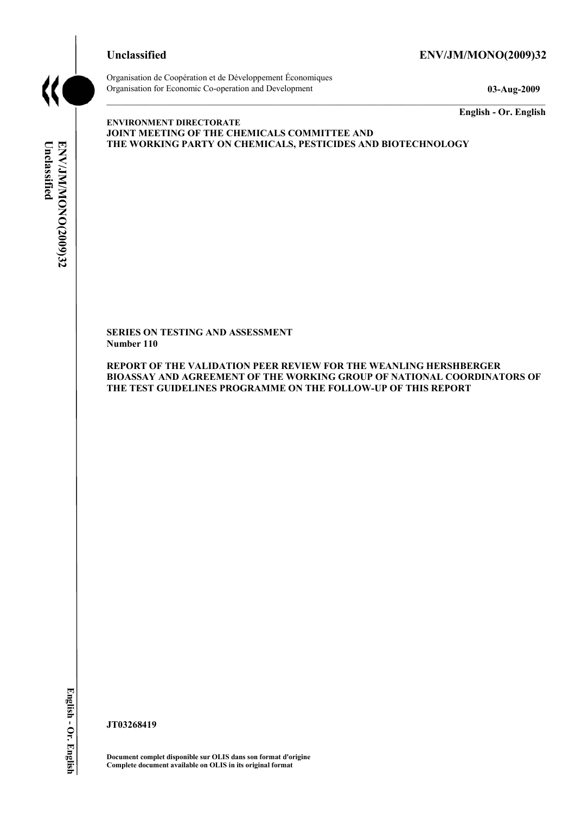# **Unclassified ENV/JM/MONO(2009)32**



Organisation de Coopération et de Développement Économiques Organisation for Economic Co-operation and Development **03-Aug-2009** 

**English - Or. English** 

# Unclassified ENV/JM/MONO(2009)32 **Unclassified ENV/JM/MONO(2009)32 English - Or. English**

**ENVIRONMENT DIRECTORATE JOINT MEETING OF THE CHEMICALS COMMITTEE AND THE WORKING PARTY ON CHEMICALS, PESTICIDES AND BIOTECHNOLOGY** 

**SERIES ON TESTING AND ASSESSMENT Number 110** 

**REPORT OF THE VALIDATION PEER REVIEW FOR THE WEANLING HERSHBERGER BIOASSAY AND AGREEMENT OF THE WORKING GROUP OF NATIONAL COORDINATORS OF THE TEST GUIDELINES PROGRAMME ON THE FOLLOW-UP OF THIS REPORT** 

**JT03268419** 

**Document complet disponible sur OLIS dans son format d'origine Complete document available on OLIS in its original format**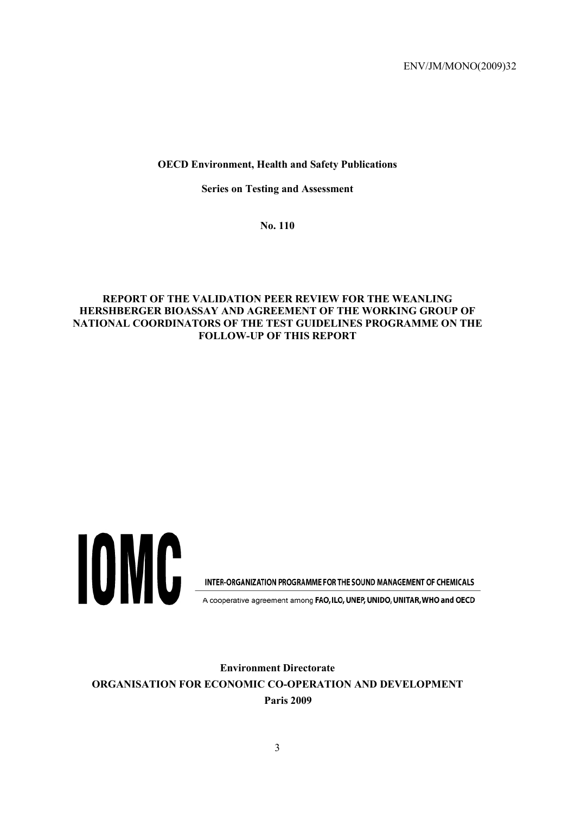# **OECD Environment, Health and Safety Publications**

**Series on Testing and Assessment** 

**No. 110** 

# **REPORT OF THE VALIDATION PEER REVIEW FOR THE WEANLING HERSHBERGER BIOASSAY AND AGREEMENT OF THE WORKING GROUP OF NATIONAL COORDINATORS OF THE TEST GUIDELINES PROGRAMME ON THE FOLLOW-UP OF THIS REPORT**



INTER-ORGANIZATION PROGRAMME FOR THE SOUND MANAGEMENT OF CHEMICALS

A cooperative agreement among FAO, ILO, UNEP, UNIDO, UNITAR, WHO and OECD

**Environment Directorate ORGANISATION FOR ECONOMIC CO-OPERATION AND DEVELOPMENT Paris 2009**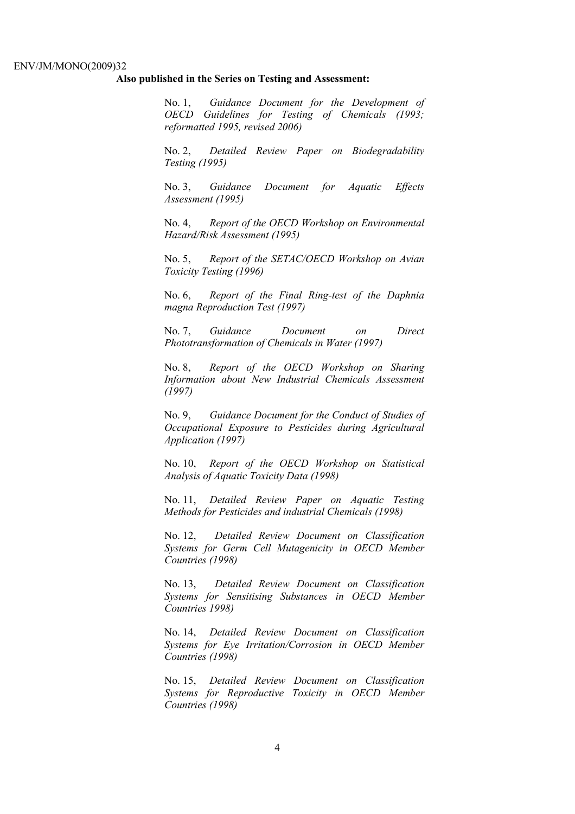#### **Also published in the Series on Testing and Assessment:**

No. 1, *Guidance Document for the Development of OECD Guidelines for Testing of Chemicals (1993; reformatted 1995, revised 2006)*

No. 2, *Detailed Review Paper on Biodegradability Testing (1995)*

No. 3, *Guidance Document for Aquatic Effects Assessment (1995)* 

No. 4, *Report of the OECD Workshop on Environmental Hazard/Risk Assessment (1995)*

No. 5, *Report of the SETAC/OECD Workshop on Avian Toxicity Testing (1996)*

No. 6, *Report of the Final Ring-test of the Daphnia magna Reproduction Test (1997)*

No. 7, *Guidance Document on Direct Phototransformation of Chemicals in Water (1997)* 

No. 8, *Report of the OECD Workshop on Sharing Information about New Industrial Chemicals Assessment (1997)*

No. 9, *Guidance Document for the Conduct of Studies of Occupational Exposure to Pesticides during Agricultural Application (1997)*

No. 10, *Report of the OECD Workshop on Statistical Analysis of Aquatic Toxicity Data (1998)*

No. 11, *Detailed Review Paper on Aquatic Testing Methods for Pesticides and industrial Chemicals (1998)*

No. 12, *Detailed Review Document on Classification Systems for Germ Cell Mutagenicity in OECD Member Countries (1998)*

No. 13, *Detailed Review Document on Classification Systems for Sensitising Substances in OECD Member Countries 1998)*

No. 14, *Detailed Review Document on Classification Systems for Eye Irritation/Corrosion in OECD Member Countries (1998)*

No. 15, *Detailed Review Document on Classification Systems for Reproductive Toxicity in OECD Member Countries (1998)*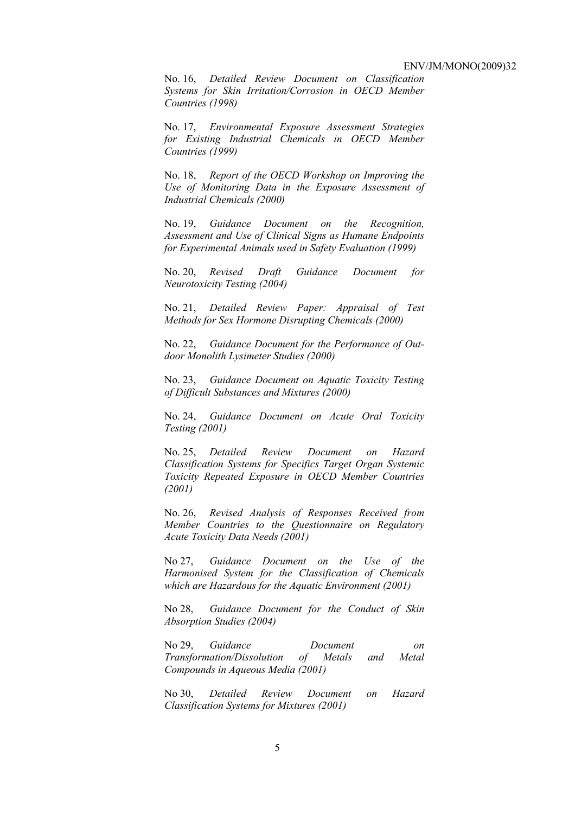No. 16, *Detailed Review Document on Classification Systems for Skin Irritation/Corrosion in OECD Member Countries (1998)*

No. 17, *Environmental Exposure Assessment Strategies for Existing Industrial Chemicals in OECD Member Countries (1999)*

No. 18, *Report of the OECD Workshop on Improving the Use of Monitoring Data in the Exposure Assessment of Industrial Chemicals (2000)*

No. 19, *Guidance Document on the Recognition, Assessment and Use of Clinical Signs as Humane Endpoints for Experimental Animals used in Safety Evaluation (1999)*

No. 20, *Revised Draft Guidance Document for Neurotoxicity Testing (2004)*

No. 21, *Detailed Review Paper: Appraisal of Test Methods for Sex Hormone Disrupting Chemicals (2000)*

No. 22, *Guidance Document for the Performance of Outdoor Monolith Lysimeter Studies (2000)*

No. 23, *Guidance Document on Aquatic Toxicity Testing of Difficult Substances and Mixtures (2000)*

No. 24, *Guidance Document on Acute Oral Toxicity Testing (2001)*

No. 25, *Detailed Review Document on Hazard Classification Systems for Specifics Target Organ Systemic Toxicity Repeated Exposure in OECD Member Countries (2001)*

No. 26, *Revised Analysis of Responses Received from Member Countries to the Questionnaire on Regulatory Acute Toxicity Data Needs (2001)*

No 27, *Guidance Document on the Use of the Harmonised System for the Classification of Chemicals which are Hazardous for the Aquatic Environment (2001)*

No 28, *Guidance Document for the Conduct of Skin Absorption Studies (2004)*

No 29, *Guidance Document on Transformation/Dissolution of Metals and Metal Compounds in Aqueous Media (2001)*

No 30, *Detailed Review Document on Hazard Classification Systems for Mixtures (2001)*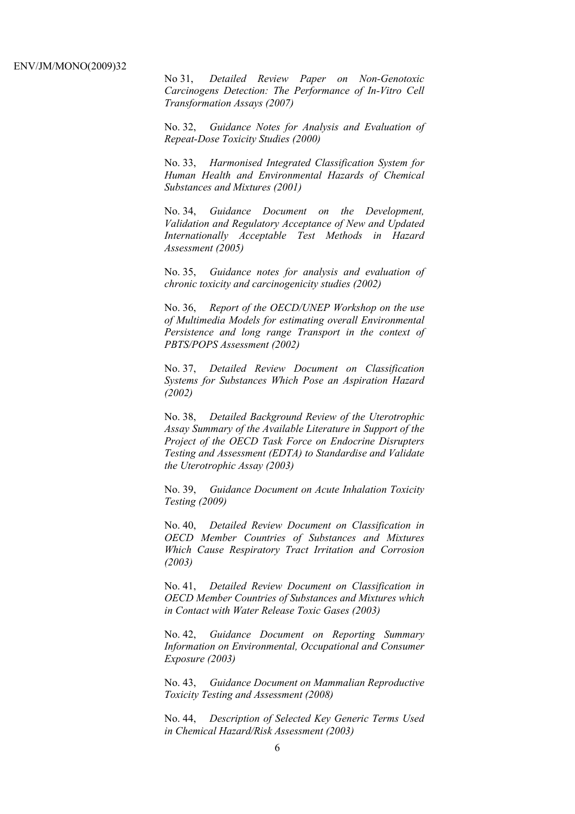No 31, *Detailed Review Paper on Non-Genotoxic Carcinogens Detection: The Performance of In-Vitro Cell Transformation Assays (2007)* 

No. 32, *Guidance Notes for Analysis and Evaluation of Repeat-Dose Toxicity Studies (2000)*

No. 33, *Harmonised Integrated Classification System for Human Health and Environmental Hazards of Chemical Substances and Mixtures (2001)*

No. 34, *Guidance Document on the Development, Validation and Regulatory Acceptance of New and Updated Internationally Acceptable Test Methods in Hazard Assessment (2005)*

No. 35, *Guidance notes for analysis and evaluation of chronic toxicity and carcinogenicity studies (2002)*

No. 36, *Report of the OECD/UNEP Workshop on the use of Multimedia Models for estimating overall Environmental Persistence and long range Transport in the context of PBTS/POPS Assessment (2002)*

No. 37, *Detailed Review Document on Classification Systems for Substances Which Pose an Aspiration Hazard (2002)*

No. 38, *Detailed Background Review of the Uterotrophic Assay Summary of the Available Literature in Support of the Project of the OECD Task Force on Endocrine Disrupters Testing and Assessment (EDTA) to Standardise and Validate the Uterotrophic Assay (2003)*

No. 39, *Guidance Document on Acute Inhalation Toxicity Testing (2009)*

No. 40, *Detailed Review Document on Classification in OECD Member Countries of Substances and Mixtures Which Cause Respiratory Tract Irritation and Corrosion (2003)*

No. 41, *Detailed Review Document on Classification in OECD Member Countries of Substances and Mixtures which in Contact with Water Release Toxic Gases (2003)*

No. 42, *Guidance Document on Reporting Summary Information on Environmental, Occupational and Consumer Exposure (2003)*

No. 43, *Guidance Document on Mammalian Reproductive Toxicity Testing and Assessment (2008)*

No. 44, *Description of Selected Key Generic Terms Used in Chemical Hazard/Risk Assessment (2003)*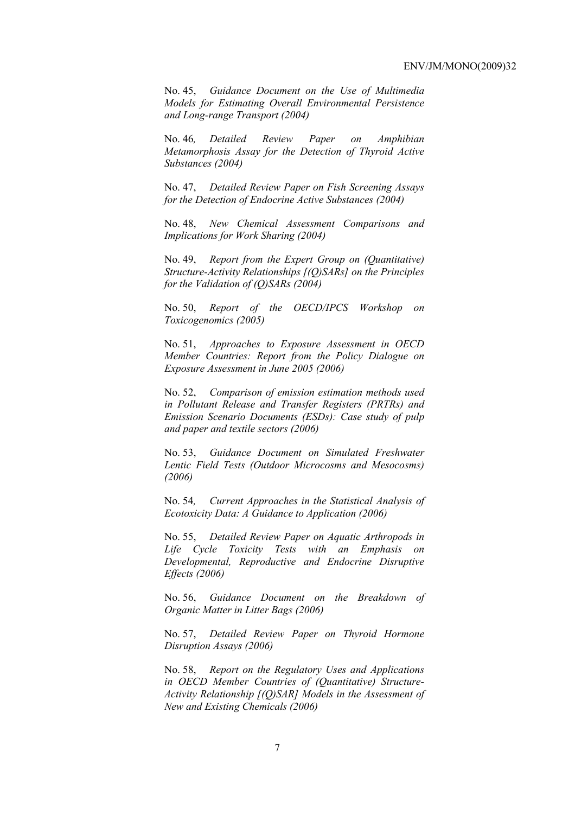No. 45, *Guidance Document on the Use of Multimedia Models for Estimating Overall Environmental Persistence and Long-range Transport (2004)*

No. 46*, Detailed Review Paper on Amphibian Metamorphosis Assay for the Detection of Thyroid Active Substances (2004)* 

No. 47, *Detailed Review Paper on Fish Screening Assays for the Detection of Endocrine Active Substances (2004)* 

No. 48, *New Chemical Assessment Comparisons and Implications for Work Sharing (2004)* 

No. 49, *Report from the Expert Group on (Quantitative) Structure-Activity Relationships [(Q)SARs] on the Principles for the Validation of (Q)SARs (2004)* 

No. 50, *Report of the OECD/IPCS Workshop on Toxicogenomics (2005)* 

No. 51, *Approaches to Exposure Assessment in OECD Member Countries: Report from the Policy Dialogue on Exposure Assessment in June 2005 (2006)* 

No. 52, *Comparison of emission estimation methods used in Pollutant Release and Transfer Registers (PRTRs) and Emission Scenario Documents (ESDs): Case study of pulp and paper and textile sectors (2006)* 

No. 53, *Guidance Document on Simulated Freshwater Lentic Field Tests (Outdoor Microcosms and Mesocosms) (2006)* 

No. 54*, Current Approaches in the Statistical Analysis of Ecotoxicity Data: A Guidance to Application (2006)* 

No. 55, *Detailed Review Paper on Aquatic Arthropods in Life Cycle Toxicity Tests with an Emphasis on Developmental, Reproductive and Endocrine Disruptive Effects (2006)* 

No. 56, *Guidance Document on the Breakdown of Organic Matter in Litter Bags (2006)* 

No. 57, *Detailed Review Paper on Thyroid Hormone Disruption Assays (2006)* 

No. 58, *Report on the Regulatory Uses and Applications in OECD Member Countries of (Quantitative) Structure-Activity Relationship [(Q)SAR] Models in the Assessment of New and Existing Chemicals (2006)*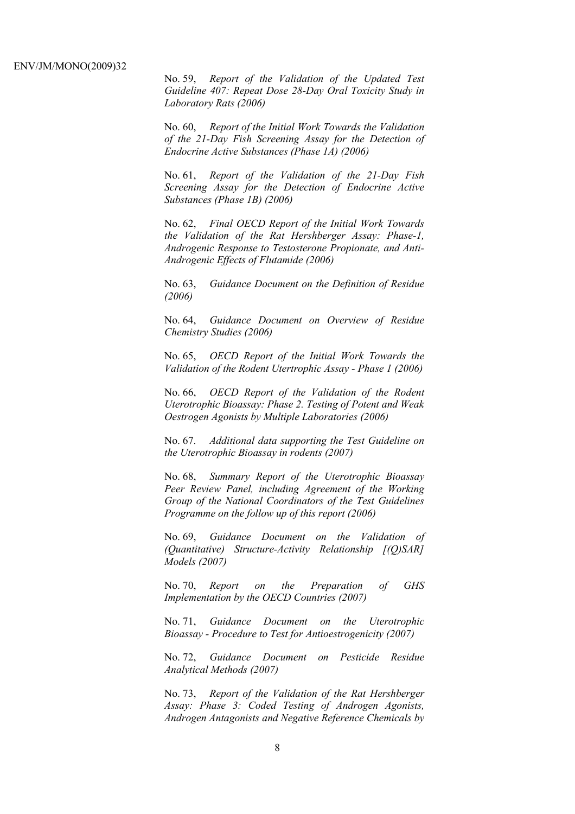No. 59, *Report of the Validation of the Updated Test Guideline 407: Repeat Dose 28-Day Oral Toxicity Study in Laboratory Rats (2006)* 

No. 60, *Report of the Initial Work Towards the Validation of the 21-Day Fish Screening Assay for the Detection of Endocrine Active Substances (Phase 1A) (2006)* 

No. 61, *Report of the Validation of the 21-Day Fish Screening Assay for the Detection of Endocrine Active Substances (Phase 1B) (2006)* 

No. 62, *Final OECD Report of the Initial Work Towards the Validation of the Rat Hershberger Assay: Phase-1, Androgenic Response to Testosterone Propionate, and Anti-Androgenic Effects of Flutamide (2006)* 

No. 63, *Guidance Document on the Definition of Residue (2006)* 

No. 64, *Guidance Document on Overview of Residue Chemistry Studies (2006)* 

No. 65, *OECD Report of the Initial Work Towards the Validation of the Rodent Utertrophic Assay - Phase 1 (2006)* 

No. 66, *OECD Report of the Validation of the Rodent Uterotrophic Bioassay: Phase 2. Testing of Potent and Weak Oestrogen Agonists by Multiple Laboratories (2006)* 

No. 67. *Additional data supporting the Test Guideline on the Uterotrophic Bioassay in rodents (2007)* 

No. 68, *Summary Report of the Uterotrophic Bioassay Peer Review Panel, including Agreement of the Working Group of the National Coordinators of the Test Guidelines Programme on the follow up of this report (2006)* 

No. 69, *Guidance Document on the Validation of (Quantitative) Structure-Activity Relationship [(Q)SAR] Models (2007)* 

No. 70, *Report on the Preparation of GHS Implementation by the OECD Countries (2007)*

No. 71, *Guidance Document on the Uterotrophic Bioassay - Procedure to Test for Antioestrogenicity (2007)*

No. 72, *Guidance Document on Pesticide Residue Analytical Methods (2007)* 

No. 73, *Report of the Validation of the Rat Hershberger Assay: Phase 3: Coded Testing of Androgen Agonists, Androgen Antagonists and Negative Reference Chemicals by*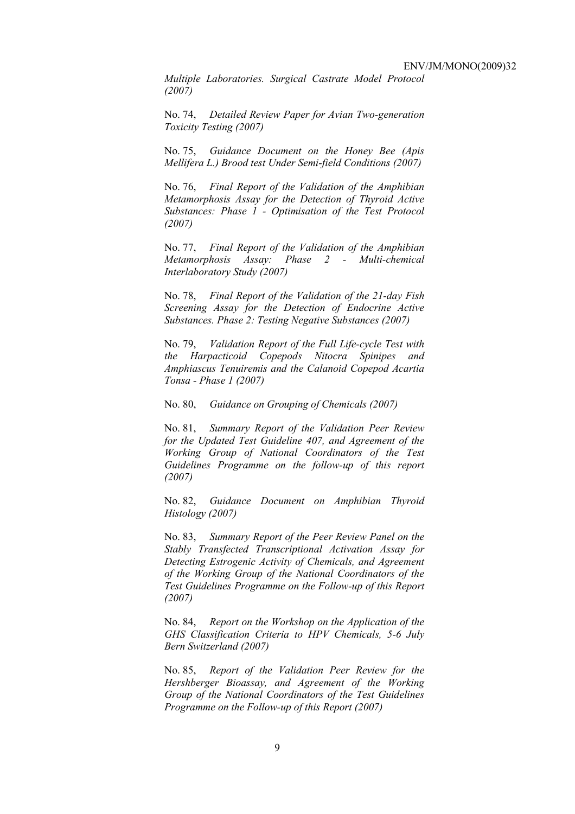*Multiple Laboratories. Surgical Castrate Model Protocol (2007)* 

No. 74, *Detailed Review Paper for Avian Two-generation Toxicity Testing (2007)*

No. 75, *Guidance Document on the Honey Bee (Apis Mellifera L.) Brood test Under Semi-field Conditions (2007)* 

No. 76, *Final Report of the Validation of the Amphibian Metamorphosis Assay for the Detection of Thyroid Active Substances: Phase 1 - Optimisation of the Test Protocol (2007)* 

No. 77, *Final Report of the Validation of the Amphibian Metamorphosis Assay: Phase 2 - Multi-chemical Interlaboratory Study (2007)* 

No. 78, *Final Report of the Validation of the 21-day Fish Screening Assay for the Detection of Endocrine Active Substances. Phase 2: Testing Negative Substances (2007)* 

No. 79, *Validation Report of the Full Life-cycle Test with the Harpacticoid Copepods Nitocra Spinipes and Amphiascus Tenuiremis and the Calanoid Copepod Acartia Tonsa - Phase 1 (2007)* 

No. 80, *Guidance on Grouping of Chemicals (2007)* 

No. 81, *Summary Report of the Validation Peer Review for the Updated Test Guideline 407, and Agreement of the Working Group of National Coordinators of the Test Guidelines Programme on the follow-up of this report (2007)* 

No. 82, *Guidance Document on Amphibian Thyroid Histology (2007)* 

No. 83, *Summary Report of the Peer Review Panel on the Stably Transfected Transcriptional Activation Assay for Detecting Estrogenic Activity of Chemicals, and Agreement of the Working Group of the National Coordinators of the Test Guidelines Programme on the Follow-up of this Report (2007)* 

No. 84, *Report on the Workshop on the Application of the GHS Classification Criteria to HPV Chemicals, 5-6 July Bern Switzerland (2007)* 

No. 85, *Report of the Validation Peer Review for the Hershberger Bioassay, and Agreement of the Working Group of the National Coordinators of the Test Guidelines Programme on the Follow-up of this Report (2007)*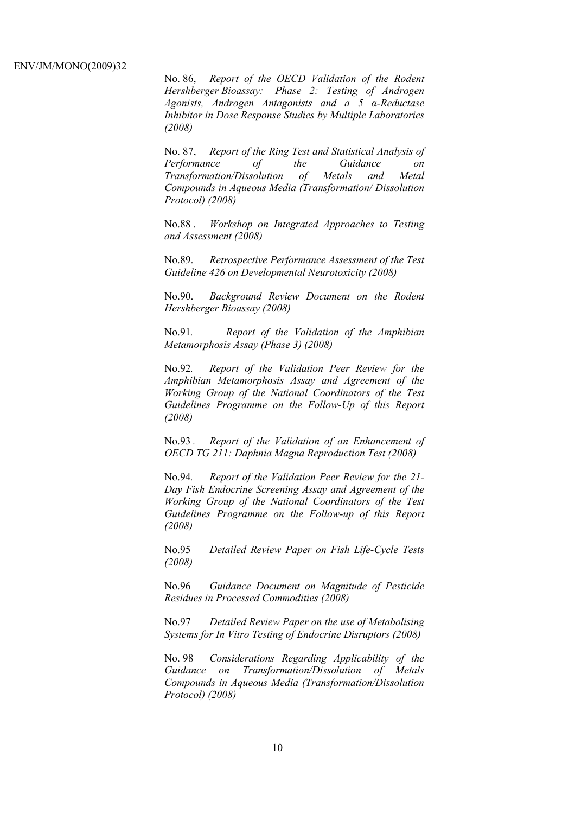No. 86, *Report of the OECD Validation of the Rodent Hershberger Bioassay: Phase 2: Testing of Androgen Agonists, Androgen Antagonists and a 5 α-Reductase Inhibitor in Dose Response Studies by Multiple Laboratories (2008)*

No. 87, *Report of the Ring Test and Statistical Analysis of Performance of the Guidance on Transformation/Dissolution of Metals and Metal Compounds in Aqueous Media (Transformation/ Dissolution Protocol) (2008)*

No.88 . *Workshop on Integrated Approaches to Testing and Assessment (2008)* 

No.89. *Retrospective Performance Assessment of the Test Guideline 426 on Developmental Neurotoxicity (2008)* 

No.90. *Background Review Document on the Rodent Hershberger Bioassay (2008)* 

No.91*. Report of the Validation of the Amphibian Metamorphosis Assay (Phase 3) (2008)* 

No.92*. Report of the Validation Peer Review for the Amphibian Metamorphosis Assay and Agreement of the Working Group of the National Coordinators of the Test Guidelines Programme on the Follow-Up of this Report (2008)* 

No.93 *. Report of the Validation of an Enhancement of OECD TG 211: Daphnia Magna Reproduction Test (2008)* 

No.94*. Report of the Validation Peer Review for the 21- Day Fish Endocrine Screening Assay and Agreement of the Working Group of the National Coordinators of the Test Guidelines Programme on the Follow-up of this Report (2008)* 

No.95 *Detailed Review Paper on Fish Life-Cycle Tests (2008)* 

No.96 *Guidance Document on Magnitude of Pesticide Residues in Processed Commodities (2008)* 

No.97 *Detailed Review Paper on the use of Metabolising Systems for In Vitro Testing of Endocrine Disruptors (2008)* 

No. 98 *Considerations Regarding Applicability of the Guidance on Transformation/Dissolution of Metals Compounds in Aqueous Media (Transformation/Dissolution Protocol) (2008)*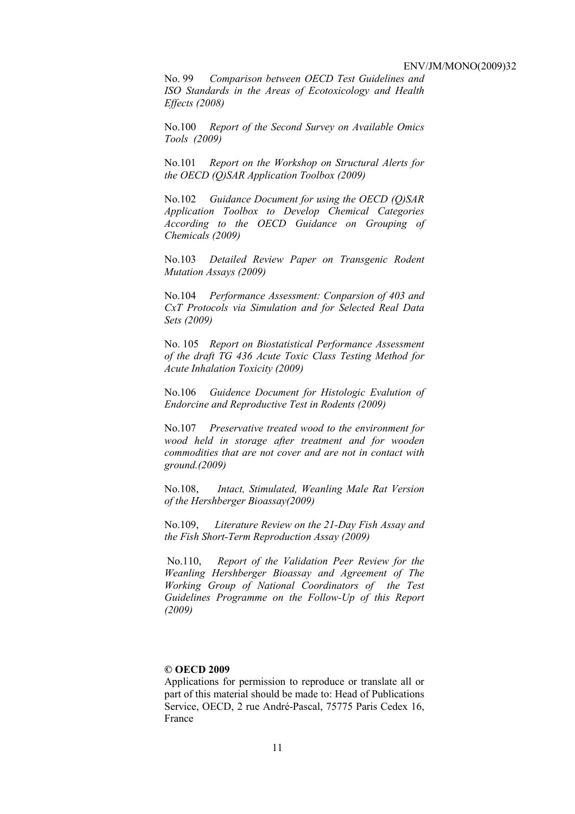No. 99 *Comparison between OECD Test Guidelines and ISO Standards in the Areas of Ecotoxicology and Health Effects (2008)* 

No.100 *Report of the Second Survey on Available Omics Tools (2009)* 

No.101 *Report on the Workshop on Structural Alerts for the OECD (Q)SAR Application Toolbox (2009)* 

No.102 *Guidance Document for using the OECD (Q)SAR Application Toolbox to Develop Chemical Categories According to the OECD Guidance on Grouping of Chemicals (2009)* 

No.103 *Detailed Review Paper on Transgenic Rodent Mutation Assays (2009)* 

No.104 *Performance Assessment: Conparsion of 403 and CxT Protocols via Simulation and for Selected Real Data Sets (2009)* 

No. 105 *Report on Biostatistical Performance Assessment of the draft TG 436 Acute Toxic Class Testing Method for Acute Inhalation Toxicity (2009)* 

No.106 *Guidence Document for Histologic Evalution of Endorcine and Reproductive Test in Rodents (2009)* 

No.107 *Preservative treated wood to the environment for wood held in storage after treatment and for wooden commodities that are not cover and are not in contact with ground.(2009)* 

No.108, *Intact, Stimulated, Weanling Male Rat Version of the Hershberger Bioassay(2009)* 

No.109, *Literature Review on the 21-Day Fish Assay and the Fish Short-Term Reproduction Assay (2009)* 

 No.110, *Report of the Validation Peer Review for the Weanling Hershberger Bioassay and Agreement of The Working Group of National Coordinators of the Test Guidelines Programme on the Follow-Up of this Report (2009)* 

#### **© OECD 2009**

Applications for permission to reproduce or translate all or part of this material should be made to: Head of Publications Service, OECD, 2 rue André-Pascal, 75775 Paris Cedex 16, France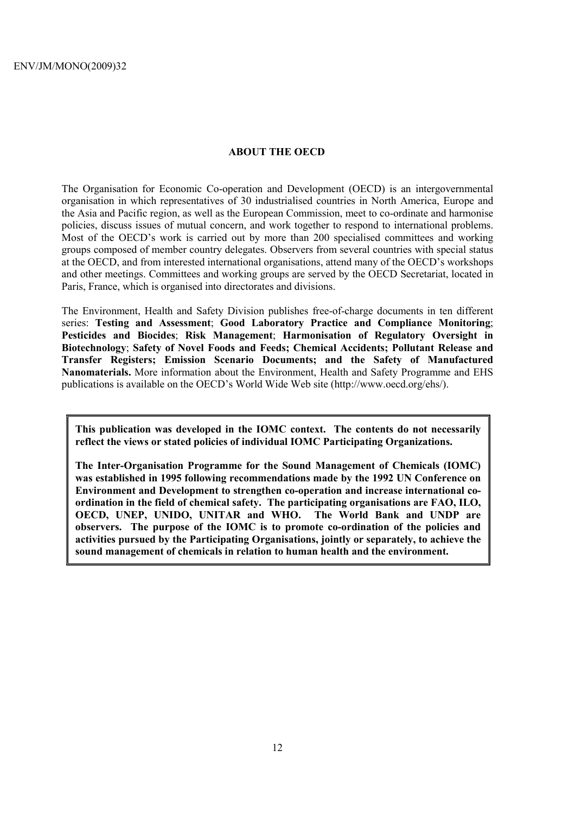# **ABOUT THE OECD**

The Organisation for Economic Co-operation and Development (OECD) is an intergovernmental organisation in which representatives of 30 industrialised countries in North America, Europe and the Asia and Pacific region, as well as the European Commission, meet to co-ordinate and harmonise policies, discuss issues of mutual concern, and work together to respond to international problems. Most of the OECD's work is carried out by more than 200 specialised committees and working groups composed of member country delegates. Observers from several countries with special status at the OECD, and from interested international organisations, attend many of the OECD's workshops and other meetings. Committees and working groups are served by the OECD Secretariat, located in Paris, France, which is organised into directorates and divisions.

The Environment, Health and Safety Division publishes free-of-charge documents in ten different series: **Testing and Assessment**; **Good Laboratory Practice and Compliance Monitoring**; **Pesticides and Biocides**; **Risk Management**; **Harmonisation of Regulatory Oversight in Biotechnology**; **Safety of Novel Foods and Feeds; Chemical Accidents; Pollutant Release and Transfer Registers; Emission Scenario Documents; and the Safety of Manufactured Nanomaterials.** More information about the Environment, Health and Safety Programme and EHS publications is available on the OECD's World Wide Web site (http://www.oecd.org/ehs/).

**This publication was developed in the IOMC context. The contents do not necessarily reflect the views or stated policies of individual IOMC Participating Organizations.** 

**The Inter-Organisation Programme for the Sound Management of Chemicals (IOMC) was established in 1995 following recommendations made by the 1992 UN Conference on Environment and Development to strengthen co-operation and increase international coordination in the field of chemical safety. The participating organisations are FAO, ILO, OECD, UNEP, UNIDO, UNITAR and WHO. The World Bank and UNDP are observers. The purpose of the IOMC is to promote co-ordination of the policies and activities pursued by the Participating Organisations, jointly or separately, to achieve the sound management of chemicals in relation to human health and the environment.**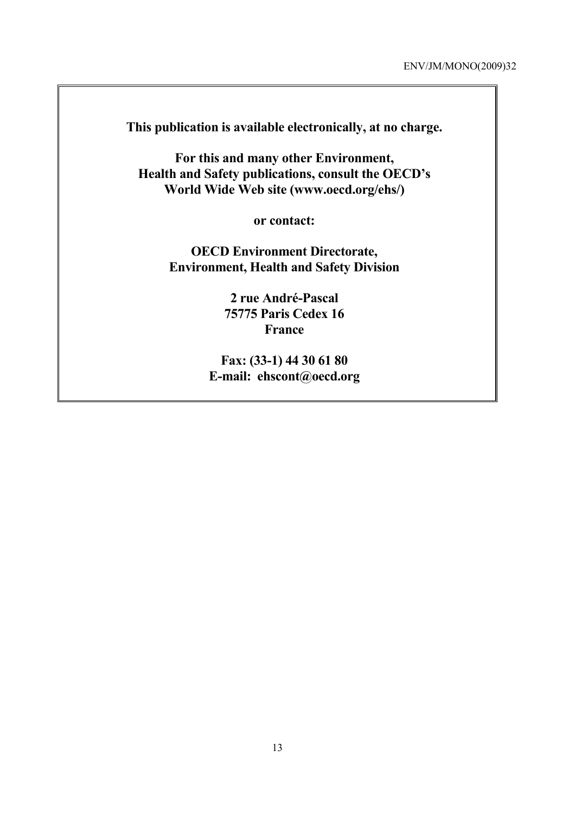**This publication is available electronically, at no charge.** 

**For this and many other Environment, Health and Safety publications, consult the OECD's World Wide Web site (www.oecd.org/ehs/)** 

**or contact:** 

**OECD Environment Directorate, Environment, Health and Safety Division** 

> **2 rue André-Pascal 75775 Paris Cedex 16 France**

**Fax: (33-1) 44 30 61 80 E-mail: ehscont@oecd.org**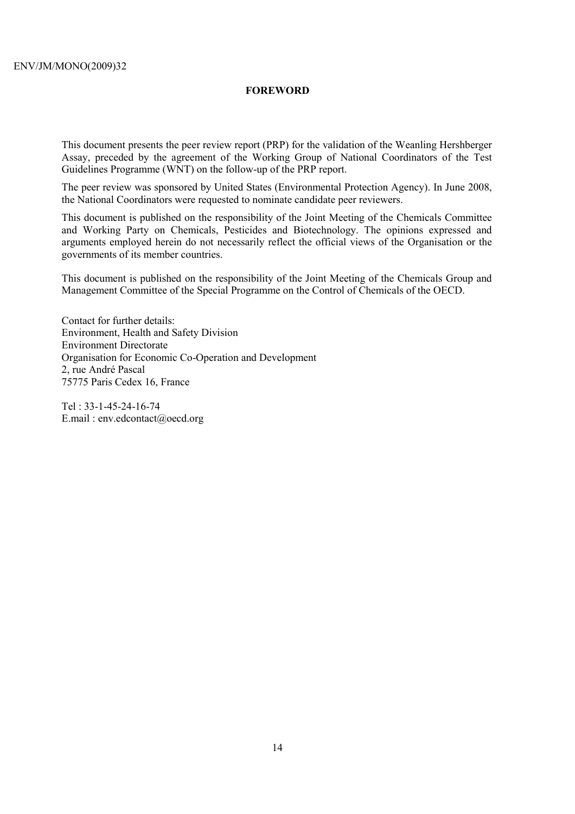# **FOREWORD**

This document presents the peer review report (PRP) for the validation of the Weanling Hershberger Assay, preceded by the agreement of the Working Group of National Coordinators of the Test Guidelines Programme (WNT) on the follow-up of the PRP report.

The peer review was sponsored by United States (Environmental Protection Agency). In June 2008, the National Coordinators were requested to nominate candidate peer reviewers.

This document is published on the responsibility of the Joint Meeting of the Chemicals Committee and Working Party on Chemicals, Pesticides and Biotechnology. The opinions expressed and arguments employed herein do not necessarily reflect the official views of the Organisation or the governments of its member countries.

This document is published on the responsibility of the Joint Meeting of the Chemicals Group and Management Committee of the Special Programme on the Control of Chemicals of the OECD.

Contact for further details: Environment, Health and Safety Division Environment Directorate Organisation for Economic Co-Operation and Development 2, rue André Pascal 75775 Paris Cedex 16, France

Tel : 33-1-45-24-16-74 E.mail : env.edcontact@oecd.org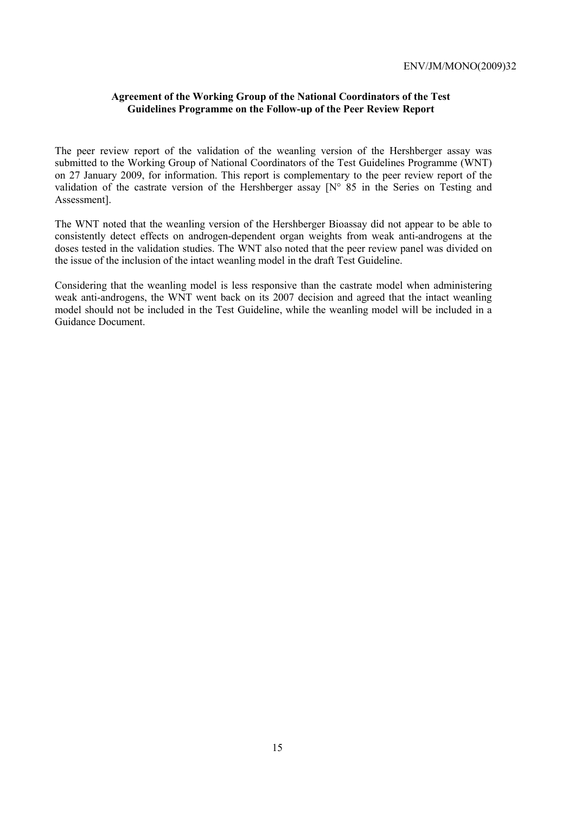# **Agreement of the Working Group of the National Coordinators of the Test Guidelines Programme on the Follow-up of the Peer Review Report**

The peer review report of the validation of the weanling version of the Hershberger assay was submitted to the Working Group of National Coordinators of the Test Guidelines Programme (WNT) on 27 January 2009, for information. This report is complementary to the peer review report of the validation of the castrate version of the Hershberger assay [N° 85 in the Series on Testing and Assessment].

The WNT noted that the weanling version of the Hershberger Bioassay did not appear to be able to consistently detect effects on androgen-dependent organ weights from weak anti-androgens at the doses tested in the validation studies. The WNT also noted that the peer review panel was divided on the issue of the inclusion of the intact weanling model in the draft Test Guideline.

Considering that the weanling model is less responsive than the castrate model when administering weak anti-androgens, the WNT went back on its 2007 decision and agreed that the intact weanling model should not be included in the Test Guideline, while the weanling model will be included in a Guidance Document.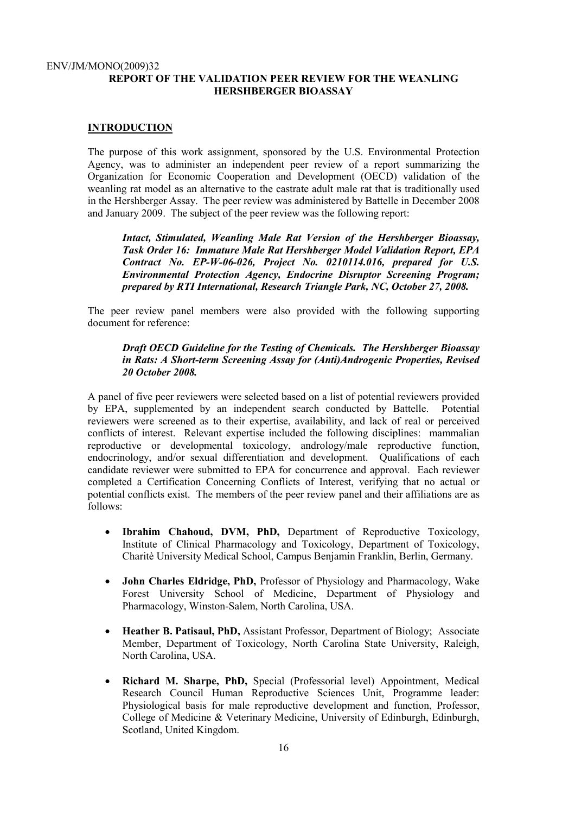#### ENV/JM/MONO(2009)32 **REPORT OF THE VALIDATION PEER REVIEW FOR THE WEANLING HERSHBERGER BIOASSAY**

# **INTRODUCTION**

The purpose of this work assignment, sponsored by the U.S. Environmental Protection Agency, was to administer an independent peer review of a report summarizing the Organization for Economic Cooperation and Development (OECD) validation of the weanling rat model as an alternative to the castrate adult male rat that is traditionally used in the Hershberger Assay. The peer review was administered by Battelle in December 2008 and January 2009. The subject of the peer review was the following report:

*Intact, Stimulated, Weanling Male Rat Version of the Hershberger Bioassay, Task Order 16: Immature Male Rat Hershberger Model Validation Report, EPA Contract No. EP-W-06-026, Project No. 0210114.016, prepared for U.S. Environmental Protection Agency, Endocrine Disruptor Screening Program; prepared by RTI International, Research Triangle Park, NC, October 27, 2008.* 

The peer review panel members were also provided with the following supporting document for reference:

# *Draft OECD Guideline for the Testing of Chemicals. The Hershberger Bioassay in Rats: A Short-term Screening Assay for (Anti)Androgenic Properties, Revised 20 October 2008.*

A panel of five peer reviewers were selected based on a list of potential reviewers provided by EPA, supplemented by an independent search conducted by Battelle. Potential reviewers were screened as to their expertise, availability, and lack of real or perceived conflicts of interest. Relevant expertise included the following disciplines: mammalian reproductive or developmental toxicology, andrology/male reproductive function, endocrinology, and/or sexual differentiation and development. Qualifications of each candidate reviewer were submitted to EPA for concurrence and approval. Each reviewer completed a Certification Concerning Conflicts of Interest, verifying that no actual or potential conflicts exist. The members of the peer review panel and their affiliations are as follows:

- **Ibrahim Chahoud, DVM, PhD,** Department of Reproductive Toxicology, Institute of Clinical Pharmacology and Toxicology, Department of Toxicology, Charitè University Medical School, Campus Benjamin Franklin, Berlin, Germany.
- **John Charles Eldridge, PhD,** Professor of Physiology and Pharmacology, Wake Forest University School of Medicine, Department of Physiology and Pharmacology, Winston-Salem, North Carolina, USA.
- **Heather B. Patisaul, PhD,** Assistant Professor, Department of Biology; Associate Member, Department of Toxicology, North Carolina State University, Raleigh, North Carolina, USA.
- **Richard M. Sharpe, PhD,** Special (Professorial level) Appointment, Medical Research Council Human Reproductive Sciences Unit, Programme leader: Physiological basis for male reproductive development and function, Professor, College of Medicine & Veterinary Medicine, University of Edinburgh, Edinburgh, Scotland, United Kingdom.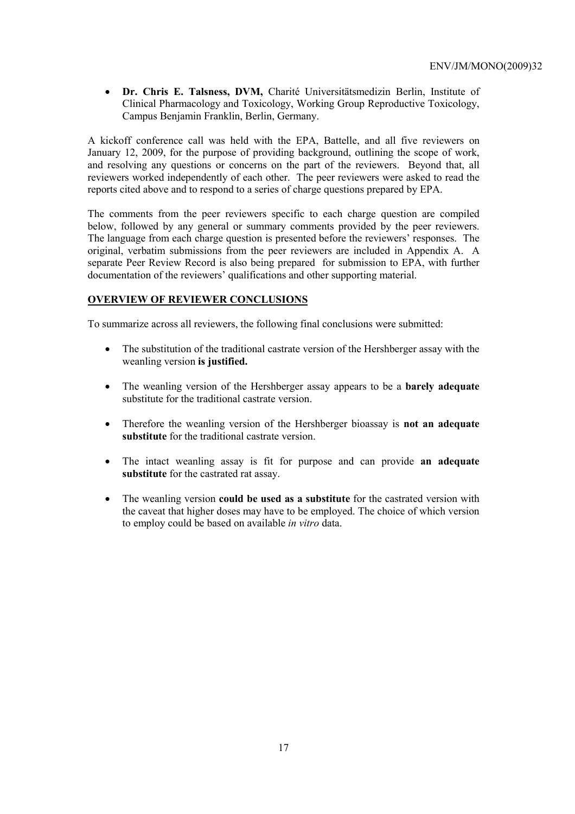• **Dr. Chris E. Talsness, DVM,** Charité Universitätsmedizin Berlin, Institute of Clinical Pharmacology and Toxicology, Working Group Reproductive Toxicology, Campus Benjamin Franklin, Berlin, Germany.

A kickoff conference call was held with the EPA, Battelle, and all five reviewers on January 12, 2009, for the purpose of providing background, outlining the scope of work, and resolving any questions or concerns on the part of the reviewers. Beyond that, all reviewers worked independently of each other. The peer reviewers were asked to read the reports cited above and to respond to a series of charge questions prepared by EPA.

The comments from the peer reviewers specific to each charge question are compiled below, followed by any general or summary comments provided by the peer reviewers. The language from each charge question is presented before the reviewers' responses. The original, verbatim submissions from the peer reviewers are included in Appendix A. A separate Peer Review Record is also being prepared for submission to EPA, with further documentation of the reviewers' qualifications and other supporting material.

# **OVERVIEW OF REVIEWER CONCLUSIONS**

To summarize across all reviewers, the following final conclusions were submitted:

- The substitution of the traditional castrate version of the Hershberger assay with the weanling version **is justified.**
- The weanling version of the Hershberger assay appears to be a **barely adequate** substitute for the traditional castrate version.
- Therefore the weanling version of the Hershberger bioassay is **not an adequate substitute** for the traditional castrate version.
- The intact weanling assay is fit for purpose and can provide **an adequate substitute** for the castrated rat assay.
- The weanling version **could be used as a substitute** for the castrated version with the caveat that higher doses may have to be employed. The choice of which version to employ could be based on available *in vitro* data.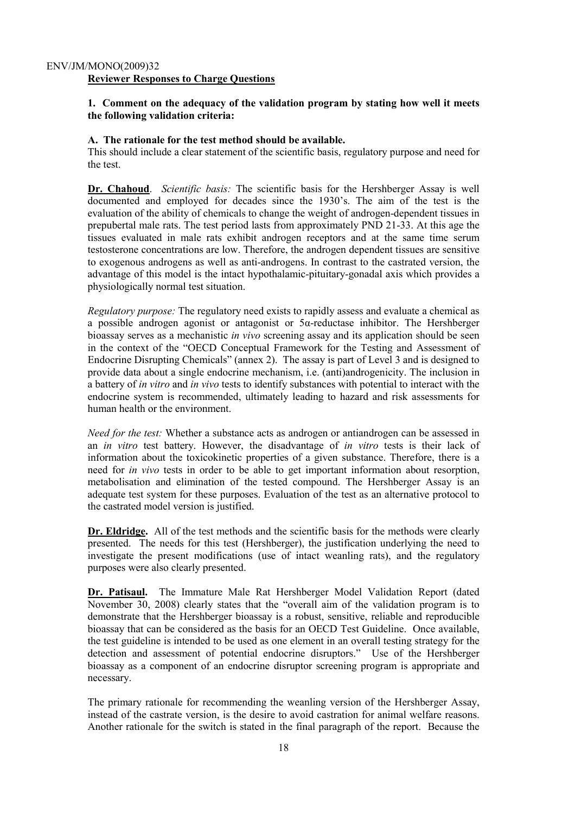# **1. Comment on the adequacy of the validation program by stating how well it meets the following validation criteria:**

# **A. The rationale for the test method should be available.**

This should include a clear statement of the scientific basis, regulatory purpose and need for the test.

**Dr. Chahoud**. *Scientific basis:* The scientific basis for the Hershberger Assay is well documented and employed for decades since the 1930's. The aim of the test is the evaluation of the ability of chemicals to change the weight of androgen-dependent tissues in prepubertal male rats. The test period lasts from approximately PND 21-33. At this age the tissues evaluated in male rats exhibit androgen receptors and at the same time serum testosterone concentrations are low. Therefore, the androgen dependent tissues are sensitive to exogenous androgens as well as anti-androgens. In contrast to the castrated version, the advantage of this model is the intact hypothalamic-pituitary-gonadal axis which provides a physiologically normal test situation.

*Regulatory purpose:* The regulatory need exists to rapidly assess and evaluate a chemical as a possible androgen agonist or antagonist or  $5\alpha$ -reductase inhibitor. The Hershberger bioassay serves as a mechanistic *in vivo* screening assay and its application should be seen in the context of the "OECD Conceptual Framework for the Testing and Assessment of Endocrine Disrupting Chemicals" (annex 2). The assay is part of Level 3 and is designed to provide data about a single endocrine mechanism, i.e. (anti)androgenicity. The inclusion in a battery of *in vitro* and *in vivo* tests to identify substances with potential to interact with the endocrine system is recommended, ultimately leading to hazard and risk assessments for human health or the environment.

*Need for the test:* Whether a substance acts as androgen or antiandrogen can be assessed in an *in vitro* test battery. However, the disadvantage of *in vitro* tests is their lack of information about the toxicokinetic properties of a given substance. Therefore, there is a need for *in vivo* tests in order to be able to get important information about resorption, metabolisation and elimination of the tested compound. The Hershberger Assay is an adequate test system for these purposes. Evaluation of the test as an alternative protocol to the castrated model version is justified.

**Dr. Eldridge.** All of the test methods and the scientific basis for the methods were clearly presented. The needs for this test (Hershberger), the justification underlying the need to investigate the present modifications (use of intact weanling rats), and the regulatory purposes were also clearly presented.

**Dr. Patisaul.** The Immature Male Rat Hershberger Model Validation Report (dated November 30, 2008) clearly states that the "overall aim of the validation program is to demonstrate that the Hershberger bioassay is a robust, sensitive, reliable and reproducible bioassay that can be considered as the basis for an OECD Test Guideline. Once available, the test guideline is intended to be used as one element in an overall testing strategy for the detection and assessment of potential endocrine disruptors." Use of the Hershberger bioassay as a component of an endocrine disruptor screening program is appropriate and necessary.

The primary rationale for recommending the weanling version of the Hershberger Assay, instead of the castrate version, is the desire to avoid castration for animal welfare reasons. Another rationale for the switch is stated in the final paragraph of the report. Because the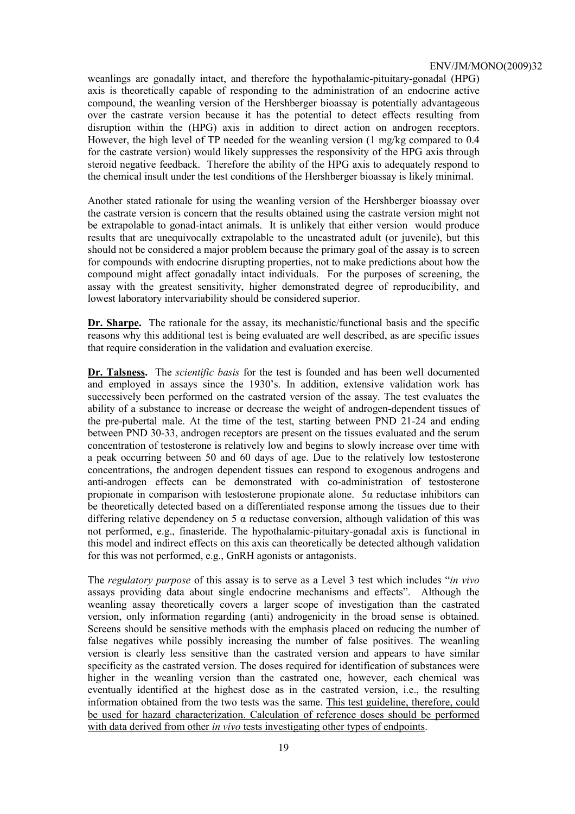weanlings are gonadally intact, and therefore the hypothalamic-pituitary-gonadal (HPG) axis is theoretically capable of responding to the administration of an endocrine active compound, the weanling version of the Hershberger bioassay is potentially advantageous over the castrate version because it has the potential to detect effects resulting from disruption within the (HPG) axis in addition to direct action on androgen receptors. However, the high level of TP needed for the weanling version (1 mg/kg compared to 0.4 for the castrate version) would likely suppresses the responsivity of the HPG axis through steroid negative feedback. Therefore the ability of the HPG axis to adequately respond to the chemical insult under the test conditions of the Hershberger bioassay is likely minimal.

Another stated rationale for using the weanling version of the Hershberger bioassay over the castrate version is concern that the results obtained using the castrate version might not be extrapolable to gonad-intact animals. It is unlikely that either version would produce results that are unequivocally extrapolable to the uncastrated adult (or juvenile), but this should not be considered a major problem because the primary goal of the assay is to screen for compounds with endocrine disrupting properties, not to make predictions about how the compound might affect gonadally intact individuals. For the purposes of screening, the assay with the greatest sensitivity, higher demonstrated degree of reproducibility, and lowest laboratory intervariability should be considered superior.

**Dr. Sharpe.** The rationale for the assay, its mechanistic/functional basis and the specific reasons why this additional test is being evaluated are well described, as are specific issues that require consideration in the validation and evaluation exercise.

**Dr. Talsness.** The *scientific basis* for the test is founded and has been well documented and employed in assays since the 1930's. In addition, extensive validation work has successively been performed on the castrated version of the assay. The test evaluates the ability of a substance to increase or decrease the weight of androgen-dependent tissues of the pre-pubertal male. At the time of the test, starting between PND 21-24 and ending between PND 30-33, androgen receptors are present on the tissues evaluated and the serum concentration of testosterone is relatively low and begins to slowly increase over time with a peak occurring between 50 and 60 days of age. Due to the relatively low testosterone concentrations, the androgen dependent tissues can respond to exogenous androgens and anti-androgen effects can be demonstrated with co-administration of testosterone propionate in comparison with testosterone propionate alone. 5α reductase inhibitors can be theoretically detected based on a differentiated response among the tissues due to their differing relative dependency on 5  $\alpha$  reductase conversion, although validation of this was not performed, e.g., finasteride. The hypothalamic-pituitary-gonadal axis is functional in this model and indirect effects on this axis can theoretically be detected although validation for this was not performed, e.g., GnRH agonists or antagonists.

The *regulatory purpose* of this assay is to serve as a Level 3 test which includes "*in vivo* assays providing data about single endocrine mechanisms and effects". Although the weanling assay theoretically covers a larger scope of investigation than the castrated version, only information regarding (anti) androgenicity in the broad sense is obtained. Screens should be sensitive methods with the emphasis placed on reducing the number of false negatives while possibly increasing the number of false positives. The weanling version is clearly less sensitive than the castrated version and appears to have similar specificity as the castrated version. The doses required for identification of substances were higher in the weanling version than the castrated one, however, each chemical was eventually identified at the highest dose as in the castrated version, i.e., the resulting information obtained from the two tests was the same. This test guideline, therefore, could be used for hazard characterization. Calculation of reference doses should be performed with data derived from other *in vivo* tests investigating other types of endpoints.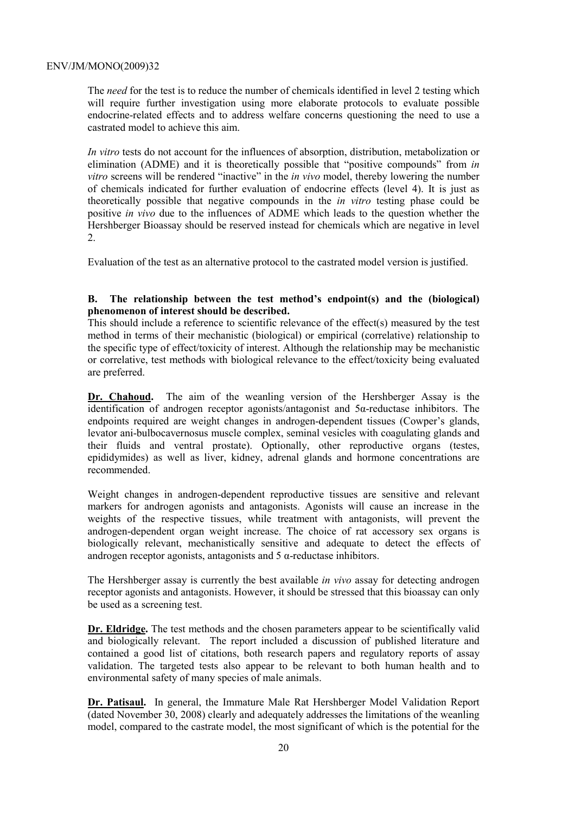The *need* for the test is to reduce the number of chemicals identified in level 2 testing which will require further investigation using more elaborate protocols to evaluate possible endocrine-related effects and to address welfare concerns questioning the need to use a castrated model to achieve this aim.

*In vitro* tests do not account for the influences of absorption, distribution, metabolization or elimination (ADME) and it is theoretically possible that "positive compounds" from *in vitro* screens will be rendered "inactive" in the *in vivo* model, thereby lowering the number of chemicals indicated for further evaluation of endocrine effects (level 4). It is just as theoretically possible that negative compounds in the *in vitro* testing phase could be positive *in vivo* due to the influences of ADME which leads to the question whether the Hershberger Bioassay should be reserved instead for chemicals which are negative in level 2.

Evaluation of the test as an alternative protocol to the castrated model version is justified.

# **B. The relationship between the test method's endpoint(s) and the (biological) phenomenon of interest should be described.**

This should include a reference to scientific relevance of the effect(s) measured by the test method in terms of their mechanistic (biological) or empirical (correlative) relationship to the specific type of effect/toxicity of interest. Although the relationship may be mechanistic or correlative, test methods with biological relevance to the effect/toxicity being evaluated are preferred.

**Dr. Chahoud.** The aim of the weanling version of the Hershberger Assay is the identification of androgen receptor agonists/antagonist and 5α-reductase inhibitors. The endpoints required are weight changes in androgen-dependent tissues (Cowper's glands, levator ani-bulbocavernosus muscle complex, seminal vesicles with coagulating glands and their fluids and ventral prostate). Optionally, other reproductive organs (testes, epididymides) as well as liver, kidney, adrenal glands and hormone concentrations are recommended.

Weight changes in androgen-dependent reproductive tissues are sensitive and relevant markers for androgen agonists and antagonists. Agonists will cause an increase in the weights of the respective tissues, while treatment with antagonists, will prevent the androgen-dependent organ weight increase. The choice of rat accessory sex organs is biologically relevant, mechanistically sensitive and adequate to detect the effects of androgen receptor agonists, antagonists and  $5 \alpha$ -reductase inhibitors.

The Hershberger assay is currently the best available *in vivo* assay for detecting androgen receptor agonists and antagonists. However, it should be stressed that this bioassay can only be used as a screening test.

**Dr. Eldridge.** The test methods and the chosen parameters appear to be scientifically valid and biologically relevant. The report included a discussion of published literature and contained a good list of citations, both research papers and regulatory reports of assay validation. The targeted tests also appear to be relevant to both human health and to environmental safety of many species of male animals.

**Dr. Patisaul.** In general, the Immature Male Rat Hershberger Model Validation Report (dated November 30, 2008) clearly and adequately addresses the limitations of the weanling model, compared to the castrate model, the most significant of which is the potential for the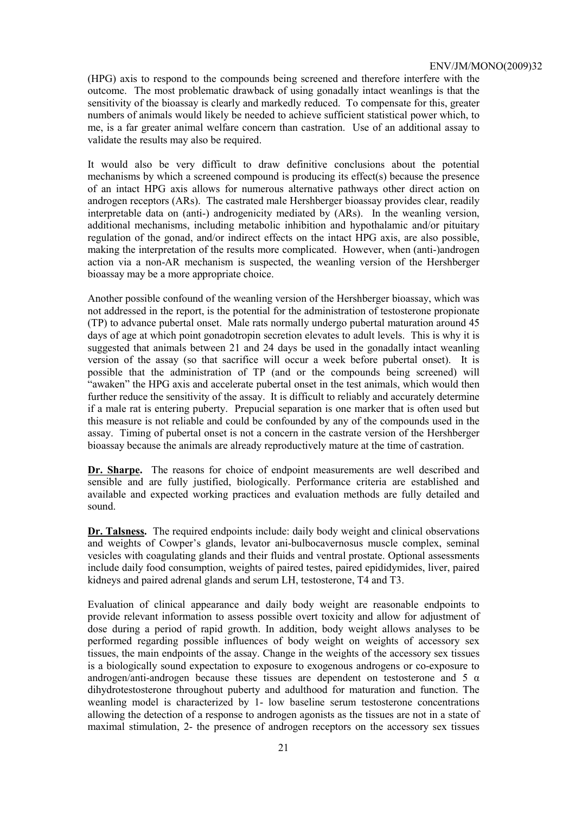(HPG) axis to respond to the compounds being screened and therefore interfere with the outcome. The most problematic drawback of using gonadally intact weanlings is that the sensitivity of the bioassay is clearly and markedly reduced. To compensate for this, greater numbers of animals would likely be needed to achieve sufficient statistical power which, to me, is a far greater animal welfare concern than castration. Use of an additional assay to validate the results may also be required.

It would also be very difficult to draw definitive conclusions about the potential mechanisms by which a screened compound is producing its effect(s) because the presence of an intact HPG axis allows for numerous alternative pathways other direct action on androgen receptors (ARs). The castrated male Hershberger bioassay provides clear, readily interpretable data on (anti-) androgenicity mediated by (ARs). In the weanling version, additional mechanisms, including metabolic inhibition and hypothalamic and/or pituitary regulation of the gonad, and/or indirect effects on the intact HPG axis, are also possible, making the interpretation of the results more complicated. However, when (anti-)androgen action via a non-AR mechanism is suspected, the weanling version of the Hershberger bioassay may be a more appropriate choice.

Another possible confound of the weanling version of the Hershberger bioassay, which was not addressed in the report, is the potential for the administration of testosterone propionate (TP) to advance pubertal onset. Male rats normally undergo pubertal maturation around 45 days of age at which point gonadotropin secretion elevates to adult levels. This is why it is suggested that animals between 21 and 24 days be used in the gonadally intact weanling version of the assay (so that sacrifice will occur a week before pubertal onset). It is possible that the administration of TP (and or the compounds being screened) will "awaken" the HPG axis and accelerate pubertal onset in the test animals, which would then further reduce the sensitivity of the assay. It is difficult to reliably and accurately determine if a male rat is entering puberty. Prepucial separation is one marker that is often used but this measure is not reliable and could be confounded by any of the compounds used in the assay. Timing of pubertal onset is not a concern in the castrate version of the Hershberger bioassay because the animals are already reproductively mature at the time of castration.

**Dr. Sharpe.** The reasons for choice of endpoint measurements are well described and sensible and are fully justified, biologically. Performance criteria are established and available and expected working practices and evaluation methods are fully detailed and sound.

**Dr. Talsness.** The required endpoints include: daily body weight and clinical observations and weights of Cowper's glands, levator ani-bulbocavernosus muscle complex, seminal vesicles with coagulating glands and their fluids and ventral prostate. Optional assessments include daily food consumption, weights of paired testes, paired epididymides, liver, paired kidneys and paired adrenal glands and serum LH, testosterone, T4 and T3.

Evaluation of clinical appearance and daily body weight are reasonable endpoints to provide relevant information to assess possible overt toxicity and allow for adjustment of dose during a period of rapid growth. In addition, body weight allows analyses to be performed regarding possible influences of body weight on weights of accessory sex tissues, the main endpoints of the assay. Change in the weights of the accessory sex tissues is a biologically sound expectation to exposure to exogenous androgens or co-exposure to androgen/anti-androgen because these tissues are dependent on testosterone and 5  $\alpha$ dihydrotestosterone throughout puberty and adulthood for maturation and function. The weanling model is characterized by 1- low baseline serum testosterone concentrations allowing the detection of a response to androgen agonists as the tissues are not in a state of maximal stimulation, 2- the presence of androgen receptors on the accessory sex tissues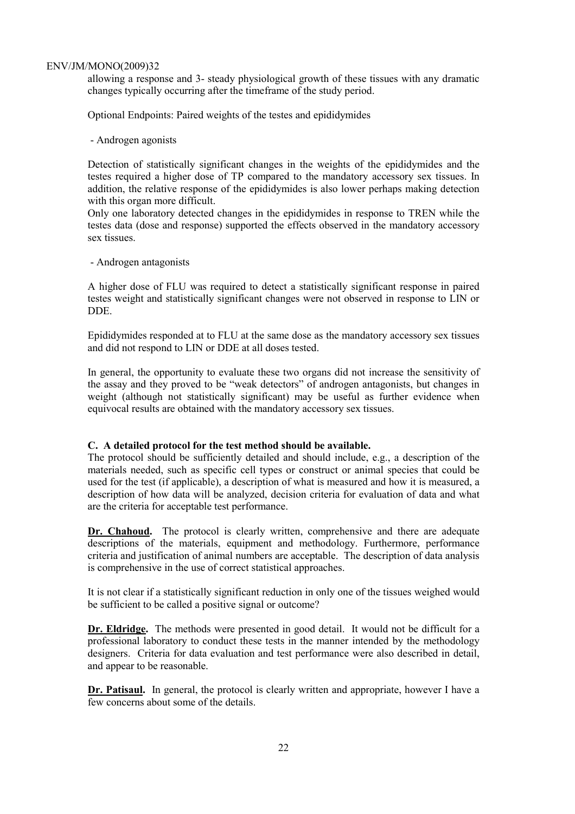allowing a response and 3- steady physiological growth of these tissues with any dramatic changes typically occurring after the timeframe of the study period.

Optional Endpoints: Paired weights of the testes and epididymides

- Androgen agonists

Detection of statistically significant changes in the weights of the epididymides and the testes required a higher dose of TP compared to the mandatory accessory sex tissues. In addition, the relative response of the epididymides is also lower perhaps making detection with this organ more difficult.

Only one laboratory detected changes in the epididymides in response to TREN while the testes data (dose and response) supported the effects observed in the mandatory accessory sex tissues.

- Androgen antagonists

A higher dose of FLU was required to detect a statistically significant response in paired testes weight and statistically significant changes were not observed in response to LIN or DDE.

Epididymides responded at to FLU at the same dose as the mandatory accessory sex tissues and did not respond to LIN or DDE at all doses tested.

In general, the opportunity to evaluate these two organs did not increase the sensitivity of the assay and they proved to be "weak detectors" of androgen antagonists, but changes in weight (although not statistically significant) may be useful as further evidence when equivocal results are obtained with the mandatory accessory sex tissues.

# **C. A detailed protocol for the test method should be available.**

The protocol should be sufficiently detailed and should include, e.g., a description of the materials needed, such as specific cell types or construct or animal species that could be used for the test (if applicable), a description of what is measured and how it is measured, a description of how data will be analyzed, decision criteria for evaluation of data and what are the criteria for acceptable test performance.

Dr. Chahoud. The protocol is clearly written, comprehensive and there are adequate descriptions of the materials, equipment and methodology. Furthermore, performance criteria and justification of animal numbers are acceptable. The description of data analysis is comprehensive in the use of correct statistical approaches.

It is not clear if a statistically significant reduction in only one of the tissues weighed would be sufficient to be called a positive signal or outcome?

**Dr. Eldridge.** The methods were presented in good detail. It would not be difficult for a professional laboratory to conduct these tests in the manner intended by the methodology designers. Criteria for data evaluation and test performance were also described in detail, and appear to be reasonable.

**Dr. Patisaul.** In general, the protocol is clearly written and appropriate, however I have a few concerns about some of the details.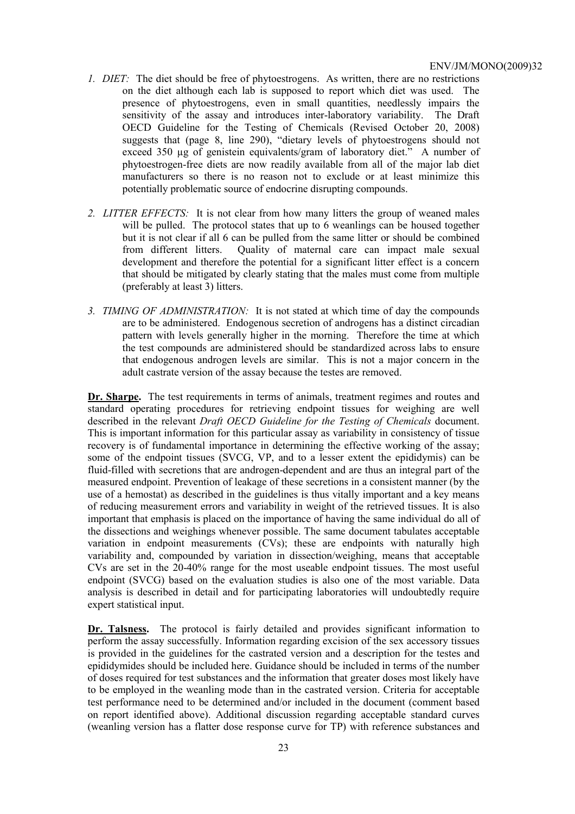- *1. DIET:* The diet should be free of phytoestrogens. As written, there are no restrictions on the diet although each lab is supposed to report which diet was used. The presence of phytoestrogens, even in small quantities, needlessly impairs the sensitivity of the assay and introduces inter-laboratory variability. The Draft OECD Guideline for the Testing of Chemicals (Revised October 20, 2008) suggests that (page 8, line 290), "dietary levels of phytoestrogens should not exceed 350 µg of genistein equivalents/gram of laboratory diet." A number of phytoestrogen-free diets are now readily available from all of the major lab diet manufacturers so there is no reason not to exclude or at least minimize this potentially problematic source of endocrine disrupting compounds.
- *2. LITTER EFFECTS:* It is not clear from how many litters the group of weaned males will be pulled. The protocol states that up to 6 weanlings can be housed together but it is not clear if all 6 can be pulled from the same litter or should be combined from different litters. Quality of maternal care can impact male sexual development and therefore the potential for a significant litter effect is a concern that should be mitigated by clearly stating that the males must come from multiple (preferably at least 3) litters.
- *3. TIMING OF ADMINISTRATION:* It is not stated at which time of day the compounds are to be administered. Endogenous secretion of androgens has a distinct circadian pattern with levels generally higher in the morning. Therefore the time at which the test compounds are administered should be standardized across labs to ensure that endogenous androgen levels are similar. This is not a major concern in the adult castrate version of the assay because the testes are removed.

**Dr. Sharpe.** The test requirements in terms of animals, treatment regimes and routes and standard operating procedures for retrieving endpoint tissues for weighing are well described in the relevant *Draft OECD Guideline for the Testing of Chemicals* document. This is important information for this particular assay as variability in consistency of tissue recovery is of fundamental importance in determining the effective working of the assay; some of the endpoint tissues (SVCG, VP, and to a lesser extent the epididymis) can be fluid-filled with secretions that are androgen-dependent and are thus an integral part of the measured endpoint. Prevention of leakage of these secretions in a consistent manner (by the use of a hemostat) as described in the guidelines is thus vitally important and a key means of reducing measurement errors and variability in weight of the retrieved tissues. It is also important that emphasis is placed on the importance of having the same individual do all of the dissections and weighings whenever possible. The same document tabulates acceptable variation in endpoint measurements (CVs); these are endpoints with naturally high variability and, compounded by variation in dissection/weighing, means that acceptable CVs are set in the 20-40% range for the most useable endpoint tissues. The most useful endpoint (SVCG) based on the evaluation studies is also one of the most variable. Data analysis is described in detail and for participating laboratories will undoubtedly require expert statistical input.

Dr. Talsness. The protocol is fairly detailed and provides significant information to perform the assay successfully. Information regarding excision of the sex accessory tissues is provided in the guidelines for the castrated version and a description for the testes and epididymides should be included here. Guidance should be included in terms of the number of doses required for test substances and the information that greater doses most likely have to be employed in the weanling mode than in the castrated version. Criteria for acceptable test performance need to be determined and/or included in the document (comment based on report identified above). Additional discussion regarding acceptable standard curves (weanling version has a flatter dose response curve for TP) with reference substances and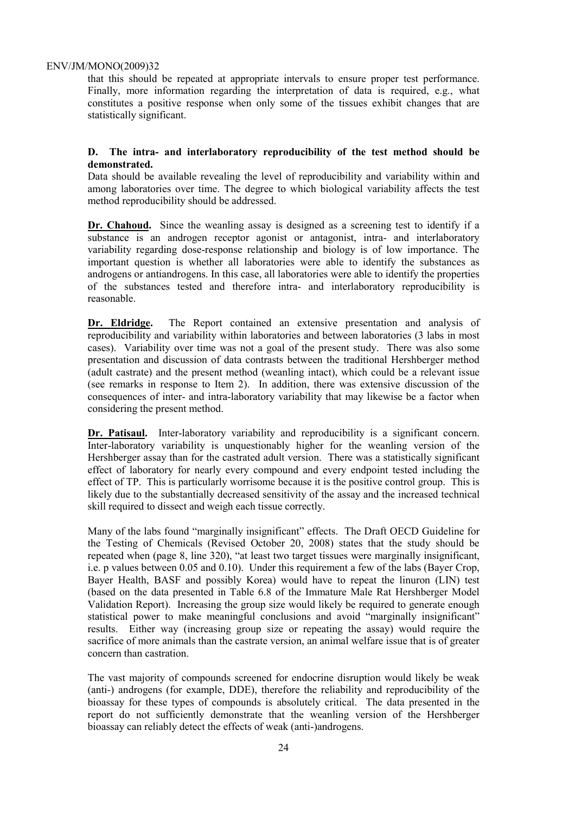that this should be repeated at appropriate intervals to ensure proper test performance. Finally, more information regarding the interpretation of data is required, e.g., what constitutes a positive response when only some of the tissues exhibit changes that are statistically significant.

# **D. The intra- and interlaboratory reproducibility of the test method should be demonstrated.**

Data should be available revealing the level of reproducibility and variability within and among laboratories over time. The degree to which biological variability affects the test method reproducibility should be addressed.

**Dr. Chahoud.** Since the weanling assay is designed as a screening test to identify if a substance is an androgen receptor agonist or antagonist, intra- and interlaboratory variability regarding dose-response relationship and biology is of low importance. The important question is whether all laboratories were able to identify the substances as androgens or antiandrogens. In this case, all laboratories were able to identify the properties of the substances tested and therefore intra- and interlaboratory reproducibility is reasonable.

**Dr. Eldridge.** The Report contained an extensive presentation and analysis of reproducibility and variability within laboratories and between laboratories (3 labs in most cases). Variability over time was not a goal of the present study. There was also some presentation and discussion of data contrasts between the traditional Hershberger method (adult castrate) and the present method (weanling intact), which could be a relevant issue (see remarks in response to Item 2). In addition, there was extensive discussion of the consequences of inter- and intra-laboratory variability that may likewise be a factor when considering the present method.

**Dr. Patisaul.** Inter-laboratory variability and reproducibility is a significant concern. Inter-laboratory variability is unquestionably higher for the weanling version of the Hershberger assay than for the castrated adult version. There was a statistically significant effect of laboratory for nearly every compound and every endpoint tested including the effect of TP. This is particularly worrisome because it is the positive control group. This is likely due to the substantially decreased sensitivity of the assay and the increased technical skill required to dissect and weigh each tissue correctly.

Many of the labs found "marginally insignificant" effects. The Draft OECD Guideline for the Testing of Chemicals (Revised October 20, 2008) states that the study should be repeated when (page 8, line 320), "at least two target tissues were marginally insignificant, i.e. p values between 0.05 and 0.10). Under this requirement a few of the labs (Bayer Crop, Bayer Health, BASF and possibly Korea) would have to repeat the linuron (LIN) test (based on the data presented in Table 6.8 of the Immature Male Rat Hershberger Model Validation Report). Increasing the group size would likely be required to generate enough statistical power to make meaningful conclusions and avoid "marginally insignificant" results. Either way (increasing group size or repeating the assay) would require the sacrifice of more animals than the castrate version, an animal welfare issue that is of greater concern than castration.

The vast majority of compounds screened for endocrine disruption would likely be weak (anti-) androgens (for example, DDE), therefore the reliability and reproducibility of the bioassay for these types of compounds is absolutely critical. The data presented in the report do not sufficiently demonstrate that the weanling version of the Hershberger bioassay can reliably detect the effects of weak (anti-)androgens.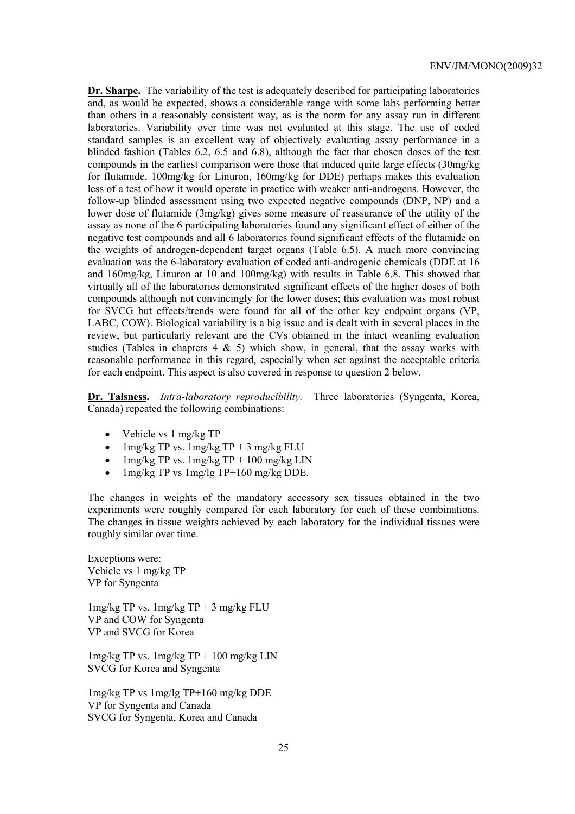**Dr. Sharpe.** The variability of the test is adequately described for participating laboratories and, as would be expected, shows a considerable range with some labs performing better than others in a reasonably consistent way, as is the norm for any assay run in different laboratories. Variability over time was not evaluated at this stage. The use of coded standard samples is an excellent way of objectively evaluating assay performance in a blinded fashion (Tables 6.2, 6.5 and 6.8), although the fact that chosen doses of the test compounds in the earliest comparison were those that induced quite large effects (30mg/kg for flutamide, 100mg/kg for Linuron, 160mg/kg for DDE) perhaps makes this evaluation less of a test of how it would operate in practice with weaker anti-androgens. However, the follow-up blinded assessment using two expected negative compounds (DNP, NP) and a lower dose of flutamide (3mg/kg) gives some measure of reassurance of the utility of the assay as none of the 6 participating laboratories found any significant effect of either of the negative test compounds and all 6 laboratories found significant effects of the flutamide on the weights of androgen-dependent target organs (Table 6.5). A much more convincing evaluation was the 6-laboratory evaluation of coded anti-androgenic chemicals (DDE at 16 and 160mg/kg, Linuron at 10 and 100mg/kg) with results in Table 6.8. This showed that virtually all of the laboratories demonstrated significant effects of the higher doses of both compounds although not convincingly for the lower doses; this evaluation was most robust for SVCG but effects/trends were found for all of the other key endpoint organs (VP, LABC, COW). Biological variability is a big issue and is dealt with in several places in the review, but particularly relevant are the CVs obtained in the intact weanling evaluation studies (Tables in chapters  $4 \& 5$ ) which show, in general, that the assay works with reasonable performance in this regard, especially when set against the acceptable criteria for each endpoint. This aspect is also covered in response to question 2 below.

**Dr. Talsness.** *Intra-laboratory reproducibility.* Three laboratories (Syngenta, Korea, Canada) repeated the following combinations:

- Vehicle vs 1 mg/kg TP
- 1mg/kg TP vs.  $1$ mg/kg TP + 3 mg/kg FLU
- $1$ mg/kg TP vs.  $1$ mg/kg TP + 100 mg/kg LIN
- 1mg/kg TP vs 1mg/lg TP+160 mg/kg DDE.

The changes in weights of the mandatory accessory sex tissues obtained in the two experiments were roughly compared for each laboratory for each of these combinations. The changes in tissue weights achieved by each laboratory for the individual tissues were roughly similar over time.

Exceptions were: Vehicle vs 1 mg/kg TP VP for Syngenta

 $1$ mg/kg TP vs.  $1$ mg/kg TP + 3 mg/kg FLU VP and COW for Syngenta VP and SVCG for Korea

 $1$ mg/kg TP vs.  $1$ mg/kg TP +  $100$  mg/kg LIN SVCG for Korea and Syngenta

1mg/kg TP vs 1mg/lg TP+160 mg/kg DDE VP for Syngenta and Canada SVCG for Syngenta, Korea and Canada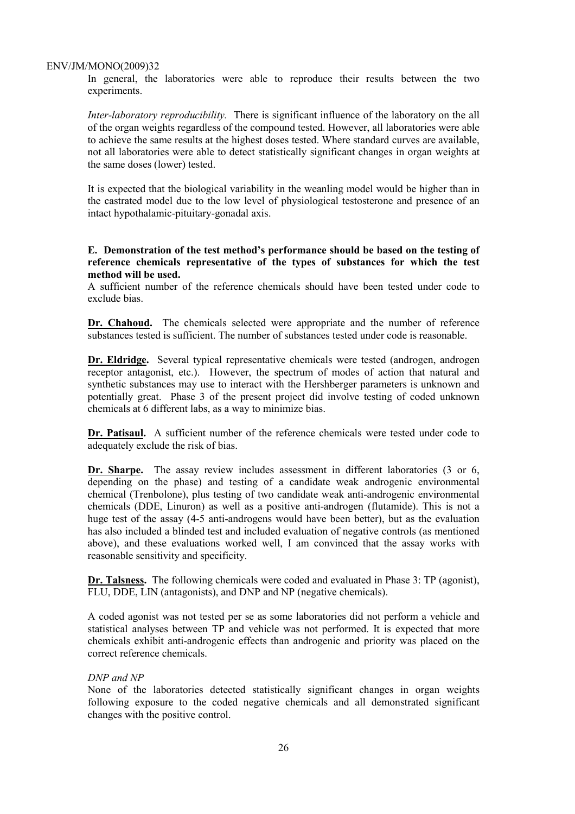In general, the laboratories were able to reproduce their results between the two experiments.

*Inter-laboratory reproducibility.* There is significant influence of the laboratory on the all of the organ weights regardless of the compound tested. However, all laboratories were able to achieve the same results at the highest doses tested. Where standard curves are available, not all laboratories were able to detect statistically significant changes in organ weights at the same doses (lower) tested.

It is expected that the biological variability in the weanling model would be higher than in the castrated model due to the low level of physiological testosterone and presence of an intact hypothalamic-pituitary-gonadal axis.

# **E. Demonstration of the test method's performance should be based on the testing of reference chemicals representative of the types of substances for which the test method will be used.**

A sufficient number of the reference chemicals should have been tested under code to exclude bias.

**Dr. Chahoud.** The chemicals selected were appropriate and the number of reference substances tested is sufficient. The number of substances tested under code is reasonable.

**Dr. Eldridge.** Several typical representative chemicals were tested (androgen, androgen receptor antagonist, etc.). However, the spectrum of modes of action that natural and synthetic substances may use to interact with the Hershberger parameters is unknown and potentially great. Phase 3 of the present project did involve testing of coded unknown chemicals at 6 different labs, as a way to minimize bias.

**Dr. Patisaul.** A sufficient number of the reference chemicals were tested under code to adequately exclude the risk of bias.

Dr. Sharpe. The assay review includes assessment in different laboratories (3 or 6, depending on the phase) and testing of a candidate weak androgenic environmental chemical (Trenbolone), plus testing of two candidate weak anti-androgenic environmental chemicals (DDE, Linuron) as well as a positive anti-androgen (flutamide). This is not a huge test of the assay (4-5 anti-androgens would have been better), but as the evaluation has also included a blinded test and included evaluation of negative controls (as mentioned above), and these evaluations worked well, I am convinced that the assay works with reasonable sensitivity and specificity.

**Dr. Talsness.** The following chemicals were coded and evaluated in Phase 3: TP (agonist), FLU, DDE, LIN (antagonists), and DNP and NP (negative chemicals).

A coded agonist was not tested per se as some laboratories did not perform a vehicle and statistical analyses between TP and vehicle was not performed. It is expected that more chemicals exhibit anti-androgenic effects than androgenic and priority was placed on the correct reference chemicals.

#### *DNP and NP*

None of the laboratories detected statistically significant changes in organ weights following exposure to the coded negative chemicals and all demonstrated significant changes with the positive control.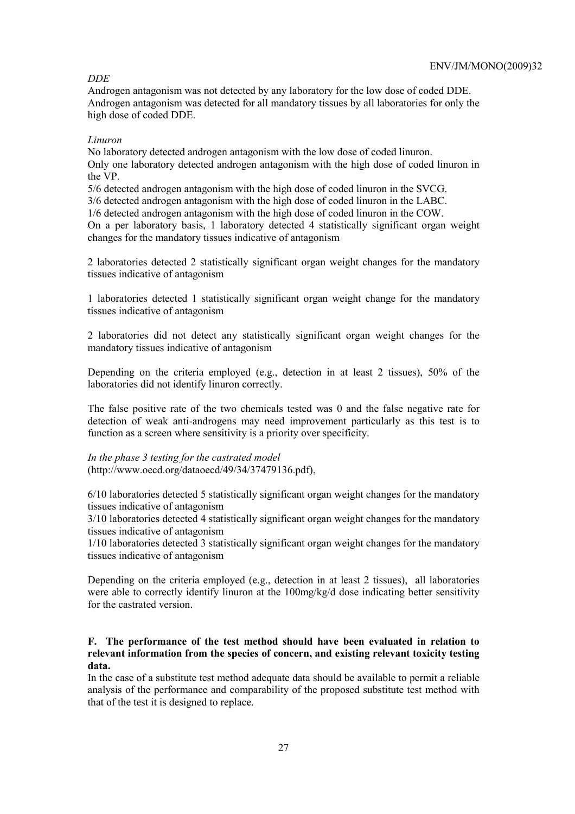# *DDE*

Androgen antagonism was not detected by any laboratory for the low dose of coded DDE. Androgen antagonism was detected for all mandatory tissues by all laboratories for only the high dose of coded DDE.

# *Linuron*

No laboratory detected androgen antagonism with the low dose of coded linuron. Only one laboratory detected androgen antagonism with the high dose of coded linuron in the VP.

5/6 detected androgen antagonism with the high dose of coded linuron in the SVCG.

3/6 detected androgen antagonism with the high dose of coded linuron in the LABC.

1/6 detected androgen antagonism with the high dose of coded linuron in the COW.

On a per laboratory basis, 1 laboratory detected 4 statistically significant organ weight changes for the mandatory tissues indicative of antagonism

2 laboratories detected 2 statistically significant organ weight changes for the mandatory tissues indicative of antagonism

1 laboratories detected 1 statistically significant organ weight change for the mandatory tissues indicative of antagonism

2 laboratories did not detect any statistically significant organ weight changes for the mandatory tissues indicative of antagonism

Depending on the criteria employed (e.g., detection in at least 2 tissues), 50% of the laboratories did not identify linuron correctly.

The false positive rate of the two chemicals tested was 0 and the false negative rate for detection of weak anti-androgens may need improvement particularly as this test is to function as a screen where sensitivity is a priority over specificity.

*In the phase 3 testing for the castrated model* (http://www.oecd.org/dataoecd/49/34/37479136.pdf),

6/10 laboratories detected 5 statistically significant organ weight changes for the mandatory tissues indicative of antagonism

3/10 laboratories detected 4 statistically significant organ weight changes for the mandatory tissues indicative of antagonism

1/10 laboratories detected 3 statistically significant organ weight changes for the mandatory tissues indicative of antagonism

Depending on the criteria employed (e.g., detection in at least 2 tissues), all laboratories were able to correctly identify linuron at the 100mg/kg/d dose indicating better sensitivity for the castrated version.

# **F. The performance of the test method should have been evaluated in relation to relevant information from the species of concern, and existing relevant toxicity testing data.**

In the case of a substitute test method adequate data should be available to permit a reliable analysis of the performance and comparability of the proposed substitute test method with that of the test it is designed to replace.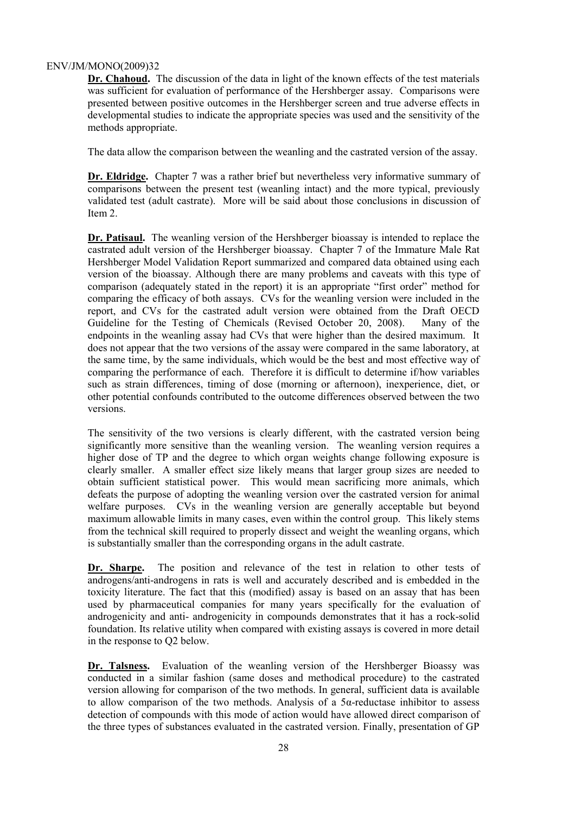**Dr. Chahoud.** The discussion of the data in light of the known effects of the test materials was sufficient for evaluation of performance of the Hershberger assay. Comparisons were presented between positive outcomes in the Hershberger screen and true adverse effects in developmental studies to indicate the appropriate species was used and the sensitivity of the methods appropriate.

The data allow the comparison between the weanling and the castrated version of the assay.

**Dr. Eldridge.** Chapter 7 was a rather brief but nevertheless very informative summary of comparisons between the present test (weanling intact) and the more typical, previously validated test (adult castrate). More will be said about those conclusions in discussion of Item 2.

**Dr. Patisaul.** The weanling version of the Hershberger bioassay is intended to replace the castrated adult version of the Hershberger bioassay. Chapter 7 of the Immature Male Rat Hershberger Model Validation Report summarized and compared data obtained using each version of the bioassay. Although there are many problems and caveats with this type of comparison (adequately stated in the report) it is an appropriate "first order" method for comparing the efficacy of both assays. CVs for the weanling version were included in the report, and CVs for the castrated adult version were obtained from the Draft OECD Guideline for the Testing of Chemicals (Revised October 20, 2008). Many of the endpoints in the weanling assay had CVs that were higher than the desired maximum. It does not appear that the two versions of the assay were compared in the same laboratory, at the same time, by the same individuals, which would be the best and most effective way of comparing the performance of each. Therefore it is difficult to determine if/how variables such as strain differences, timing of dose (morning or afternoon), inexperience, diet, or other potential confounds contributed to the outcome differences observed between the two versions.

The sensitivity of the two versions is clearly different, with the castrated version being significantly more sensitive than the weanling version. The weanling version requires a higher dose of TP and the degree to which organ weights change following exposure is clearly smaller. A smaller effect size likely means that larger group sizes are needed to obtain sufficient statistical power. This would mean sacrificing more animals, which defeats the purpose of adopting the weanling version over the castrated version for animal welfare purposes. CVs in the weanling version are generally acceptable but beyond maximum allowable limits in many cases, even within the control group. This likely stems from the technical skill required to properly dissect and weight the weanling organs, which is substantially smaller than the corresponding organs in the adult castrate.

Dr. Sharpe. The position and relevance of the test in relation to other tests of androgens/anti-androgens in rats is well and accurately described and is embedded in the toxicity literature. The fact that this (modified) assay is based on an assay that has been used by pharmaceutical companies for many years specifically for the evaluation of androgenicity and anti- androgenicity in compounds demonstrates that it has a rock-solid foundation. Its relative utility when compared with existing assays is covered in more detail in the response to Q2 below.

**Dr. Talsness.** Evaluation of the weanling version of the Hershberger Bioassy was conducted in a similar fashion (same doses and methodical procedure) to the castrated version allowing for comparison of the two methods. In general, sufficient data is available to allow comparison of the two methods. Analysis of a  $5\alpha$ -reductase inhibitor to assess detection of compounds with this mode of action would have allowed direct comparison of the three types of substances evaluated in the castrated version. Finally, presentation of GP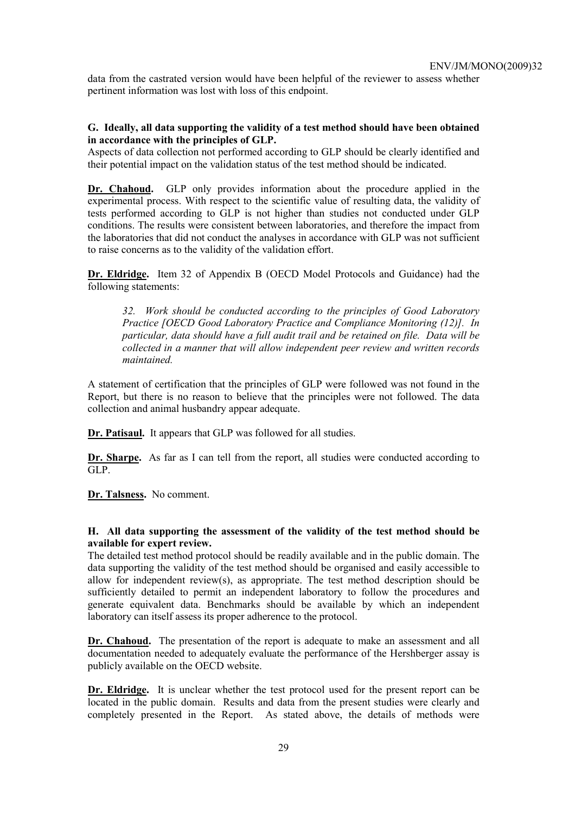data from the castrated version would have been helpful of the reviewer to assess whether pertinent information was lost with loss of this endpoint.

# **G. Ideally, all data supporting the validity of a test method should have been obtained in accordance with the principles of GLP.**

Aspects of data collection not performed according to GLP should be clearly identified and their potential impact on the validation status of the test method should be indicated.

**Dr. Chahoud.** GLP only provides information about the procedure applied in the experimental process. With respect to the scientific value of resulting data, the validity of tests performed according to GLP is not higher than studies not conducted under GLP conditions. The results were consistent between laboratories, and therefore the impact from the laboratories that did not conduct the analyses in accordance with GLP was not sufficient to raise concerns as to the validity of the validation effort.

**Dr. Eldridge.** Item 32 of Appendix B (OECD Model Protocols and Guidance) had the following statements:

*32. Work should be conducted according to the principles of Good Laboratory Practice [OECD Good Laboratory Practice and Compliance Monitoring (12)]. In particular, data should have a full audit trail and be retained on file. Data will be collected in a manner that will allow independent peer review and written records maintained.* 

A statement of certification that the principles of GLP were followed was not found in the Report, but there is no reason to believe that the principles were not followed. The data collection and animal husbandry appear adequate.

**Dr. Patisaul.** It appears that GLP was followed for all studies.

**Dr. Sharpe.** As far as I can tell from the report, all studies were conducted according to GLP.

**Dr. Talsness.** No comment.

# **H. All data supporting the assessment of the validity of the test method should be available for expert review.**

The detailed test method protocol should be readily available and in the public domain. The data supporting the validity of the test method should be organised and easily accessible to allow for independent review(s), as appropriate. The test method description should be sufficiently detailed to permit an independent laboratory to follow the procedures and generate equivalent data. Benchmarks should be available by which an independent laboratory can itself assess its proper adherence to the protocol.

Dr. Chahoud. The presentation of the report is adequate to make an assessment and all documentation needed to adequately evaluate the performance of the Hershberger assay is publicly available on the OECD website.

**Dr. Eldridge.** It is unclear whether the test protocol used for the present report can be located in the public domain. Results and data from the present studies were clearly and completely presented in the Report. As stated above, the details of methods were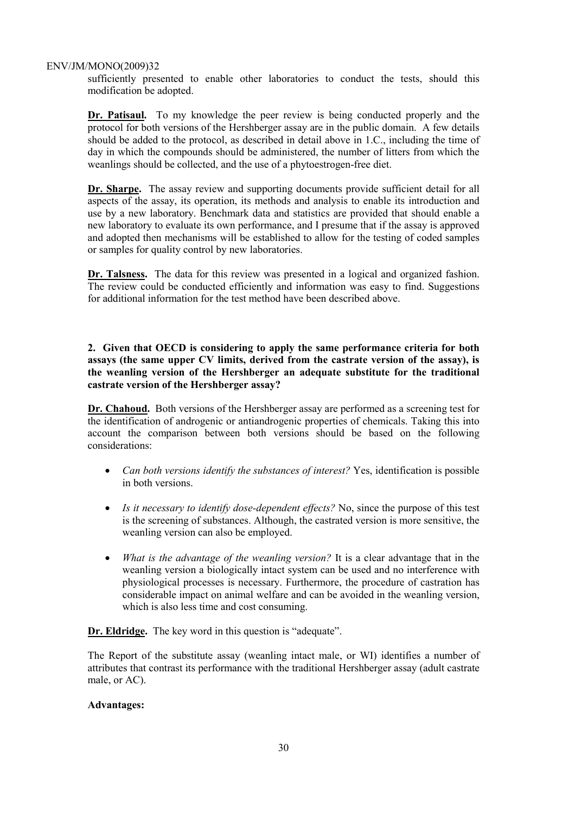sufficiently presented to enable other laboratories to conduct the tests, should this modification be adopted.

**Dr. Patisaul.** To my knowledge the peer review is being conducted properly and the protocol for both versions of the Hershberger assay are in the public domain. A few details should be added to the protocol, as described in detail above in 1.C., including the time of day in which the compounds should be administered, the number of litters from which the weanlings should be collected, and the use of a phytoestrogen-free diet.

**Dr. Sharpe.** The assay review and supporting documents provide sufficient detail for all aspects of the assay, its operation, its methods and analysis to enable its introduction and use by a new laboratory. Benchmark data and statistics are provided that should enable a new laboratory to evaluate its own performance, and I presume that if the assay is approved and adopted then mechanisms will be established to allow for the testing of coded samples or samples for quality control by new laboratories.

**Dr. Talsness.** The data for this review was presented in a logical and organized fashion. The review could be conducted efficiently and information was easy to find. Suggestions for additional information for the test method have been described above.

**2. Given that OECD is considering to apply the same performance criteria for both assays (the same upper CV limits, derived from the castrate version of the assay), is the weanling version of the Hershberger an adequate substitute for the traditional castrate version of the Hershberger assay?** 

**Dr. Chahoud.** Both versions of the Hershberger assay are performed as a screening test for the identification of androgenic or antiandrogenic properties of chemicals. Taking this into account the comparison between both versions should be based on the following considerations:

- *Can both versions identify the substances of interest?* Yes, identification is possible in both versions.
- *Is it necessary to identify dose-dependent effects?* No, since the purpose of this test is the screening of substances. Although, the castrated version is more sensitive, the weanling version can also be employed.
- *What is the advantage of the weanling version?* It is a clear advantage that in the weanling version a biologically intact system can be used and no interference with physiological processes is necessary. Furthermore, the procedure of castration has considerable impact on animal welfare and can be avoided in the weanling version, which is also less time and cost consuming.

**Dr. Eldridge.** The key word in this question is "adequate".

The Report of the substitute assay (weanling intact male, or WI) identifies a number of attributes that contrast its performance with the traditional Hershberger assay (adult castrate male, or AC).

#### **Advantages:**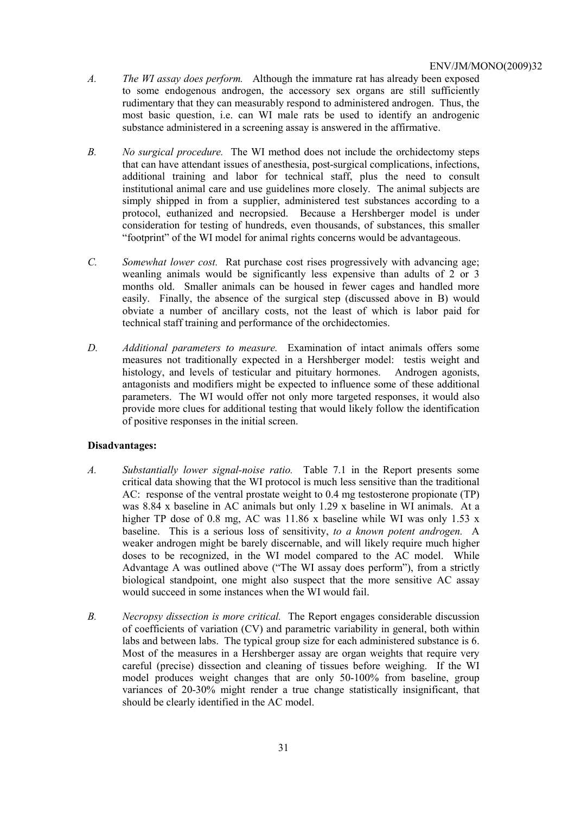- *A. The WI assay does perform.* Although the immature rat has already been exposed to some endogenous androgen, the accessory sex organs are still sufficiently rudimentary that they can measurably respond to administered androgen. Thus, the most basic question, i.e. can WI male rats be used to identify an androgenic substance administered in a screening assay is answered in the affirmative.
- *B. No surgical procedure.* The WI method does not include the orchidectomy steps that can have attendant issues of anesthesia, post-surgical complications, infections, additional training and labor for technical staff, plus the need to consult institutional animal care and use guidelines more closely. The animal subjects are simply shipped in from a supplier, administered test substances according to a protocol, euthanized and necropsied. Because a Hershberger model is under consideration for testing of hundreds, even thousands, of substances, this smaller "footprint" of the WI model for animal rights concerns would be advantageous.
- *C. Somewhat lower cost.* Rat purchase cost rises progressively with advancing age; weanling animals would be significantly less expensive than adults of 2 or 3 months old. Smaller animals can be housed in fewer cages and handled more easily. Finally, the absence of the surgical step (discussed above in B) would obviate a number of ancillary costs, not the least of which is labor paid for technical staff training and performance of the orchidectomies.
- *D. Additional parameters to measure.* Examination of intact animals offers some measures not traditionally expected in a Hershberger model: testis weight and histology, and levels of testicular and pituitary hormones. Androgen agonists, antagonists and modifiers might be expected to influence some of these additional parameters. The WI would offer not only more targeted responses, it would also provide more clues for additional testing that would likely follow the identification of positive responses in the initial screen.

# **Disadvantages:**

- *A. Substantially lower signal-noise ratio.* Table 7.1 in the Report presents some critical data showing that the WI protocol is much less sensitive than the traditional AC: response of the ventral prostate weight to 0.4 mg testosterone propionate (TP) was 8.84 x baseline in AC animals but only 1.29 x baseline in WI animals. At a higher TP dose of 0.8 mg, AC was 11.86 x baseline while WI was only 1.53 x baseline. This is a serious loss of sensitivity, *to a known potent androgen.* A weaker androgen might be barely discernable, and will likely require much higher doses to be recognized, in the WI model compared to the AC model. While Advantage A was outlined above ("The WI assay does perform"), from a strictly biological standpoint, one might also suspect that the more sensitive AC assay would succeed in some instances when the WI would fail.
- *B. Necropsy dissection is more critical.* The Report engages considerable discussion of coefficients of variation (CV) and parametric variability in general, both within labs and between labs. The typical group size for each administered substance is 6. Most of the measures in a Hershberger assay are organ weights that require very careful (precise) dissection and cleaning of tissues before weighing. If the WI model produces weight changes that are only 50-100% from baseline, group variances of 20-30% might render a true change statistically insignificant, that should be clearly identified in the AC model.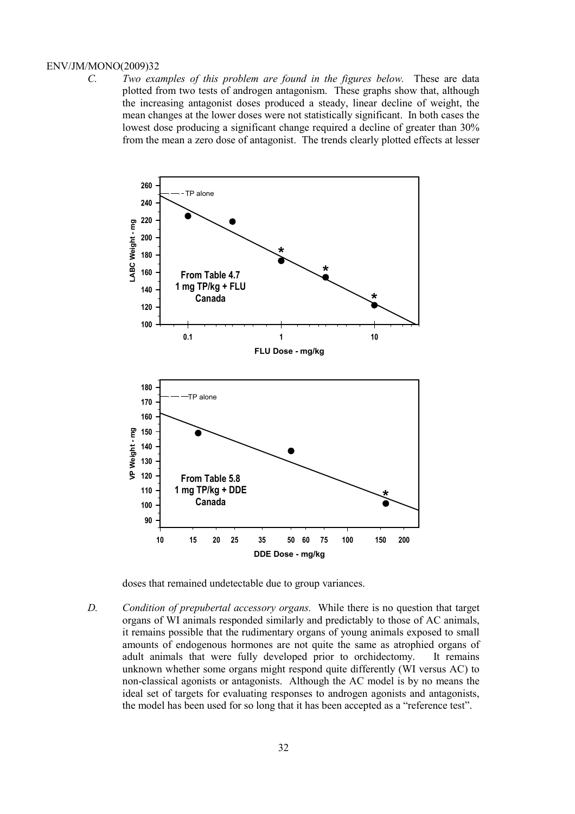*C. Two examples of this problem are found in the figures below.* These are data plotted from two tests of androgen antagonism. These graphs show that, although the increasing antagonist doses produced a steady, linear decline of weight, the mean changes at the lower doses were not statistically significant. In both cases the lowest dose producing a significant change required a decline of greater than 30% from the mean a zero dose of antagonist. The trends clearly plotted effects at lesser



doses that remained undetectable due to group variances.

*D. Condition of prepubertal accessory organs.* While there is no question that target organs of WI animals responded similarly and predictably to those of AC animals, it remains possible that the rudimentary organs of young animals exposed to small amounts of endogenous hormones are not quite the same as atrophied organs of adult animals that were fully developed prior to orchidectomy. It remains unknown whether some organs might respond quite differently (WI versus AC) to non-classical agonists or antagonists. Although the AC model is by no means the ideal set of targets for evaluating responses to androgen agonists and antagonists, the model has been used for so long that it has been accepted as a "reference test".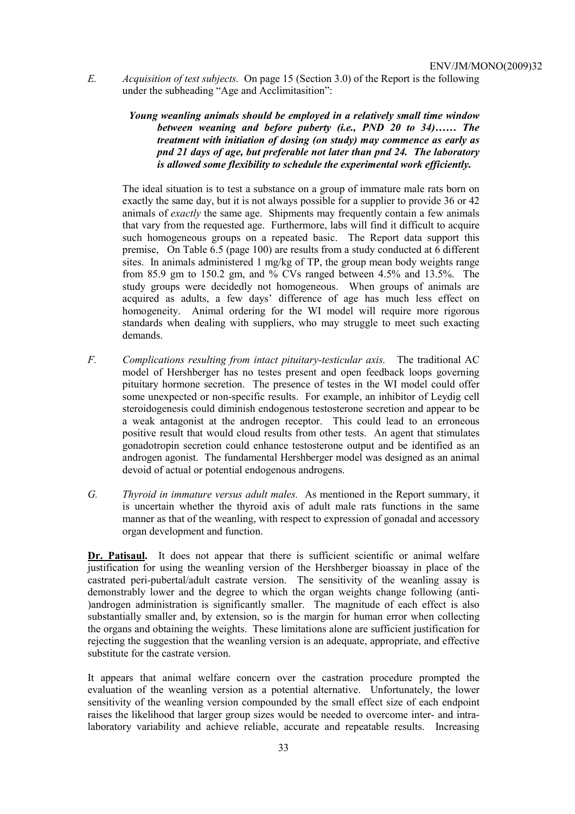*E. Acquisition of test subjects.* On page 15 (Section 3.0) of the Report is the following under the subheading "Age and Acclimitasition":

> *Young weanling animals should be employed in a relatively small time window between weaning and before puberty (i.e., PND 20 to 34)…… The treatment with initiation of dosing (on study) may commence as early as pnd 21 days of age, but preferable not later than pnd 24. The laboratory is allowed some flexibility to schedule the experimental work efficiently.*

 The ideal situation is to test a substance on a group of immature male rats born on exactly the same day, but it is not always possible for a supplier to provide 36 or 42 animals of *exactly* the same age. Shipments may frequently contain a few animals that vary from the requested age. Furthermore, labs will find it difficult to acquire such homogeneous groups on a repeated basic. The Report data support this premise, On Table 6.5 (page 100) are results from a study conducted at 6 different sites. In animals administered 1 mg/kg of TP, the group mean body weights range from 85.9 gm to 150.2 gm, and % CVs ranged between 4.5% and 13.5%. The study groups were decidedly not homogeneous. When groups of animals are acquired as adults, a few days' difference of age has much less effect on homogeneity. Animal ordering for the WI model will require more rigorous standards when dealing with suppliers, who may struggle to meet such exacting demands.

- *F. Complications resulting from intact pituitary-testicular axis.* The traditional AC model of Hershberger has no testes present and open feedback loops governing pituitary hormone secretion. The presence of testes in the WI model could offer some unexpected or non-specific results. For example, an inhibitor of Leydig cell steroidogenesis could diminish endogenous testosterone secretion and appear to be a weak antagonist at the androgen receptor. This could lead to an erroneous positive result that would cloud results from other tests. An agent that stimulates gonadotropin secretion could enhance testosterone output and be identified as an androgen agonist. The fundamental Hershberger model was designed as an animal devoid of actual or potential endogenous androgens.
- *G. Thyroid in immature versus adult males.* As mentioned in the Report summary, it is uncertain whether the thyroid axis of adult male rats functions in the same manner as that of the weanling, with respect to expression of gonadal and accessory organ development and function.

Dr. Patisaul. It does not appear that there is sufficient scientific or animal welfare justification for using the weanling version of the Hershberger bioassay in place of the castrated peri-pubertal/adult castrate version. The sensitivity of the weanling assay is demonstrably lower and the degree to which the organ weights change following (anti- )androgen administration is significantly smaller. The magnitude of each effect is also substantially smaller and, by extension, so is the margin for human error when collecting the organs and obtaining the weights. These limitations alone are sufficient justification for rejecting the suggestion that the weanling version is an adequate, appropriate, and effective substitute for the castrate version.

It appears that animal welfare concern over the castration procedure prompted the evaluation of the weanling version as a potential alternative. Unfortunately, the lower sensitivity of the weanling version compounded by the small effect size of each endpoint raises the likelihood that larger group sizes would be needed to overcome inter- and intralaboratory variability and achieve reliable, accurate and repeatable results. Increasing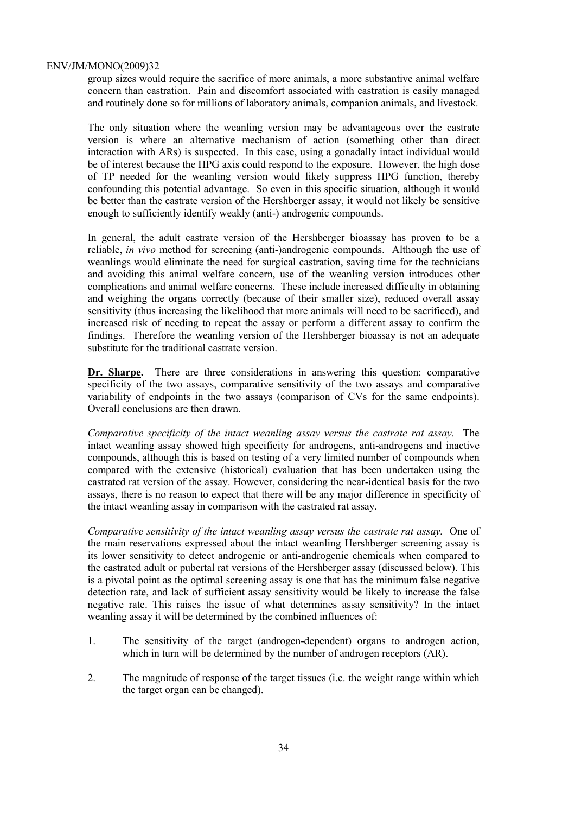group sizes would require the sacrifice of more animals, a more substantive animal welfare concern than castration. Pain and discomfort associated with castration is easily managed and routinely done so for millions of laboratory animals, companion animals, and livestock.

The only situation where the weanling version may be advantageous over the castrate version is where an alternative mechanism of action (something other than direct interaction with ARs) is suspected. In this case, using a gonadally intact individual would be of interest because the HPG axis could respond to the exposure. However, the high dose of TP needed for the weanling version would likely suppress HPG function, thereby confounding this potential advantage. So even in this specific situation, although it would be better than the castrate version of the Hershberger assay, it would not likely be sensitive enough to sufficiently identify weakly (anti-) androgenic compounds.

In general, the adult castrate version of the Hershberger bioassay has proven to be a reliable, *in vivo* method for screening (anti-)androgenic compounds. Although the use of weanlings would eliminate the need for surgical castration, saving time for the technicians and avoiding this animal welfare concern, use of the weanling version introduces other complications and animal welfare concerns. These include increased difficulty in obtaining and weighing the organs correctly (because of their smaller size), reduced overall assay sensitivity (thus increasing the likelihood that more animals will need to be sacrificed), and increased risk of needing to repeat the assay or perform a different assay to confirm the findings. Therefore the weanling version of the Hershberger bioassay is not an adequate substitute for the traditional castrate version.

**Dr. Sharpe.** There are three considerations in answering this question: comparative specificity of the two assays, comparative sensitivity of the two assays and comparative variability of endpoints in the two assays (comparison of CVs for the same endpoints). Overall conclusions are then drawn.

*Comparative specificity of the intact weanling assay versus the castrate rat assay.* The intact weanling assay showed high specificity for androgens, anti-androgens and inactive compounds, although this is based on testing of a very limited number of compounds when compared with the extensive (historical) evaluation that has been undertaken using the castrated rat version of the assay. However, considering the near-identical basis for the two assays, there is no reason to expect that there will be any major difference in specificity of the intact weanling assay in comparison with the castrated rat assay.

*Comparative sensitivity of the intact weanling assay versus the castrate rat assay.* One of the main reservations expressed about the intact weanling Hershberger screening assay is its lower sensitivity to detect androgenic or anti-androgenic chemicals when compared to the castrated adult or pubertal rat versions of the Hershberger assay (discussed below). This is a pivotal point as the optimal screening assay is one that has the minimum false negative detection rate, and lack of sufficient assay sensitivity would be likely to increase the false negative rate. This raises the issue of what determines assay sensitivity? In the intact weanling assay it will be determined by the combined influences of:

- 1. The sensitivity of the target (androgen-dependent) organs to androgen action, which in turn will be determined by the number of androgen receptors (AR).
- 2. The magnitude of response of the target tissues (i.e. the weight range within which the target organ can be changed).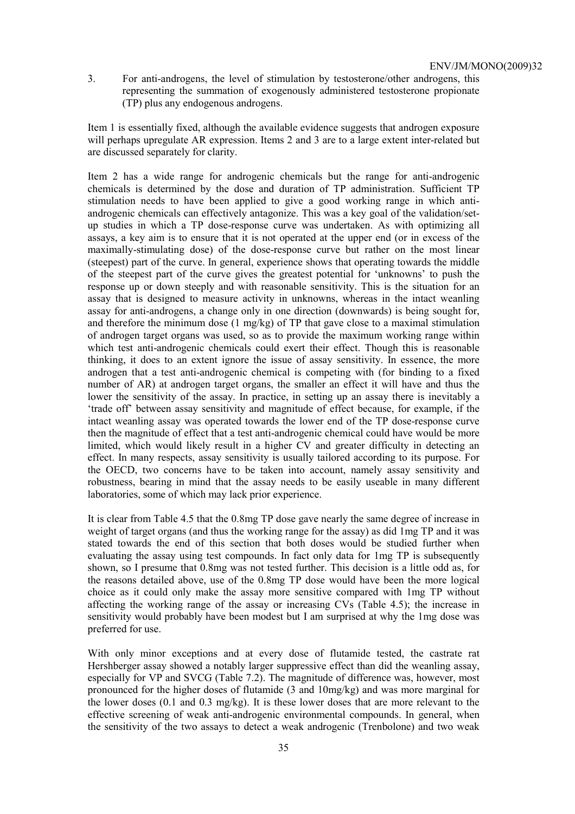3. For anti-androgens, the level of stimulation by testosterone/other androgens, this representing the summation of exogenously administered testosterone propionate (TP) plus any endogenous androgens.

Item 1 is essentially fixed, although the available evidence suggests that androgen exposure will perhaps upregulate AR expression. Items 2 and 3 are to a large extent inter-related but are discussed separately for clarity.

Item 2 has a wide range for androgenic chemicals but the range for anti-androgenic chemicals is determined by the dose and duration of TP administration. Sufficient TP stimulation needs to have been applied to give a good working range in which antiandrogenic chemicals can effectively antagonize. This was a key goal of the validation/setup studies in which a TP dose-response curve was undertaken. As with optimizing all assays, a key aim is to ensure that it is not operated at the upper end (or in excess of the maximally-stimulating dose) of the dose-response curve but rather on the most linear (steepest) part of the curve. In general, experience shows that operating towards the middle of the steepest part of the curve gives the greatest potential for 'unknowns' to push the response up or down steeply and with reasonable sensitivity. This is the situation for an assay that is designed to measure activity in unknowns, whereas in the intact weanling assay for anti-androgens, a change only in one direction (downwards) is being sought for, and therefore the minimum dose  $(1 \text{ mg/kg})$  of TP that gave close to a maximal stimulation of androgen target organs was used, so as to provide the maximum working range within which test anti-androgenic chemicals could exert their effect. Though this is reasonable thinking, it does to an extent ignore the issue of assay sensitivity. In essence, the more androgen that a test anti-androgenic chemical is competing with (for binding to a fixed number of AR) at androgen target organs, the smaller an effect it will have and thus the lower the sensitivity of the assay. In practice, in setting up an assay there is inevitably a 'trade off' between assay sensitivity and magnitude of effect because, for example, if the intact weanling assay was operated towards the lower end of the TP dose-response curve then the magnitude of effect that a test anti-androgenic chemical could have would be more limited, which would likely result in a higher CV and greater difficulty in detecting an effect. In many respects, assay sensitivity is usually tailored according to its purpose. For the OECD, two concerns have to be taken into account, namely assay sensitivity and robustness, bearing in mind that the assay needs to be easily useable in many different laboratories, some of which may lack prior experience.

It is clear from Table 4.5 that the 0.8mg TP dose gave nearly the same degree of increase in weight of target organs (and thus the working range for the assay) as did 1mg TP and it was stated towards the end of this section that both doses would be studied further when evaluating the assay using test compounds. In fact only data for 1mg TP is subsequently shown, so I presume that 0.8mg was not tested further. This decision is a little odd as, for the reasons detailed above, use of the 0.8mg TP dose would have been the more logical choice as it could only make the assay more sensitive compared with 1mg TP without affecting the working range of the assay or increasing CVs (Table 4.5); the increase in sensitivity would probably have been modest but I am surprised at why the 1mg dose was preferred for use.

With only minor exceptions and at every dose of flutamide tested, the castrate rat Hershberger assay showed a notably larger suppressive effect than did the weanling assay, especially for VP and SVCG (Table 7.2). The magnitude of difference was, however, most pronounced for the higher doses of flutamide (3 and 10mg/kg) and was more marginal for the lower doses (0.1 and 0.3 mg/kg). It is these lower doses that are more relevant to the effective screening of weak anti-androgenic environmental compounds. In general, when the sensitivity of the two assays to detect a weak androgenic (Trenbolone) and two weak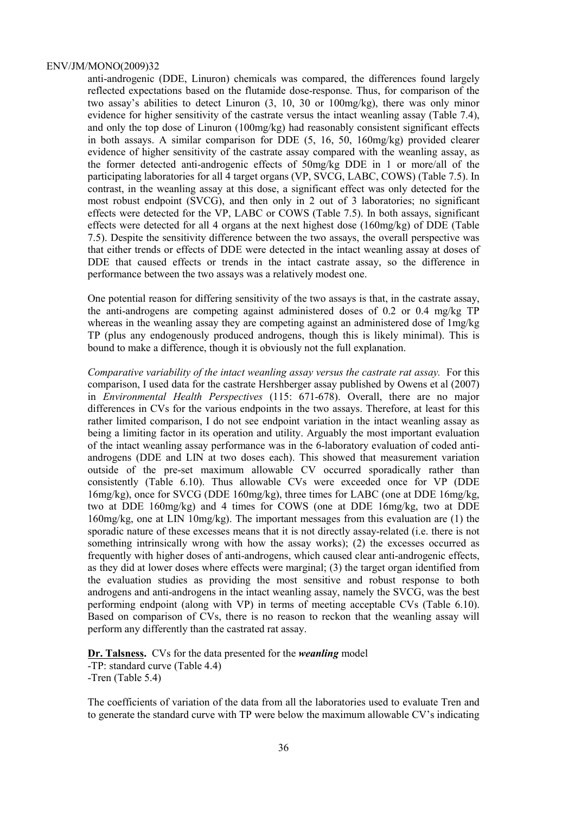anti-androgenic (DDE, Linuron) chemicals was compared, the differences found largely reflected expectations based on the flutamide dose-response. Thus, for comparison of the two assay's abilities to detect Linuron (3, 10, 30 or 100mg/kg), there was only minor evidence for higher sensitivity of the castrate versus the intact weanling assay (Table 7.4), and only the top dose of Linuron (100mg/kg) had reasonably consistent significant effects in both assays. A similar comparison for DDE (5, 16, 50, 160mg/kg) provided clearer evidence of higher sensitivity of the castrate assay compared with the weanling assay, as the former detected anti-androgenic effects of 50mg/kg DDE in 1 or more/all of the participating laboratories for all 4 target organs (VP, SVCG, LABC, COWS) (Table 7.5). In contrast, in the weanling assay at this dose, a significant effect was only detected for the most robust endpoint (SVCG), and then only in 2 out of 3 laboratories; no significant effects were detected for the VP, LABC or COWS (Table 7.5). In both assays, significant effects were detected for all 4 organs at the next highest dose (160mg/kg) of DDE (Table 7.5). Despite the sensitivity difference between the two assays, the overall perspective was that either trends or effects of DDE were detected in the intact weanling assay at doses of DDE that caused effects or trends in the intact castrate assay, so the difference in performance between the two assays was a relatively modest one.

One potential reason for differing sensitivity of the two assays is that, in the castrate assay, the anti-androgens are competing against administered doses of 0.2 or 0.4 mg/kg TP whereas in the weanling assay they are competing against an administered dose of 1mg/kg TP (plus any endogenously produced androgens, though this is likely minimal). This is bound to make a difference, though it is obviously not the full explanation.

*Comparative variability of the intact weanling assay versus the castrate rat assay.* For this comparison, I used data for the castrate Hershberger assay published by Owens et al (2007) in *Environmental Health Perspectives* (115: 671-678). Overall, there are no major differences in CVs for the various endpoints in the two assays. Therefore, at least for this rather limited comparison, I do not see endpoint variation in the intact weanling assay as being a limiting factor in its operation and utility. Arguably the most important evaluation of the intact weanling assay performance was in the 6-laboratory evaluation of coded antiandrogens (DDE and LIN at two doses each). This showed that measurement variation outside of the pre-set maximum allowable CV occurred sporadically rather than consistently (Table 6.10). Thus allowable CVs were exceeded once for VP (DDE 16mg/kg), once for SVCG (DDE 160mg/kg), three times for LABC (one at DDE 16mg/kg, two at DDE 160mg/kg) and 4 times for COWS (one at DDE 16mg/kg, two at DDE 160mg/kg, one at LIN 10mg/kg). The important messages from this evaluation are (1) the sporadic nature of these excesses means that it is not directly assay-related (i.e. there is not something intrinsically wrong with how the assay works); (2) the excesses occurred as frequently with higher doses of anti-androgens, which caused clear anti-androgenic effects, as they did at lower doses where effects were marginal; (3) the target organ identified from the evaluation studies as providing the most sensitive and robust response to both androgens and anti-androgens in the intact weanling assay, namely the SVCG, was the best performing endpoint (along with VP) in terms of meeting acceptable CVs (Table 6.10). Based on comparison of CVs, there is no reason to reckon that the weanling assay will perform any differently than the castrated rat assay.

**Dr. Talsness.** CVs for the data presented for the *weanling* model -TP: standard curve (Table 4.4) -Tren (Table 5.4)

The coefficients of variation of the data from all the laboratories used to evaluate Tren and to generate the standard curve with TP were below the maximum allowable CV's indicating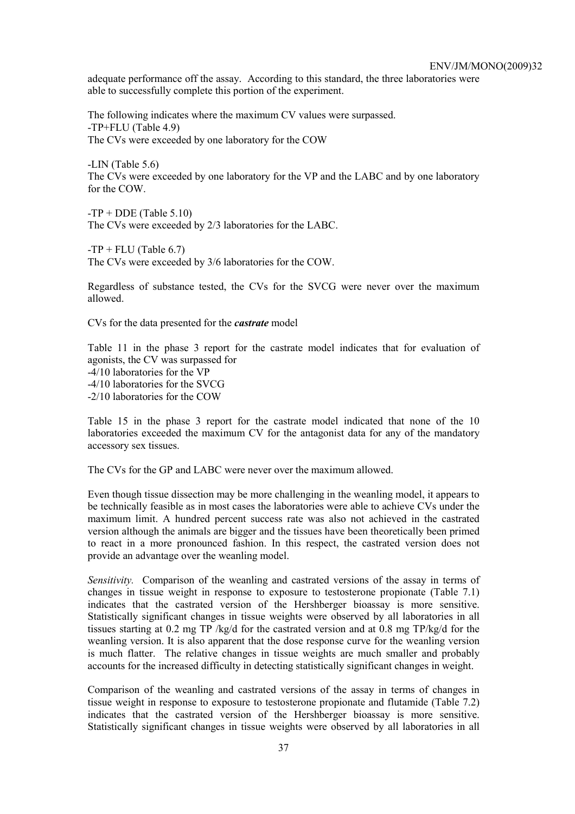adequate performance off the assay. According to this standard, the three laboratories were able to successfully complete this portion of the experiment.

The following indicates where the maximum CV values were surpassed. -TP+FLU (Table 4.9) The CVs were exceeded by one laboratory for the COW

-LIN (Table 5.6) The CVs were exceeded by one laboratory for the VP and the LABC and by one laboratory for the COW.

 $-TP + DDE$  (Table 5.10) The CVs were exceeded by 2/3 laboratories for the LABC.

 $-TP + FLU$  (Table 6.7)

The CVs were exceeded by 3/6 laboratories for the COW.

Regardless of substance tested, the CVs for the SVCG were never over the maximum allowed.

CVs for the data presented for the *castrate* model

Table 11 in the phase 3 report for the castrate model indicates that for evaluation of agonists, the CV was surpassed for -4/10 laboratories for the VP -4/10 laboratories for the SVCG -2/10 laboratories for the COW

Table 15 in the phase 3 report for the castrate model indicated that none of the 10 laboratories exceeded the maximum CV for the antagonist data for any of the mandatory accessory sex tissues.

The CVs for the GP and LABC were never over the maximum allowed.

Even though tissue dissection may be more challenging in the weanling model, it appears to be technically feasible as in most cases the laboratories were able to achieve CVs under the maximum limit. A hundred percent success rate was also not achieved in the castrated version although the animals are bigger and the tissues have been theoretically been primed to react in a more pronounced fashion. In this respect, the castrated version does not provide an advantage over the weanling model.

*Sensitivity.* Comparison of the weanling and castrated versions of the assay in terms of changes in tissue weight in response to exposure to testosterone propionate (Table 7.1) indicates that the castrated version of the Hershberger bioassay is more sensitive. Statistically significant changes in tissue weights were observed by all laboratories in all tissues starting at 0.2 mg TP /kg/d for the castrated version and at 0.8 mg TP/kg/d for the weanling version. It is also apparent that the dose response curve for the weanling version is much flatter. The relative changes in tissue weights are much smaller and probably accounts for the increased difficulty in detecting statistically significant changes in weight.

Comparison of the weanling and castrated versions of the assay in terms of changes in tissue weight in response to exposure to testosterone propionate and flutamide (Table 7.2) indicates that the castrated version of the Hershberger bioassay is more sensitive. Statistically significant changes in tissue weights were observed by all laboratories in all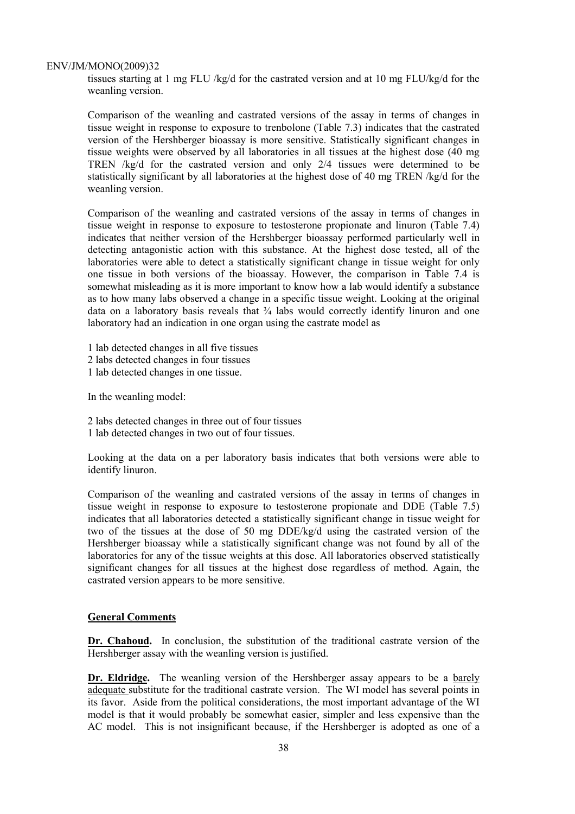tissues starting at 1 mg FLU /kg/d for the castrated version and at 10 mg FLU/kg/d for the weanling version.

Comparison of the weanling and castrated versions of the assay in terms of changes in tissue weight in response to exposure to trenbolone (Table 7.3) indicates that the castrated version of the Hershberger bioassay is more sensitive. Statistically significant changes in tissue weights were observed by all laboratories in all tissues at the highest dose (40 mg TREN /kg/d for the castrated version and only 2/4 tissues were determined to be statistically significant by all laboratories at the highest dose of 40 mg TREN /kg/d for the weanling version.

Comparison of the weanling and castrated versions of the assay in terms of changes in tissue weight in response to exposure to testosterone propionate and linuron (Table 7.4) indicates that neither version of the Hershberger bioassay performed particularly well in detecting antagonistic action with this substance. At the highest dose tested, all of the laboratories were able to detect a statistically significant change in tissue weight for only one tissue in both versions of the bioassay. However, the comparison in Table 7.4 is somewhat misleading as it is more important to know how a lab would identify a substance as to how many labs observed a change in a specific tissue weight. Looking at the original data on a laboratory basis reveals that  $\frac{3}{4}$  labs would correctly identify linuron and one laboratory had an indication in one organ using the castrate model as

1 lab detected changes in all five tissues

- 2 labs detected changes in four tissues
- 1 lab detected changes in one tissue.

In the weanling model:

- 2 labs detected changes in three out of four tissues
- 1 lab detected changes in two out of four tissues.

Looking at the data on a per laboratory basis indicates that both versions were able to identify linuron.

Comparison of the weanling and castrated versions of the assay in terms of changes in tissue weight in response to exposure to testosterone propionate and DDE (Table 7.5) indicates that all laboratories detected a statistically significant change in tissue weight for two of the tissues at the dose of 50 mg DDE/kg/d using the castrated version of the Hershberger bioassay while a statistically significant change was not found by all of the laboratories for any of the tissue weights at this dose. All laboratories observed statistically significant changes for all tissues at the highest dose regardless of method. Again, the castrated version appears to be more sensitive.

#### **General Comments**

**Dr. Chahoud.** In conclusion, the substitution of the traditional castrate version of the Hershberger assay with the weanling version is justified.

**Dr. Eldridge.** The weanling version of the Hershberger assay appears to be a barely adequate substitute for the traditional castrate version. The WI model has several points in its favor. Aside from the political considerations, the most important advantage of the WI model is that it would probably be somewhat easier, simpler and less expensive than the AC model. This is not insignificant because, if the Hershberger is adopted as one of a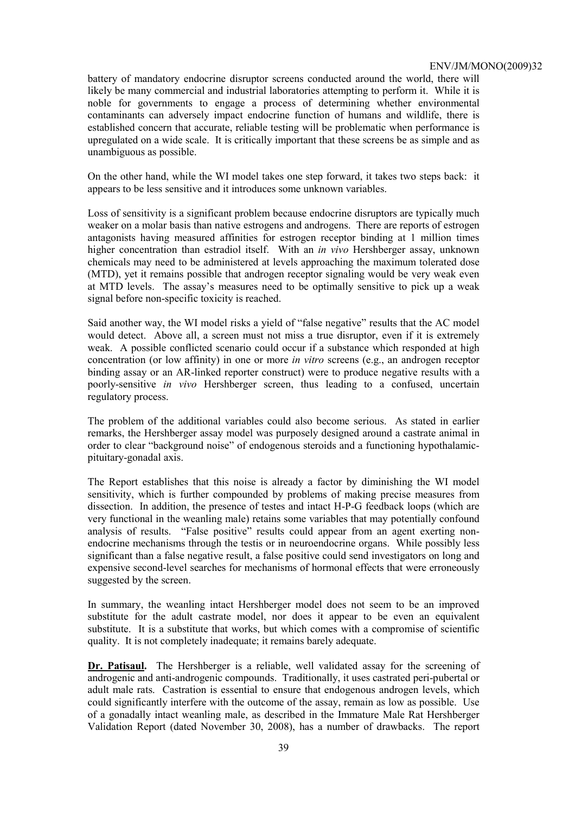battery of mandatory endocrine disruptor screens conducted around the world, there will likely be many commercial and industrial laboratories attempting to perform it. While it is noble for governments to engage a process of determining whether environmental contaminants can adversely impact endocrine function of humans and wildlife, there is established concern that accurate, reliable testing will be problematic when performance is upregulated on a wide scale. It is critically important that these screens be as simple and as unambiguous as possible.

On the other hand, while the WI model takes one step forward, it takes two steps back: it appears to be less sensitive and it introduces some unknown variables.

Loss of sensitivity is a significant problem because endocrine disruptors are typically much weaker on a molar basis than native estrogens and androgens. There are reports of estrogen antagonists having measured affinities for estrogen receptor binding at 1 million times higher concentration than estradiol itself. With an *in vivo* Hershberger assay, unknown chemicals may need to be administered at levels approaching the maximum tolerated dose (MTD), yet it remains possible that androgen receptor signaling would be very weak even at MTD levels. The assay's measures need to be optimally sensitive to pick up a weak signal before non-specific toxicity is reached.

Said another way, the WI model risks a yield of "false negative" results that the AC model would detect. Above all, a screen must not miss a true disruptor, even if it is extremely weak. A possible conflicted scenario could occur if a substance which responded at high concentration (or low affinity) in one or more *in vitro* screens (e.g., an androgen receptor binding assay or an AR-linked reporter construct) were to produce negative results with a poorly-sensitive *in vivo* Hershberger screen, thus leading to a confused, uncertain regulatory process.

The problem of the additional variables could also become serious. As stated in earlier remarks, the Hershberger assay model was purposely designed around a castrate animal in order to clear "background noise" of endogenous steroids and a functioning hypothalamicpituitary-gonadal axis.

The Report establishes that this noise is already a factor by diminishing the WI model sensitivity, which is further compounded by problems of making precise measures from dissection. In addition, the presence of testes and intact H-P-G feedback loops (which are very functional in the weanling male) retains some variables that may potentially confound analysis of results. "False positive" results could appear from an agent exerting nonendocrine mechanisms through the testis or in neuroendocrine organs. While possibly less significant than a false negative result, a false positive could send investigators on long and expensive second-level searches for mechanisms of hormonal effects that were erroneously suggested by the screen.

In summary, the weanling intact Hershberger model does not seem to be an improved substitute for the adult castrate model, nor does it appear to be even an equivalent substitute. It is a substitute that works, but which comes with a compromise of scientific quality. It is not completely inadequate; it remains barely adequate.

**Dr. Patisaul.** The Hershberger is a reliable, well validated assay for the screening of androgenic and anti-androgenic compounds. Traditionally, it uses castrated peri-pubertal or adult male rats. Castration is essential to ensure that endogenous androgen levels, which could significantly interfere with the outcome of the assay, remain as low as possible. Use of a gonadally intact weanling male, as described in the Immature Male Rat Hershberger Validation Report (dated November 30, 2008), has a number of drawbacks. The report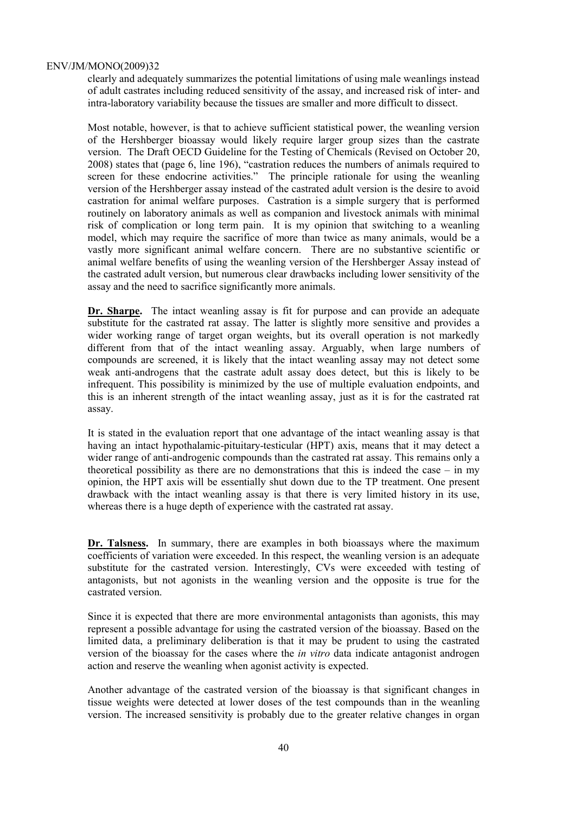clearly and adequately summarizes the potential limitations of using male weanlings instead of adult castrates including reduced sensitivity of the assay, and increased risk of inter- and intra-laboratory variability because the tissues are smaller and more difficult to dissect.

Most notable, however, is that to achieve sufficient statistical power, the weanling version of the Hershberger bioassay would likely require larger group sizes than the castrate version. The Draft OECD Guideline for the Testing of Chemicals (Revised on October 20, 2008) states that (page 6, line 196), "castration reduces the numbers of animals required to screen for these endocrine activities." The principle rationale for using the weanling version of the Hershberger assay instead of the castrated adult version is the desire to avoid castration for animal welfare purposes. Castration is a simple surgery that is performed routinely on laboratory animals as well as companion and livestock animals with minimal risk of complication or long term pain. It is my opinion that switching to a weanling model, which may require the sacrifice of more than twice as many animals, would be a vastly more significant animal welfare concern. There are no substantive scientific or animal welfare benefits of using the weanling version of the Hershberger Assay instead of the castrated adult version, but numerous clear drawbacks including lower sensitivity of the assay and the need to sacrifice significantly more animals.

**Dr. Sharpe.** The intact weanling assay is fit for purpose and can provide an adequate substitute for the castrated rat assay. The latter is slightly more sensitive and provides a wider working range of target organ weights, but its overall operation is not markedly different from that of the intact weanling assay. Arguably, when large numbers of compounds are screened, it is likely that the intact weanling assay may not detect some weak anti-androgens that the castrate adult assay does detect, but this is likely to be infrequent. This possibility is minimized by the use of multiple evaluation endpoints, and this is an inherent strength of the intact weanling assay, just as it is for the castrated rat assay.

It is stated in the evaluation report that one advantage of the intact weanling assay is that having an intact hypothalamic-pituitary-testicular (HPT) axis, means that it may detect a wider range of anti-androgenic compounds than the castrated rat assay. This remains only a theoretical possibility as there are no demonstrations that this is indeed the case – in my opinion, the HPT axis will be essentially shut down due to the TP treatment. One present drawback with the intact weanling assay is that there is very limited history in its use, whereas there is a huge depth of experience with the castrated rat assay.

**Dr. Talsness.** In summary, there are examples in both bioassays where the maximum coefficients of variation were exceeded. In this respect, the weanling version is an adequate substitute for the castrated version. Interestingly, CVs were exceeded with testing of antagonists, but not agonists in the weanling version and the opposite is true for the castrated version.

Since it is expected that there are more environmental antagonists than agonists, this may represent a possible advantage for using the castrated version of the bioassay. Based on the limited data, a preliminary deliberation is that it may be prudent to using the castrated version of the bioassay for the cases where the *in vitro* data indicate antagonist androgen action and reserve the weanling when agonist activity is expected.

Another advantage of the castrated version of the bioassay is that significant changes in tissue weights were detected at lower doses of the test compounds than in the weanling version. The increased sensitivity is probably due to the greater relative changes in organ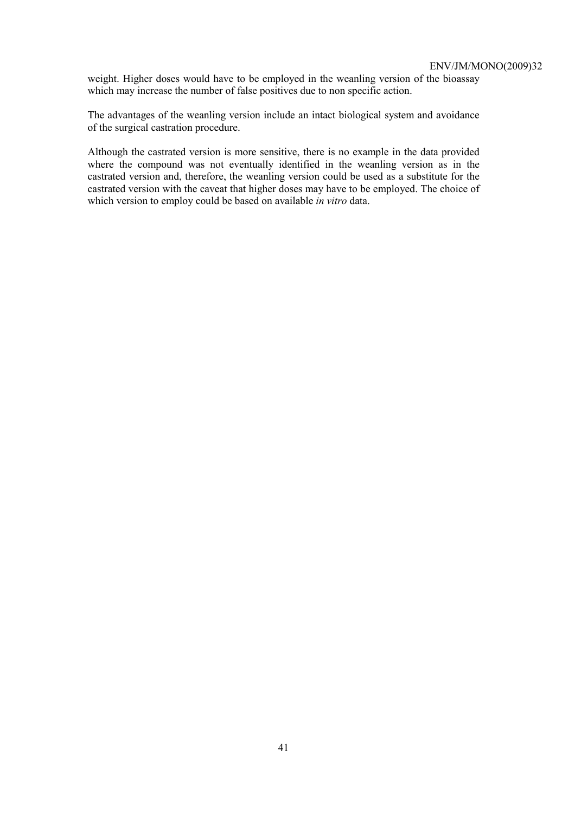weight. Higher doses would have to be employed in the weanling version of the bioassay which may increase the number of false positives due to non specific action.

The advantages of the weanling version include an intact biological system and avoidance of the surgical castration procedure.

Although the castrated version is more sensitive, there is no example in the data provided where the compound was not eventually identified in the weanling version as in the castrated version and, therefore, the weanling version could be used as a substitute for the castrated version with the caveat that higher doses may have to be employed. The choice of which version to employ could be based on available *in vitro* data.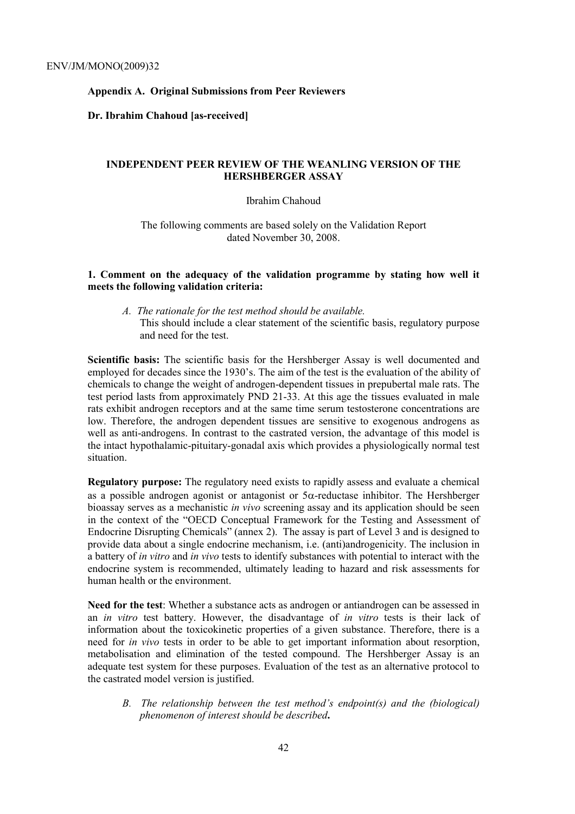# **Appendix A. Original Submissions from Peer Reviewers**

#### **Dr. Ibrahim Chahoud [as-received]**

# **INDEPENDENT PEER REVIEW OF THE WEANLING VERSION OF THE HERSHBERGER ASSAY**

## Ibrahim Chahoud

The following comments are based solely on the Validation Report dated November 30, 2008.

# **1. Comment on the adequacy of the validation programme by stating how well it meets the following validation criteria:**

*A. The rationale for the test method should be available.*  This should include a clear statement of the scientific basis, regulatory purpose and need for the test.

**Scientific basis:** The scientific basis for the Hershberger Assay is well documented and employed for decades since the 1930's. The aim of the test is the evaluation of the ability of chemicals to change the weight of androgen-dependent tissues in prepubertal male rats. The test period lasts from approximately PND 21-33. At this age the tissues evaluated in male rats exhibit androgen receptors and at the same time serum testosterone concentrations are low. Therefore, the androgen dependent tissues are sensitive to exogenous androgens as well as anti-androgens. In contrast to the castrated version, the advantage of this model is the intact hypothalamic-pituitary-gonadal axis which provides a physiologically normal test situation.

**Regulatory purpose:** The regulatory need exists to rapidly assess and evaluate a chemical as a possible androgen agonist or antagonist or 5α-reductase inhibitor. The Hershberger bioassay serves as a mechanistic *in vivo* screening assay and its application should be seen in the context of the "OECD Conceptual Framework for the Testing and Assessment of Endocrine Disrupting Chemicals" (annex 2). The assay is part of Level 3 and is designed to provide data about a single endocrine mechanism, i.e. (anti)androgenicity. The inclusion in a battery of *in vitro* and *in vivo* tests to identify substances with potential to interact with the endocrine system is recommended, ultimately leading to hazard and risk assessments for human health or the environment.

**Need for the test**: Whether a substance acts as androgen or antiandrogen can be assessed in an *in vitro* test battery. However, the disadvantage of *in vitro* tests is their lack of information about the toxicokinetic properties of a given substance. Therefore, there is a need for *in vivo* tests in order to be able to get important information about resorption, metabolisation and elimination of the tested compound. The Hershberger Assay is an adequate test system for these purposes. Evaluation of the test as an alternative protocol to the castrated model version is justified.

*B. The relationship between the test method's endpoint(s) and the (biological) phenomenon of interest should be described***.**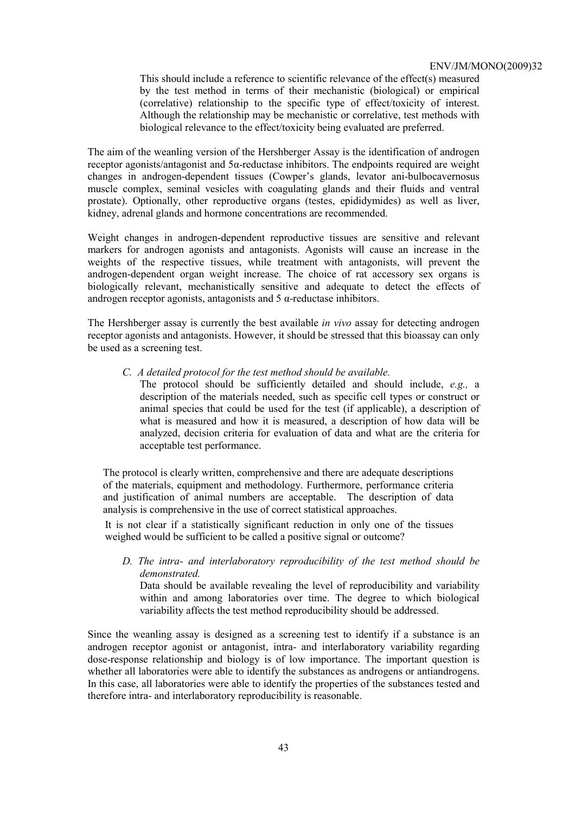This should include a reference to scientific relevance of the effect(s) measured by the test method in terms of their mechanistic (biological) or empirical (correlative) relationship to the specific type of effect/toxicity of interest. Although the relationship may be mechanistic or correlative, test methods with biological relevance to the effect/toxicity being evaluated are preferred.

The aim of the weanling version of the Hershberger Assay is the identification of androgen receptor agonists/antagonist and 5α-reductase inhibitors. The endpoints required are weight changes in androgen-dependent tissues (Cowper's glands, levator ani-bulbocavernosus muscle complex, seminal vesicles with coagulating glands and their fluids and ventral prostate). Optionally, other reproductive organs (testes, epididymides) as well as liver, kidney, adrenal glands and hormone concentrations are recommended.

Weight changes in androgen-dependent reproductive tissues are sensitive and relevant markers for androgen agonists and antagonists. Agonists will cause an increase in the weights of the respective tissues, while treatment with antagonists, will prevent the androgen-dependent organ weight increase. The choice of rat accessory sex organs is biologically relevant, mechanistically sensitive and adequate to detect the effects of androgen receptor agonists, antagonists and  $5 \alpha$ -reductase inhibitors.

The Hershberger assay is currently the best available *in vivo* assay for detecting androgen receptor agonists and antagonists. However, it should be stressed that this bioassay can only be used as a screening test.

*C. A detailed protocol for the test method should be available.* 

The protocol should be sufficiently detailed and should include, *e.g.,* a description of the materials needed, such as specific cell types or construct or animal species that could be used for the test (if applicable), a description of what is measured and how it is measured, a description of how data will be analyzed, decision criteria for evaluation of data and what are the criteria for acceptable test performance.

The protocol is clearly written, comprehensive and there are adequate descriptions of the materials, equipment and methodology. Furthermore, performance criteria and justification of animal numbers are acceptable. The description of data analysis is comprehensive in the use of correct statistical approaches.

It is not clear if a statistically significant reduction in only one of the tissues weighed would be sufficient to be called a positive signal or outcome?

*D. The intra- and interlaboratory reproducibility of the test method should be demonstrated.* 

Data should be available revealing the level of reproducibility and variability within and among laboratories over time. The degree to which biological variability affects the test method reproducibility should be addressed.

Since the weanling assay is designed as a screening test to identify if a substance is an androgen receptor agonist or antagonist, intra- and interlaboratory variability regarding dose-response relationship and biology is of low importance. The important question is whether all laboratories were able to identify the substances as androgens or antiandrogens. In this case, all laboratories were able to identify the properties of the substances tested and therefore intra- and interlaboratory reproducibility is reasonable.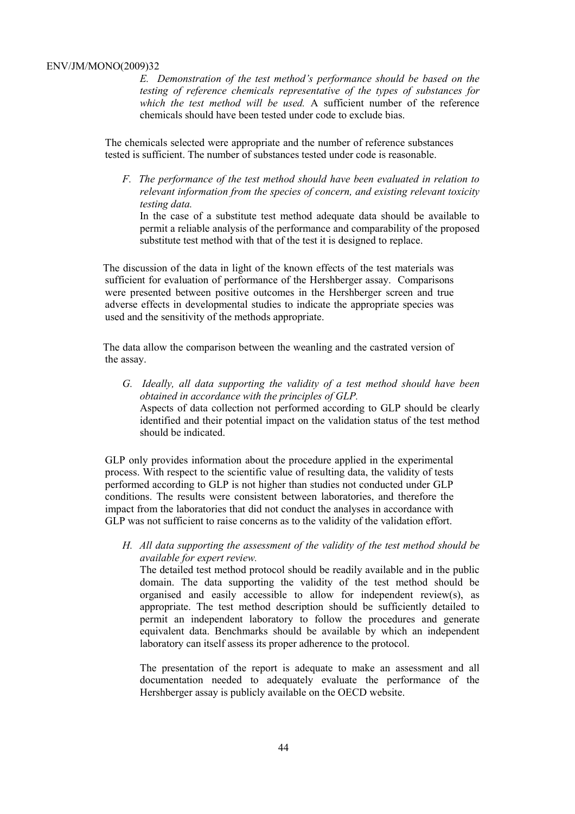*E. Demonstration of the test method's performance should be based on the testing of reference chemicals representative of the types of substances for which the test method will be used.* A sufficient number of the reference chemicals should have been tested under code to exclude bias.

The chemicals selected were appropriate and the number of reference substances tested is sufficient. The number of substances tested under code is reasonable.

*F. The performance of the test method should have been evaluated in relation to relevant information from the species of concern, and existing relevant toxicity testing data.* 

In the case of a substitute test method adequate data should be available to permit a reliable analysis of the performance and comparability of the proposed substitute test method with that of the test it is designed to replace.

The discussion of the data in light of the known effects of the test materials was sufficient for evaluation of performance of the Hershberger assay. Comparisons were presented between positive outcomes in the Hershberger screen and true adverse effects in developmental studies to indicate the appropriate species was used and the sensitivity of the methods appropriate.

The data allow the comparison between the weanling and the castrated version of the assay.

*G. Ideally, all data supporting the validity of a test method should have been obtained in accordance with the principles of GLP.*  Aspects of data collection not performed according to GLP should be clearly identified and their potential impact on the validation status of the test method should be indicated.

GLP only provides information about the procedure applied in the experimental process. With respect to the scientific value of resulting data, the validity of tests performed according to GLP is not higher than studies not conducted under GLP conditions. The results were consistent between laboratories, and therefore the impact from the laboratories that did not conduct the analyses in accordance with GLP was not sufficient to raise concerns as to the validity of the validation effort.

*H. All data supporting the assessment of the validity of the test method should be available for expert review.* 

The detailed test method protocol should be readily available and in the public domain. The data supporting the validity of the test method should be organised and easily accessible to allow for independent review(s), as appropriate. The test method description should be sufficiently detailed to permit an independent laboratory to follow the procedures and generate equivalent data. Benchmarks should be available by which an independent laboratory can itself assess its proper adherence to the protocol.

The presentation of the report is adequate to make an assessment and all documentation needed to adequately evaluate the performance of the Hershberger assay is publicly available on the OECD website.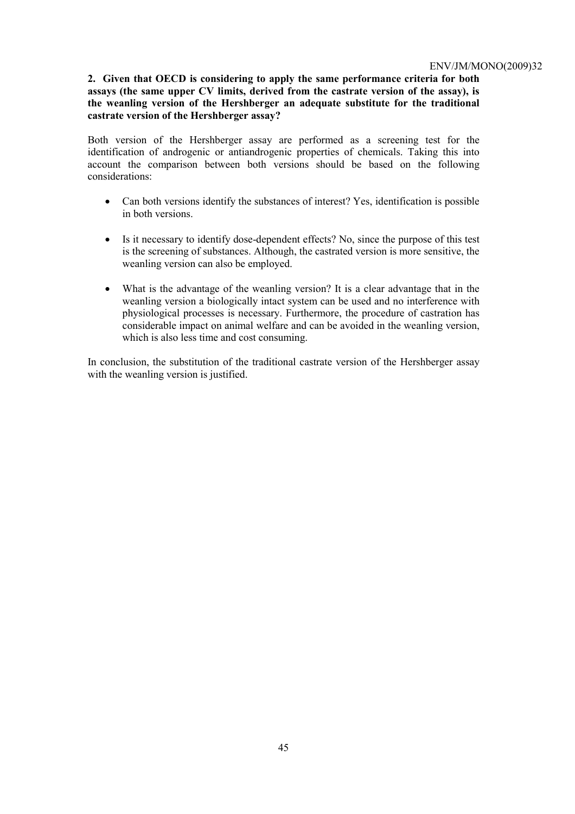# **2. Given that OECD is considering to apply the same performance criteria for both assays (the same upper CV limits, derived from the castrate version of the assay), is the weanling version of the Hershberger an adequate substitute for the traditional castrate version of the Hershberger assay?**

Both version of the Hershberger assay are performed as a screening test for the identification of androgenic or antiandrogenic properties of chemicals. Taking this into account the comparison between both versions should be based on the following considerations:

- Can both versions identify the substances of interest? Yes, identification is possible in both versions.
- Is it necessary to identify dose-dependent effects? No, since the purpose of this test is the screening of substances. Although, the castrated version is more sensitive, the weanling version can also be employed.
- What is the advantage of the weanling version? It is a clear advantage that in the weanling version a biologically intact system can be used and no interference with physiological processes is necessary. Furthermore, the procedure of castration has considerable impact on animal welfare and can be avoided in the weanling version, which is also less time and cost consuming.

In conclusion, the substitution of the traditional castrate version of the Hershberger assay with the weanling version is justified.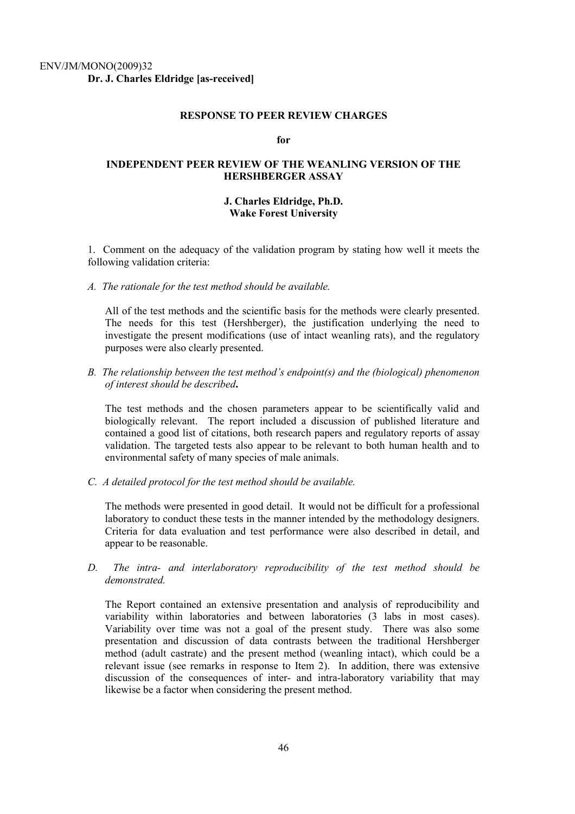#### **RESPONSE TO PEER REVIEW CHARGES**

#### **for**

# **INDEPENDENT PEER REVIEW OF THE WEANLING VERSION OF THE HERSHBERGER ASSAY**

### **J. Charles Eldridge, Ph.D. Wake Forest University**

1. Comment on the adequacy of the validation program by stating how well it meets the following validation criteria:

*A. The rationale for the test method should be available.* 

All of the test methods and the scientific basis for the methods were clearly presented. The needs for this test (Hershberger), the justification underlying the need to investigate the present modifications (use of intact weanling rats), and the regulatory purposes were also clearly presented.

*B. The relationship between the test method's endpoint(s) and the (biological) phenomenon of interest should be described***.** 

The test methods and the chosen parameters appear to be scientifically valid and biologically relevant. The report included a discussion of published literature and contained a good list of citations, both research papers and regulatory reports of assay validation. The targeted tests also appear to be relevant to both human health and to environmental safety of many species of male animals.

*C. A detailed protocol for the test method should be available.* 

The methods were presented in good detail. It would not be difficult for a professional laboratory to conduct these tests in the manner intended by the methodology designers. Criteria for data evaluation and test performance were also described in detail, and appear to be reasonable.

*D. The intra- and interlaboratory reproducibility of the test method should be demonstrated.* 

The Report contained an extensive presentation and analysis of reproducibility and variability within laboratories and between laboratories (3 labs in most cases). Variability over time was not a goal of the present study. There was also some presentation and discussion of data contrasts between the traditional Hershberger method (adult castrate) and the present method (weanling intact), which could be a relevant issue (see remarks in response to Item 2). In addition, there was extensive discussion of the consequences of inter- and intra-laboratory variability that may likewise be a factor when considering the present method.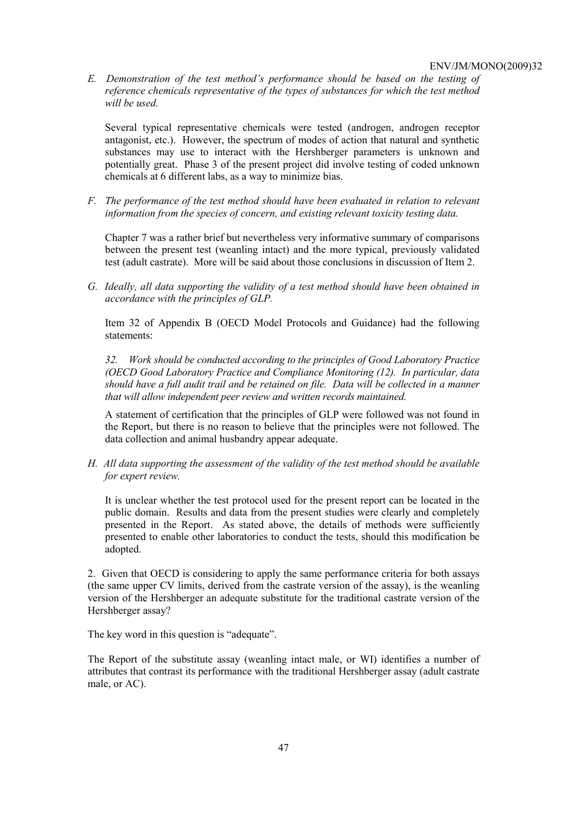*E. Demonstration of the test method's performance should be based on the testing of reference chemicals representative of the types of substances for which the test method will be used.* 

Several typical representative chemicals were tested (androgen, androgen receptor antagonist, etc.). However, the spectrum of modes of action that natural and synthetic substances may use to interact with the Hershberger parameters is unknown and potentially great. Phase 3 of the present project did involve testing of coded unknown chemicals at 6 different labs, as a way to minimize bias.

*F. The performance of the test method should have been evaluated in relation to relevant information from the species of concern, and existing relevant toxicity testing data.* 

Chapter 7 was a rather brief but nevertheless very informative summary of comparisons between the present test (weanling intact) and the more typical, previously validated test (adult castrate). More will be said about those conclusions in discussion of Item 2.

*G. Ideally, all data supporting the validity of a test method should have been obtained in accordance with the principles of GLP.* 

Item 32 of Appendix B (OECD Model Protocols and Guidance) had the following statements:

*32. Work should be conducted according to the principles of Good Laboratory Practice (OECD Good Laboratory Practice and Compliance Monitoring (12). In particular, data should have a full audit trail and be retained on file. Data will be collected in a manner that will allow independent peer review and written records maintained.* 

A statement of certification that the principles of GLP were followed was not found in the Report, but there is no reason to believe that the principles were not followed. The data collection and animal husbandry appear adequate.

*H. All data supporting the assessment of the validity of the test method should be available for expert review.* 

It is unclear whether the test protocol used for the present report can be located in the public domain. Results and data from the present studies were clearly and completely presented in the Report. As stated above, the details of methods were sufficiently presented to enable other laboratories to conduct the tests, should this modification be adopted.

2. Given that OECD is considering to apply the same performance criteria for both assays (the same upper CV limits, derived from the castrate version of the assay), is the weanling version of the Hershberger an adequate substitute for the traditional castrate version of the Hershberger assay?

The key word in this question is "adequate".

The Report of the substitute assay (weanling intact male, or WI) identifies a number of attributes that contrast its performance with the traditional Hershberger assay (adult castrate male, or AC).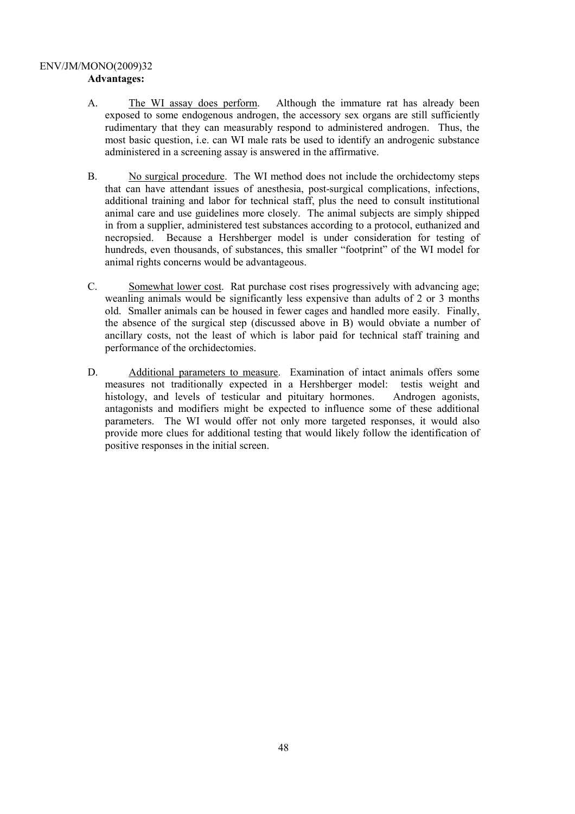## ENV/JM/MONO(2009)32 **Advantages:**

- A. The WI assay does perform. Although the immature rat has already been exposed to some endogenous androgen, the accessory sex organs are still sufficiently rudimentary that they can measurably respond to administered androgen. Thus, the most basic question, i.e. can WI male rats be used to identify an androgenic substance administered in a screening assay is answered in the affirmative.
- B. No surgical procedure. The WI method does not include the orchidectomy steps that can have attendant issues of anesthesia, post-surgical complications, infections, additional training and labor for technical staff, plus the need to consult institutional animal care and use guidelines more closely. The animal subjects are simply shipped in from a supplier, administered test substances according to a protocol, euthanized and necropsied. Because a Hershberger model is under consideration for testing of hundreds, even thousands, of substances, this smaller "footprint" of the WI model for animal rights concerns would be advantageous.
- C. Somewhat lower cost. Rat purchase cost rises progressively with advancing age; weanling animals would be significantly less expensive than adults of 2 or 3 months old. Smaller animals can be housed in fewer cages and handled more easily. Finally, the absence of the surgical step (discussed above in B) would obviate a number of ancillary costs, not the least of which is labor paid for technical staff training and performance of the orchidectomies.
- D. Additional parameters to measure. Examination of intact animals offers some measures not traditionally expected in a Hershberger model: testis weight and histology, and levels of testicular and pituitary hormones. Androgen agonists, antagonists and modifiers might be expected to influence some of these additional parameters. The WI would offer not only more targeted responses, it would also provide more clues for additional testing that would likely follow the identification of positive responses in the initial screen.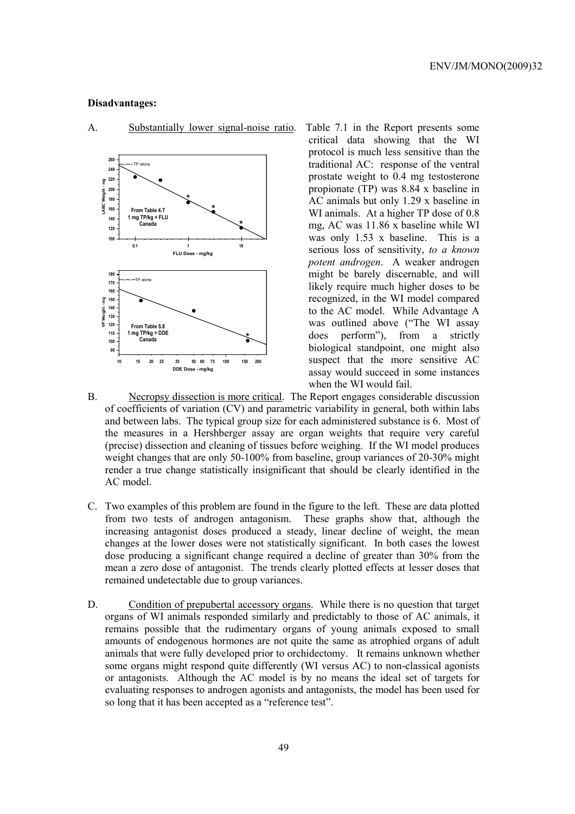### **Disadvantages:**



A. Substantially lower signal-noise ratio. Table 7.1 in the Report presents some

critical data showing that the WI protocol is much less sensitive than the traditional AC: response of the ventral prostate weight to 0.4 mg testosterone propionate (TP) was 8.84 x baseline in AC animals but only 1.29 x baseline in WI animals. At a higher TP dose of 0.8 mg, AC was 11.86 x baseline while WI was only 1.53 x baseline. This is a serious loss of sensitivity, *to a known potent androgen*. A weaker androgen might be barely discernable, and will likely require much higher doses to be recognized, in the WI model compared to the AC model. While Advantage A was outlined above ("The WI assay does perform"), from a strictly biological standpoint, one might also suspect that the more sensitive AC assay would succeed in some instances when the WI would fail.

- B. Necropsy dissection is more critical. The Report engages considerable discussion of coefficients of variation (CV) and parametric variability in general, both within labs and between labs. The typical group size for each administered substance is 6. Most of the measures in a Hershberger assay are organ weights that require very careful (precise) dissection and cleaning of tissues before weighing. If the WI model produces weight changes that are only 50-100% from baseline, group variances of 20-30% might render a true change statistically insignificant that should be clearly identified in the AC model.
- C. Two examples of this problem are found in the figure to the left. These are data plotted from two tests of androgen antagonism. These graphs show that, although the increasing antagonist doses produced a steady, linear decline of weight, the mean changes at the lower doses were not statistically significant. In both cases the lowest dose producing a significant change required a decline of greater than 30% from the mean a zero dose of antagonist. The trends clearly plotted effects at lesser doses that remained undetectable due to group variances.
- D. Condition of prepubertal accessory organs. While there is no question that target organs of WI animals responded similarly and predictably to those of AC animals, it remains possible that the rudimentary organs of young animals exposed to small amounts of endogenous hormones are not quite the same as atrophied organs of adult animals that were fully developed prior to orchidectomy. It remains unknown whether some organs might respond quite differently (WI versus AC) to non-classical agonists or antagonists. Although the AC model is by no means the ideal set of targets for evaluating responses to androgen agonists and antagonists, the model has been used for so long that it has been accepted as a "reference test".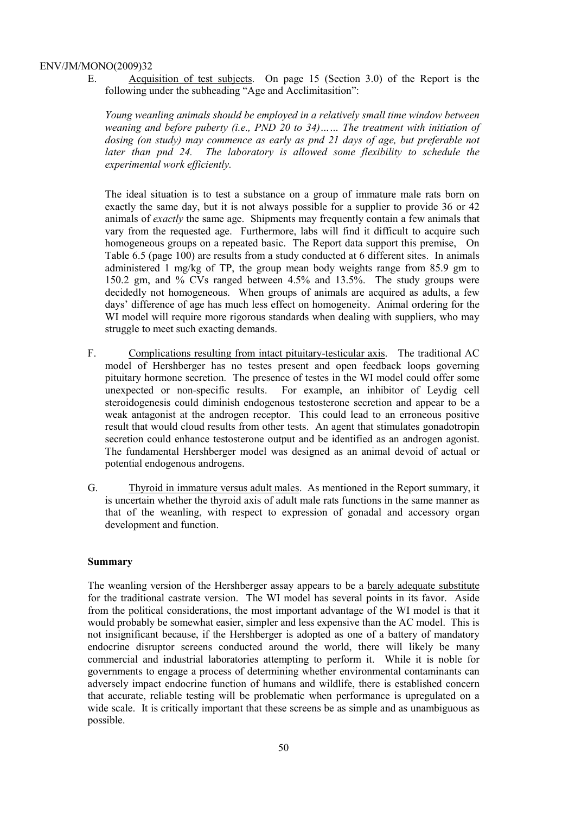E. Acquisition of test subjects. On page 15 (Section 3.0) of the Report is the following under the subheading "Age and Acclimitasition":

*Young weanling animals should be employed in a relatively small time window between weaning and before puberty (i.e., PND 20 to 34)…… The treatment with initiation of dosing (on study) may commence as early as pnd 21 days of age, but preferable not*  later than pnd 24. The laboratory is allowed some flexibility to schedule the *experimental work efficiently.* 

The ideal situation is to test a substance on a group of immature male rats born on exactly the same day, but it is not always possible for a supplier to provide 36 or 42 animals of *exactly* the same age. Shipments may frequently contain a few animals that vary from the requested age. Furthermore, labs will find it difficult to acquire such homogeneous groups on a repeated basic. The Report data support this premise, On Table 6.5 (page 100) are results from a study conducted at 6 different sites. In animals administered 1 mg/kg of TP, the group mean body weights range from 85.9 gm to 150.2 gm, and % CVs ranged between 4.5% and 13.5%. The study groups were decidedly not homogeneous. When groups of animals are acquired as adults, a few days' difference of age has much less effect on homogeneity. Animal ordering for the WI model will require more rigorous standards when dealing with suppliers, who may struggle to meet such exacting demands.

- F. Complications resulting from intact pituitary-testicular axis. The traditional AC model of Hershberger has no testes present and open feedback loops governing pituitary hormone secretion. The presence of testes in the WI model could offer some unexpected or non-specific results. For example, an inhibitor of Leydig cell steroidogenesis could diminish endogenous testosterone secretion and appear to be a weak antagonist at the androgen receptor. This could lead to an erroneous positive result that would cloud results from other tests. An agent that stimulates gonadotropin secretion could enhance testosterone output and be identified as an androgen agonist. The fundamental Hershberger model was designed as an animal devoid of actual or potential endogenous androgens.
- G. Thyroid in immature versus adult males. As mentioned in the Report summary, it is uncertain whether the thyroid axis of adult male rats functions in the same manner as that of the weanling, with respect to expression of gonadal and accessory organ development and function.

#### **Summary**

The weanling version of the Hershberger assay appears to be a barely adequate substitute for the traditional castrate version. The WI model has several points in its favor. Aside from the political considerations, the most important advantage of the WI model is that it would probably be somewhat easier, simpler and less expensive than the AC model. This is not insignificant because, if the Hershberger is adopted as one of a battery of mandatory endocrine disruptor screens conducted around the world, there will likely be many commercial and industrial laboratories attempting to perform it. While it is noble for governments to engage a process of determining whether environmental contaminants can adversely impact endocrine function of humans and wildlife, there is established concern that accurate, reliable testing will be problematic when performance is upregulated on a wide scale. It is critically important that these screens be as simple and as unambiguous as possible.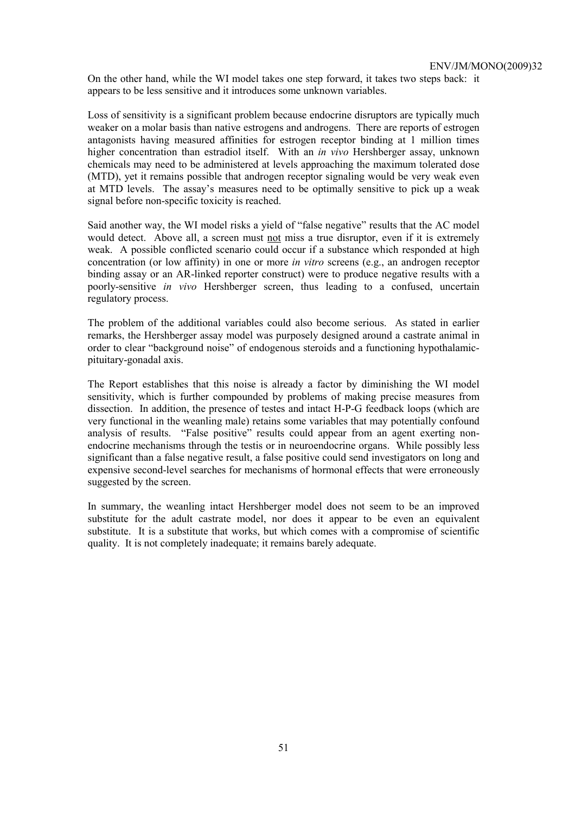On the other hand, while the WI model takes one step forward, it takes two steps back: it appears to be less sensitive and it introduces some unknown variables.

Loss of sensitivity is a significant problem because endocrine disruptors are typically much weaker on a molar basis than native estrogens and androgens. There are reports of estrogen antagonists having measured affinities for estrogen receptor binding at 1 million times higher concentration than estradiol itself. With an *in vivo* Hershberger assay, unknown chemicals may need to be administered at levels approaching the maximum tolerated dose (MTD), yet it remains possible that androgen receptor signaling would be very weak even at MTD levels. The assay's measures need to be optimally sensitive to pick up a weak signal before non-specific toxicity is reached.

Said another way, the WI model risks a yield of "false negative" results that the AC model would detect. Above all, a screen must not miss a true disruptor, even if it is extremely weak. A possible conflicted scenario could occur if a substance which responded at high concentration (or low affinity) in one or more *in vitro* screens (e.g., an androgen receptor binding assay or an AR-linked reporter construct) were to produce negative results with a poorly-sensitive *in vivo* Hershberger screen, thus leading to a confused, uncertain regulatory process.

The problem of the additional variables could also become serious. As stated in earlier remarks, the Hershberger assay model was purposely designed around a castrate animal in order to clear "background noise" of endogenous steroids and a functioning hypothalamicpituitary-gonadal axis.

The Report establishes that this noise is already a factor by diminishing the WI model sensitivity, which is further compounded by problems of making precise measures from dissection. In addition, the presence of testes and intact H-P-G feedback loops (which are very functional in the weanling male) retains some variables that may potentially confound analysis of results. "False positive" results could appear from an agent exerting nonendocrine mechanisms through the testis or in neuroendocrine organs. While possibly less significant than a false negative result, a false positive could send investigators on long and expensive second-level searches for mechanisms of hormonal effects that were erroneously suggested by the screen.

In summary, the weanling intact Hershberger model does not seem to be an improved substitute for the adult castrate model, nor does it appear to be even an equivalent substitute. It is a substitute that works, but which comes with a compromise of scientific quality. It is not completely inadequate; it remains barely adequate.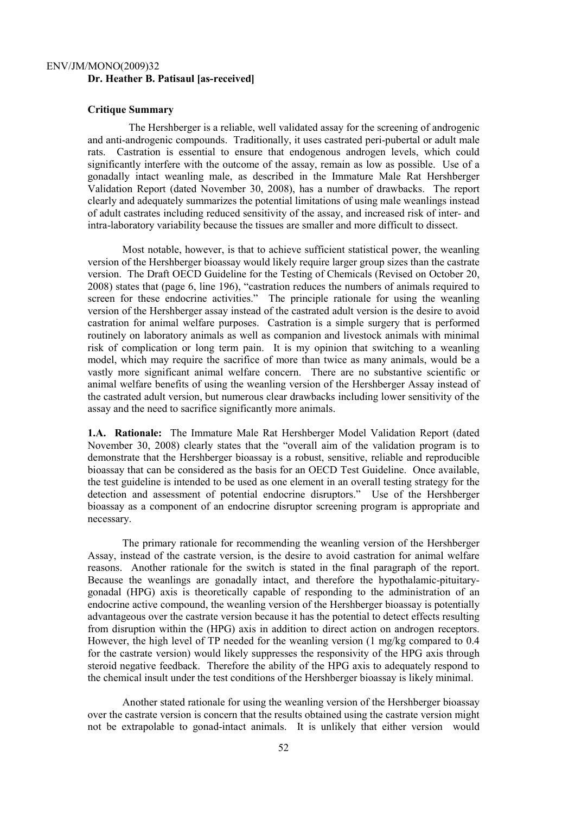# ENV/JM/MONO(2009)32 **Dr. Heather B. Patisaul [as-received]**

#### **Critique Summary**

 The Hershberger is a reliable, well validated assay for the screening of androgenic and anti-androgenic compounds. Traditionally, it uses castrated peri-pubertal or adult male rats. Castration is essential to ensure that endogenous androgen levels, which could significantly interfere with the outcome of the assay, remain as low as possible. Use of a gonadally intact weanling male, as described in the Immature Male Rat Hershberger Validation Report (dated November 30, 2008), has a number of drawbacks. The report clearly and adequately summarizes the potential limitations of using male weanlings instead of adult castrates including reduced sensitivity of the assay, and increased risk of inter- and intra-laboratory variability because the tissues are smaller and more difficult to dissect.

Most notable, however, is that to achieve sufficient statistical power, the weanling version of the Hershberger bioassay would likely require larger group sizes than the castrate version. The Draft OECD Guideline for the Testing of Chemicals (Revised on October 20, 2008) states that (page 6, line 196), "castration reduces the numbers of animals required to screen for these endocrine activities." The principle rationale for using the weanling version of the Hershberger assay instead of the castrated adult version is the desire to avoid castration for animal welfare purposes. Castration is a simple surgery that is performed routinely on laboratory animals as well as companion and livestock animals with minimal risk of complication or long term pain. It is my opinion that switching to a weanling model, which may require the sacrifice of more than twice as many animals, would be a vastly more significant animal welfare concern. There are no substantive scientific or animal welfare benefits of using the weanling version of the Hershberger Assay instead of the castrated adult version, but numerous clear drawbacks including lower sensitivity of the assay and the need to sacrifice significantly more animals.

**1.A. Rationale:** The Immature Male Rat Hershberger Model Validation Report (dated November 30, 2008) clearly states that the "overall aim of the validation program is to demonstrate that the Hershberger bioassay is a robust, sensitive, reliable and reproducible bioassay that can be considered as the basis for an OECD Test Guideline. Once available, the test guideline is intended to be used as one element in an overall testing strategy for the detection and assessment of potential endocrine disruptors." Use of the Hershberger bioassay as a component of an endocrine disruptor screening program is appropriate and necessary.

The primary rationale for recommending the weanling version of the Hershberger Assay, instead of the castrate version, is the desire to avoid castration for animal welfare reasons. Another rationale for the switch is stated in the final paragraph of the report. Because the weanlings are gonadally intact, and therefore the hypothalamic-pituitarygonadal (HPG) axis is theoretically capable of responding to the administration of an endocrine active compound, the weanling version of the Hershberger bioassay is potentially advantageous over the castrate version because it has the potential to detect effects resulting from disruption within the (HPG) axis in addition to direct action on androgen receptors. However, the high level of TP needed for the weanling version (1 mg/kg compared to 0.4 for the castrate version) would likely suppresses the responsivity of the HPG axis through steroid negative feedback. Therefore the ability of the HPG axis to adequately respond to the chemical insult under the test conditions of the Hershberger bioassay is likely minimal.

Another stated rationale for using the weanling version of the Hershberger bioassay over the castrate version is concern that the results obtained using the castrate version might not be extrapolable to gonad-intact animals. It is unlikely that either version would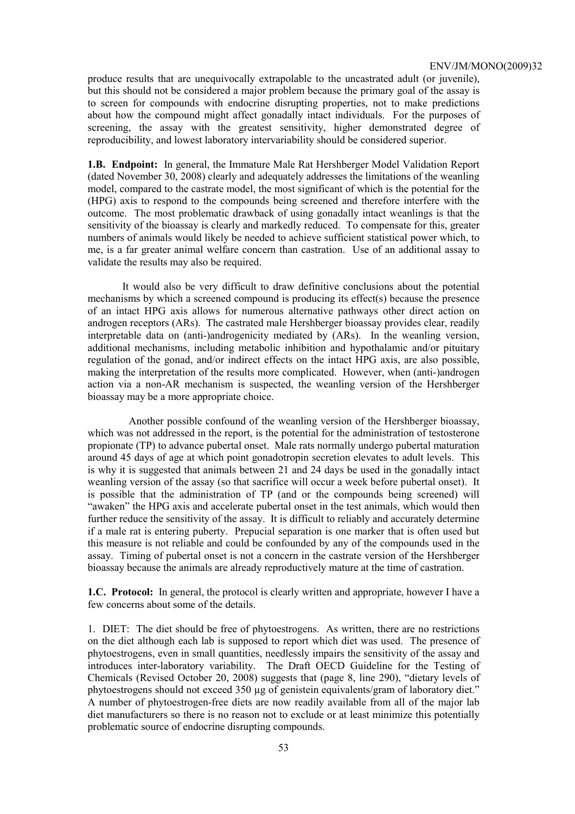produce results that are unequivocally extrapolable to the uncastrated adult (or juvenile), but this should not be considered a major problem because the primary goal of the assay is to screen for compounds with endocrine disrupting properties, not to make predictions about how the compound might affect gonadally intact individuals. For the purposes of screening, the assay with the greatest sensitivity, higher demonstrated degree of reproducibility, and lowest laboratory intervariability should be considered superior.

**1.B. Endpoint:** In general, the Immature Male Rat Hershberger Model Validation Report (dated November 30, 2008) clearly and adequately addresses the limitations of the weanling model, compared to the castrate model, the most significant of which is the potential for the (HPG) axis to respond to the compounds being screened and therefore interfere with the outcome. The most problematic drawback of using gonadally intact weanlings is that the sensitivity of the bioassay is clearly and markedly reduced. To compensate for this, greater numbers of animals would likely be needed to achieve sufficient statistical power which, to me, is a far greater animal welfare concern than castration. Use of an additional assay to validate the results may also be required.

It would also be very difficult to draw definitive conclusions about the potential mechanisms by which a screened compound is producing its effect(s) because the presence of an intact HPG axis allows for numerous alternative pathways other direct action on androgen receptors (ARs). The castrated male Hershberger bioassay provides clear, readily interpretable data on (anti-)androgenicity mediated by (ARs). In the weanling version, additional mechanisms, including metabolic inhibition and hypothalamic and/or pituitary regulation of the gonad, and/or indirect effects on the intact HPG axis, are also possible, making the interpretation of the results more complicated. However, when (anti-)androgen action via a non-AR mechanism is suspected, the weanling version of the Hershberger bioassay may be a more appropriate choice.

 Another possible confound of the weanling version of the Hershberger bioassay, which was not addressed in the report, is the potential for the administration of testosterone propionate (TP) to advance pubertal onset. Male rats normally undergo pubertal maturation around 45 days of age at which point gonadotropin secretion elevates to adult levels. This is why it is suggested that animals between 21 and 24 days be used in the gonadally intact weanling version of the assay (so that sacrifice will occur a week before pubertal onset). It is possible that the administration of TP (and or the compounds being screened) will "awaken" the HPG axis and accelerate pubertal onset in the test animals, which would then further reduce the sensitivity of the assay. It is difficult to reliably and accurately determine if a male rat is entering puberty. Prepucial separation is one marker that is often used but this measure is not reliable and could be confounded by any of the compounds used in the assay. Timing of pubertal onset is not a concern in the castrate version of the Hershberger bioassay because the animals are already reproductively mature at the time of castration.

**1.C. Protocol:** In general, the protocol is clearly written and appropriate, however I have a few concerns about some of the details.

1. DIET: The diet should be free of phytoestrogens. As written, there are no restrictions on the diet although each lab is supposed to report which diet was used. The presence of phytoestrogens, even in small quantities, needlessly impairs the sensitivity of the assay and introduces inter-laboratory variability. The Draft OECD Guideline for the Testing of Chemicals (Revised October 20, 2008) suggests that (page 8, line 290), "dietary levels of phytoestrogens should not exceed 350 µg of genistein equivalents/gram of laboratory diet." A number of phytoestrogen-free diets are now readily available from all of the major lab diet manufacturers so there is no reason not to exclude or at least minimize this potentially problematic source of endocrine disrupting compounds.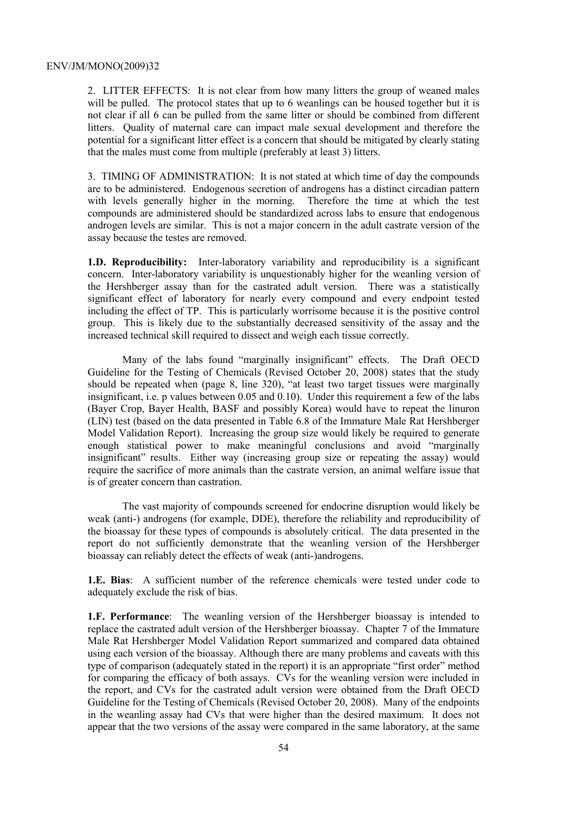2. LITTER EFFECTS: It is not clear from how many litters the group of weaned males will be pulled. The protocol states that up to 6 weanlings can be housed together but it is not clear if all 6 can be pulled from the same litter or should be combined from different litters. Quality of maternal care can impact male sexual development and therefore the potential for a significant litter effect is a concern that should be mitigated by clearly stating that the males must come from multiple (preferably at least 3) litters.

3. TIMING OF ADMINISTRATION: It is not stated at which time of day the compounds are to be administered. Endogenous secretion of androgens has a distinct circadian pattern with levels generally higher in the morning. Therefore the time at which the test compounds are administered should be standardized across labs to ensure that endogenous androgen levels are similar. This is not a major concern in the adult castrate version of the assay because the testes are removed.

**1.D. Reproducibility:** Inter-laboratory variability and reproducibility is a significant concern. Inter-laboratory variability is unquestionably higher for the weanling version of the Hershberger assay than for the castrated adult version. There was a statistically significant effect of laboratory for nearly every compound and every endpoint tested including the effect of TP. This is particularly worrisome because it is the positive control group. This is likely due to the substantially decreased sensitivity of the assay and the increased technical skill required to dissect and weigh each tissue correctly.

Many of the labs found "marginally insignificant" effects. The Draft OECD Guideline for the Testing of Chemicals (Revised October 20, 2008) states that the study should be repeated when (page 8, line 320), "at least two target tissues were marginally insignificant, i.e. p values between 0.05 and 0.10). Under this requirement a few of the labs (Bayer Crop, Bayer Health, BASF and possibly Korea) would have to repeat the linuron (LIN) test (based on the data presented in Table 6.8 of the Immature Male Rat Hershberger Model Validation Report). Increasing the group size would likely be required to generate enough statistical power to make meaningful conclusions and avoid "marginally insignificant" results. Either way (increasing group size or repeating the assay) would require the sacrifice of more animals than the castrate version, an animal welfare issue that is of greater concern than castration.

The vast majority of compounds screened for endocrine disruption would likely be weak (anti-) androgens (for example, DDE), therefore the reliability and reproducibility of the bioassay for these types of compounds is absolutely critical. The data presented in the report do not sufficiently demonstrate that the weanling version of the Hershberger bioassay can reliably detect the effects of weak (anti-)androgens.

**1.E. Bias**: A sufficient number of the reference chemicals were tested under code to adequately exclude the risk of bias.

**1.F. Performance**: The weanling version of the Hershberger bioassay is intended to replace the castrated adult version of the Hershberger bioassay. Chapter 7 of the Immature Male Rat Hershberger Model Validation Report summarized and compared data obtained using each version of the bioassay. Although there are many problems and caveats with this type of comparison (adequately stated in the report) it is an appropriate "first order" method for comparing the efficacy of both assays. CVs for the weanling version were included in the report, and CVs for the castrated adult version were obtained from the Draft OECD Guideline for the Testing of Chemicals (Revised October 20, 2008). Many of the endpoints in the weanling assay had CVs that were higher than the desired maximum. It does not appear that the two versions of the assay were compared in the same laboratory, at the same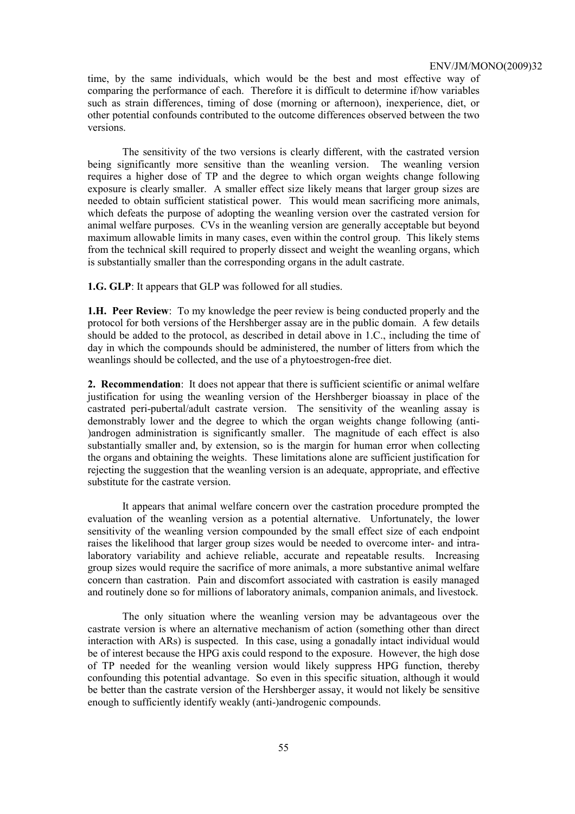time, by the same individuals, which would be the best and most effective way of comparing the performance of each. Therefore it is difficult to determine if/how variables such as strain differences, timing of dose (morning or afternoon), inexperience, diet, or other potential confounds contributed to the outcome differences observed between the two versions.

The sensitivity of the two versions is clearly different, with the castrated version being significantly more sensitive than the weanling version. The weanling version requires a higher dose of TP and the degree to which organ weights change following exposure is clearly smaller. A smaller effect size likely means that larger group sizes are needed to obtain sufficient statistical power. This would mean sacrificing more animals, which defeats the purpose of adopting the weanling version over the castrated version for animal welfare purposes. CVs in the weanling version are generally acceptable but beyond maximum allowable limits in many cases, even within the control group. This likely stems from the technical skill required to properly dissect and weight the weanling organs, which is substantially smaller than the corresponding organs in the adult castrate.

**1.G. GLP**: It appears that GLP was followed for all studies.

**1.H. Peer Review**: To my knowledge the peer review is being conducted properly and the protocol for both versions of the Hershberger assay are in the public domain. A few details should be added to the protocol, as described in detail above in 1.C., including the time of day in which the compounds should be administered, the number of litters from which the weanlings should be collected, and the use of a phytoestrogen-free diet.

**2. Recommendation**: It does not appear that there is sufficient scientific or animal welfare justification for using the weanling version of the Hershberger bioassay in place of the castrated peri-pubertal/adult castrate version. The sensitivity of the weanling assay is demonstrably lower and the degree to which the organ weights change following (anti- )androgen administration is significantly smaller. The magnitude of each effect is also substantially smaller and, by extension, so is the margin for human error when collecting the organs and obtaining the weights. These limitations alone are sufficient justification for rejecting the suggestion that the weanling version is an adequate, appropriate, and effective substitute for the castrate version.

It appears that animal welfare concern over the castration procedure prompted the evaluation of the weanling version as a potential alternative. Unfortunately, the lower sensitivity of the weanling version compounded by the small effect size of each endpoint raises the likelihood that larger group sizes would be needed to overcome inter- and intralaboratory variability and achieve reliable, accurate and repeatable results. Increasing group sizes would require the sacrifice of more animals, a more substantive animal welfare concern than castration. Pain and discomfort associated with castration is easily managed and routinely done so for millions of laboratory animals, companion animals, and livestock.

The only situation where the weanling version may be advantageous over the castrate version is where an alternative mechanism of action (something other than direct interaction with ARs) is suspected. In this case, using a gonadally intact individual would be of interest because the HPG axis could respond to the exposure. However, the high dose of TP needed for the weanling version would likely suppress HPG function, thereby confounding this potential advantage. So even in this specific situation, although it would be better than the castrate version of the Hershberger assay, it would not likely be sensitive enough to sufficiently identify weakly (anti-)androgenic compounds.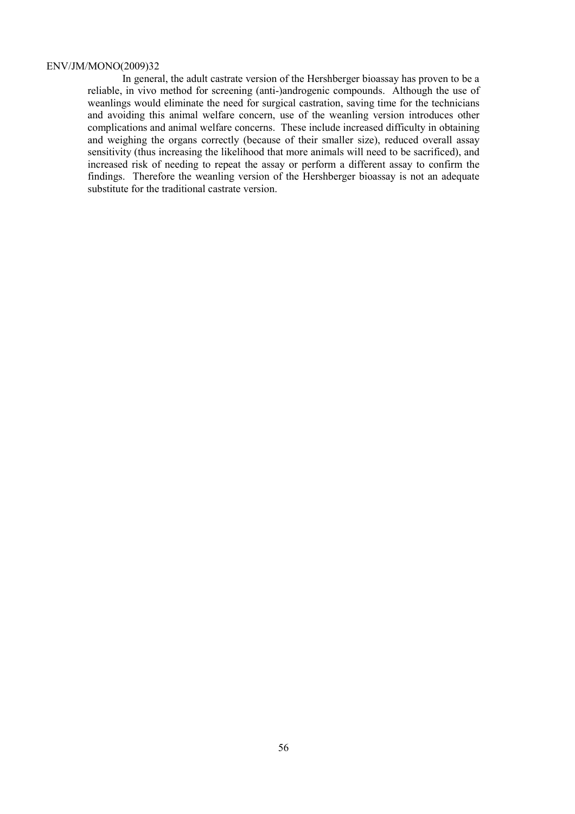In general, the adult castrate version of the Hershberger bioassay has proven to be a reliable, in vivo method for screening (anti-)androgenic compounds. Although the use of weanlings would eliminate the need for surgical castration, saving time for the technicians and avoiding this animal welfare concern, use of the weanling version introduces other complications and animal welfare concerns. These include increased difficulty in obtaining and weighing the organs correctly (because of their smaller size), reduced overall assay sensitivity (thus increasing the likelihood that more animals will need to be sacrificed), and increased risk of needing to repeat the assay or perform a different assay to confirm the findings. Therefore the weanling version of the Hershberger bioassay is not an adequate substitute for the traditional castrate version.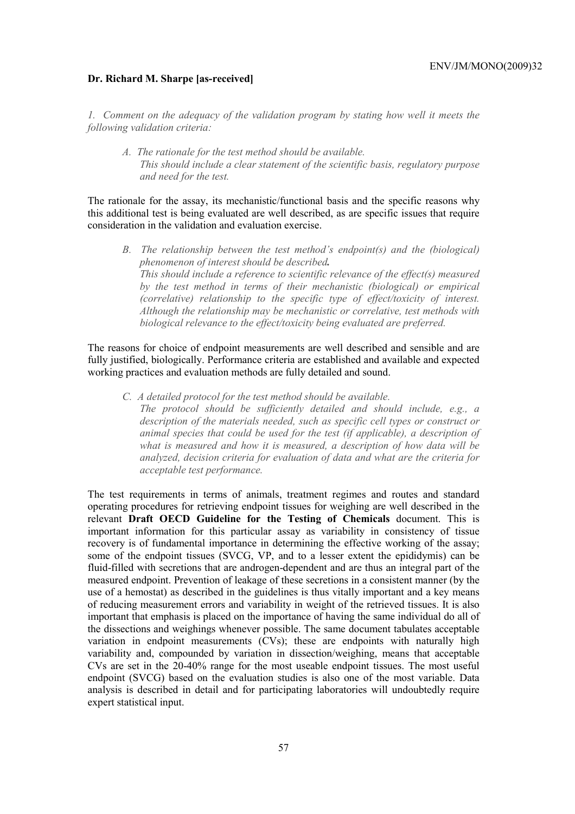#### **Dr. Richard M. Sharpe [as-received]**

*1. Comment on the adequacy of the validation program by stating how well it meets the following validation criteria:* 

*A. The rationale for the test method should be available. This should include a clear statement of the scientific basis, regulatory purpose and need for the test.* 

The rationale for the assay, its mechanistic/functional basis and the specific reasons why this additional test is being evaluated are well described, as are specific issues that require consideration in the validation and evaluation exercise.

*B. The relationship between the test method's endpoint(s) and the (biological) phenomenon of interest should be described. This should include a reference to scientific relevance of the effect(s) measured by the test method in terms of their mechanistic (biological) or empirical (correlative) relationship to the specific type of effect/toxicity of interest. Although the relationship may be mechanistic or correlative, test methods with biological relevance to the effect/toxicity being evaluated are preferred.* 

The reasons for choice of endpoint measurements are well described and sensible and are fully justified, biologically. Performance criteria are established and available and expected working practices and evaluation methods are fully detailed and sound.

*C. A detailed protocol for the test method should be available.* 

*The protocol should be sufficiently detailed and should include, e.g., a description of the materials needed, such as specific cell types or construct or animal species that could be used for the test (if applicable), a description of what is measured and how it is measured, a description of how data will be analyzed, decision criteria for evaluation of data and what are the criteria for acceptable test performance.* 

The test requirements in terms of animals, treatment regimes and routes and standard operating procedures for retrieving endpoint tissues for weighing are well described in the relevant **Draft OECD Guideline for the Testing of Chemicals** document. This is important information for this particular assay as variability in consistency of tissue recovery is of fundamental importance in determining the effective working of the assay; some of the endpoint tissues (SVCG, VP, and to a lesser extent the epididymis) can be fluid-filled with secretions that are androgen-dependent and are thus an integral part of the measured endpoint. Prevention of leakage of these secretions in a consistent manner (by the use of a hemostat) as described in the guidelines is thus vitally important and a key means of reducing measurement errors and variability in weight of the retrieved tissues. It is also important that emphasis is placed on the importance of having the same individual do all of the dissections and weighings whenever possible. The same document tabulates acceptable variation in endpoint measurements (CVs); these are endpoints with naturally high variability and, compounded by variation in dissection/weighing, means that acceptable CVs are set in the 20-40% range for the most useable endpoint tissues. The most useful endpoint (SVCG) based on the evaluation studies is also one of the most variable. Data analysis is described in detail and for participating laboratories will undoubtedly require expert statistical input.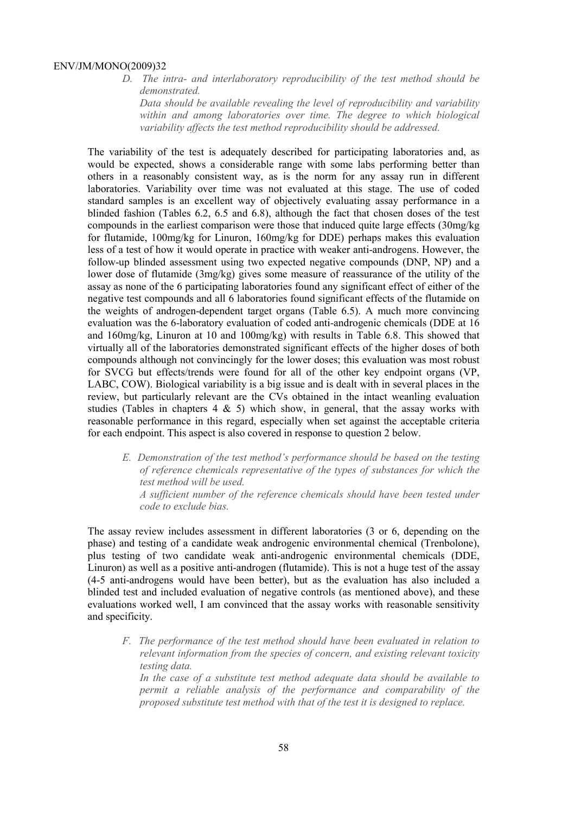*D. The intra- and interlaboratory reproducibility of the test method should be demonstrated.* 

*Data should be available revealing the level of reproducibility and variability within and among laboratories over time. The degree to which biological variability affects the test method reproducibility should be addressed.* 

The variability of the test is adequately described for participating laboratories and, as would be expected, shows a considerable range with some labs performing better than others in a reasonably consistent way, as is the norm for any assay run in different laboratories. Variability over time was not evaluated at this stage. The use of coded standard samples is an excellent way of objectively evaluating assay performance in a blinded fashion (Tables 6.2, 6.5 and 6.8), although the fact that chosen doses of the test compounds in the earliest comparison were those that induced quite large effects (30mg/kg for flutamide, 100mg/kg for Linuron, 160mg/kg for DDE) perhaps makes this evaluation less of a test of how it would operate in practice with weaker anti-androgens. However, the follow-up blinded assessment using two expected negative compounds (DNP, NP) and a lower dose of flutamide (3mg/kg) gives some measure of reassurance of the utility of the assay as none of the 6 participating laboratories found any significant effect of either of the negative test compounds and all 6 laboratories found significant effects of the flutamide on the weights of androgen-dependent target organs (Table 6.5). A much more convincing evaluation was the 6-laboratory evaluation of coded anti-androgenic chemicals (DDE at 16 and 160mg/kg, Linuron at 10 and 100mg/kg) with results in Table 6.8. This showed that virtually all of the laboratories demonstrated significant effects of the higher doses of both compounds although not convincingly for the lower doses; this evaluation was most robust for SVCG but effects/trends were found for all of the other key endpoint organs (VP, LABC, COW). Biological variability is a big issue and is dealt with in several places in the review, but particularly relevant are the CVs obtained in the intact weanling evaluation studies (Tables in chapters  $4 \& 5$ ) which show, in general, that the assay works with reasonable performance in this regard, especially when set against the acceptable criteria for each endpoint. This aspect is also covered in response to question 2 below.

*E. Demonstration of the test method's performance should be based on the testing of reference chemicals representative of the types of substances for which the test method will be used. A sufficient number of the reference chemicals should have been tested under* 

*code to exclude bias.* 

The assay review includes assessment in different laboratories (3 or 6, depending on the phase) and testing of a candidate weak androgenic environmental chemical (Trenbolone), plus testing of two candidate weak anti-androgenic environmental chemicals (DDE, Linuron) as well as a positive anti-androgen (flutamide). This is not a huge test of the assay (4-5 anti-androgens would have been better), but as the evaluation has also included a blinded test and included evaluation of negative controls (as mentioned above), and these evaluations worked well, I am convinced that the assay works with reasonable sensitivity and specificity.

*F. The performance of the test method should have been evaluated in relation to relevant information from the species of concern, and existing relevant toxicity testing data.* 

*In the case of a substitute test method adequate data should be available to permit a reliable analysis of the performance and comparability of the proposed substitute test method with that of the test it is designed to replace.*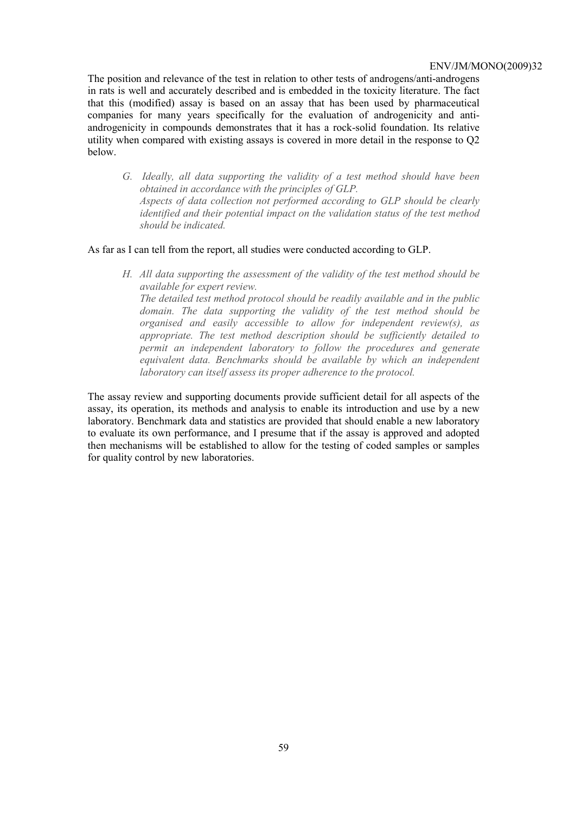The position and relevance of the test in relation to other tests of androgens/anti-androgens in rats is well and accurately described and is embedded in the toxicity literature. The fact that this (modified) assay is based on an assay that has been used by pharmaceutical companies for many years specifically for the evaluation of androgenicity and antiandrogenicity in compounds demonstrates that it has a rock-solid foundation. Its relative utility when compared with existing assays is covered in more detail in the response to Q2 below.

*G. Ideally, all data supporting the validity of a test method should have been obtained in accordance with the principles of GLP. Aspects of data collection not performed according to GLP should be clearly identified and their potential impact on the validation status of the test method should be indicated.* 

## As far as I can tell from the report, all studies were conducted according to GLP.

*H. All data supporting the assessment of the validity of the test method should be available for expert review. The detailed test method protocol should be readily available and in the public domain. The data supporting the validity of the test method should be organised and easily accessible to allow for independent review(s), as appropriate. The test method description should be sufficiently detailed to permit an independent laboratory to follow the procedures and generate equivalent data. Benchmarks should be available by which an independent laboratory can itself assess its proper adherence to the protocol.* 

The assay review and supporting documents provide sufficient detail for all aspects of the assay, its operation, its methods and analysis to enable its introduction and use by a new laboratory. Benchmark data and statistics are provided that should enable a new laboratory to evaluate its own performance, and I presume that if the assay is approved and adopted then mechanisms will be established to allow for the testing of coded samples or samples for quality control by new laboratories.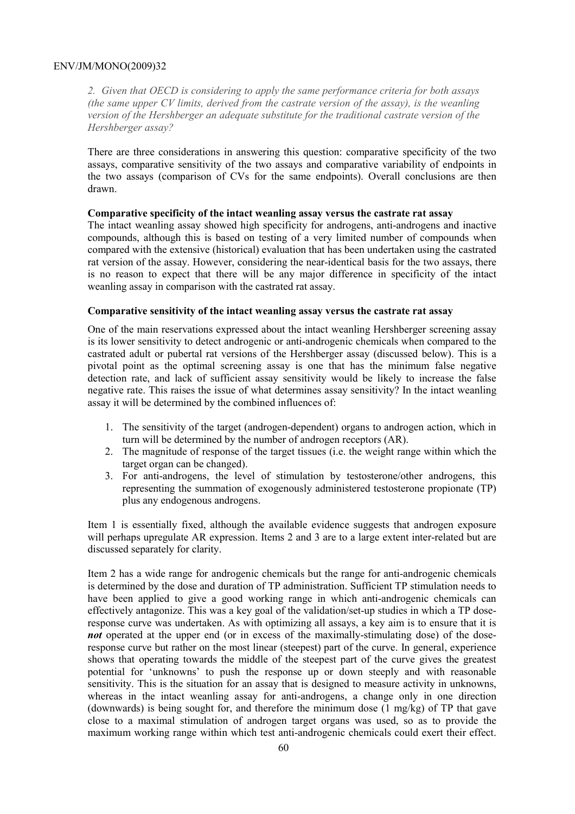*2. Given that OECD is considering to apply the same performance criteria for both assays (the same upper CV limits, derived from the castrate version of the assay), is the weanling version of the Hershberger an adequate substitute for the traditional castrate version of the Hershberger assay?* 

There are three considerations in answering this question: comparative specificity of the two assays, comparative sensitivity of the two assays and comparative variability of endpoints in the two assays (comparison of CVs for the same endpoints). Overall conclusions are then drawn.

#### **Comparative specificity of the intact weanling assay versus the castrate rat assay**

The intact weanling assay showed high specificity for androgens, anti-androgens and inactive compounds, although this is based on testing of a very limited number of compounds when compared with the extensive (historical) evaluation that has been undertaken using the castrated rat version of the assay. However, considering the near-identical basis for the two assays, there is no reason to expect that there will be any major difference in specificity of the intact weanling assay in comparison with the castrated rat assay.

# **Comparative sensitivity of the intact weanling assay versus the castrate rat assay**

One of the main reservations expressed about the intact weanling Hershberger screening assay is its lower sensitivity to detect androgenic or anti-androgenic chemicals when compared to the castrated adult or pubertal rat versions of the Hershberger assay (discussed below). This is a pivotal point as the optimal screening assay is one that has the minimum false negative detection rate, and lack of sufficient assay sensitivity would be likely to increase the false negative rate. This raises the issue of what determines assay sensitivity? In the intact weanling assay it will be determined by the combined influences of:

- 1. The sensitivity of the target (androgen-dependent) organs to androgen action, which in turn will be determined by the number of androgen receptors (AR).
- 2. The magnitude of response of the target tissues (i.e. the weight range within which the target organ can be changed).
- 3. For anti-androgens, the level of stimulation by testosterone/other androgens, this representing the summation of exogenously administered testosterone propionate (TP) plus any endogenous androgens.

Item 1 is essentially fixed, although the available evidence suggests that androgen exposure will perhaps upregulate AR expression. Items 2 and 3 are to a large extent inter-related but are discussed separately for clarity.

Item 2 has a wide range for androgenic chemicals but the range for anti-androgenic chemicals is determined by the dose and duration of TP administration. Sufficient TP stimulation needs to have been applied to give a good working range in which anti-androgenic chemicals can effectively antagonize. This was a key goal of the validation/set-up studies in which a TP doseresponse curve was undertaken. As with optimizing all assays, a key aim is to ensure that it is *not* operated at the upper end (or in excess of the maximally-stimulating dose) of the doseresponse curve but rather on the most linear (steepest) part of the curve. In general, experience shows that operating towards the middle of the steepest part of the curve gives the greatest potential for 'unknowns' to push the response up or down steeply and with reasonable sensitivity. This is the situation for an assay that is designed to measure activity in unknowns, whereas in the intact weanling assay for anti-androgens, a change only in one direction (downwards) is being sought for, and therefore the minimum dose  $(1 \text{ mg/kg})$  of TP that gave close to a maximal stimulation of androgen target organs was used, so as to provide the maximum working range within which test anti-androgenic chemicals could exert their effect.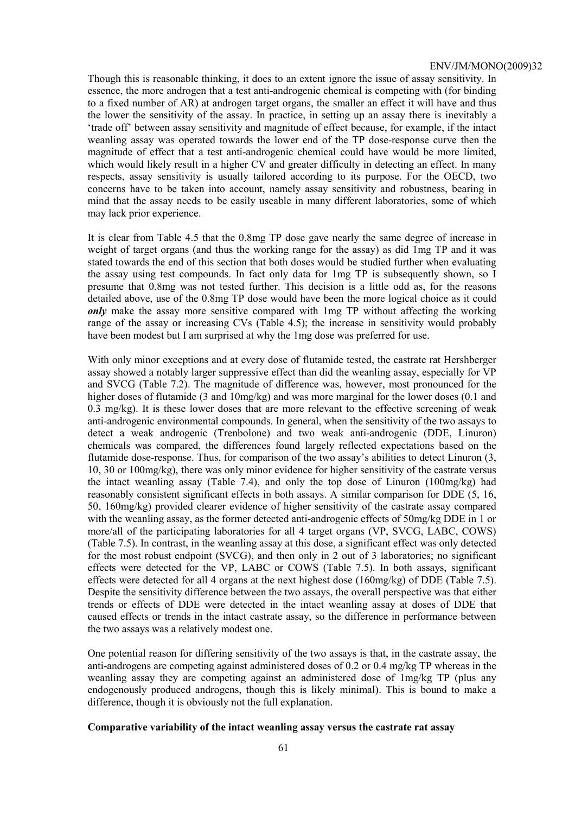Though this is reasonable thinking, it does to an extent ignore the issue of assay sensitivity. In essence, the more androgen that a test anti-androgenic chemical is competing with (for binding to a fixed number of AR) at androgen target organs, the smaller an effect it will have and thus the lower the sensitivity of the assay. In practice, in setting up an assay there is inevitably a 'trade off' between assay sensitivity and magnitude of effect because, for example, if the intact weanling assay was operated towards the lower end of the TP dose-response curve then the magnitude of effect that a test anti-androgenic chemical could have would be more limited, which would likely result in a higher CV and greater difficulty in detecting an effect. In many respects, assay sensitivity is usually tailored according to its purpose. For the OECD, two concerns have to be taken into account, namely assay sensitivity and robustness, bearing in mind that the assay needs to be easily useable in many different laboratories, some of which may lack prior experience.

It is clear from Table 4.5 that the 0.8mg TP dose gave nearly the same degree of increase in weight of target organs (and thus the working range for the assay) as did 1mg TP and it was stated towards the end of this section that both doses would be studied further when evaluating the assay using test compounds. In fact only data for 1mg TP is subsequently shown, so I presume that 0.8mg was not tested further. This decision is a little odd as, for the reasons detailed above, use of the 0.8mg TP dose would have been the more logical choice as it could *only* make the assay more sensitive compared with 1mg TP without affecting the working range of the assay or increasing CVs (Table 4.5); the increase in sensitivity would probably have been modest but I am surprised at why the 1mg dose was preferred for use.

With only minor exceptions and at every dose of flutamide tested, the castrate rat Hershberger assay showed a notably larger suppressive effect than did the weanling assay, especially for VP and SVCG (Table 7.2). The magnitude of difference was, however, most pronounced for the higher doses of flutamide (3 and 10mg/kg) and was more marginal for the lower doses (0.1 and 0.3 mg/kg). It is these lower doses that are more relevant to the effective screening of weak anti-androgenic environmental compounds. In general, when the sensitivity of the two assays to detect a weak androgenic (Trenbolone) and two weak anti-androgenic (DDE, Linuron) chemicals was compared, the differences found largely reflected expectations based on the flutamide dose-response. Thus, for comparison of the two assay's abilities to detect Linuron (3, 10, 30 or 100mg/kg), there was only minor evidence for higher sensitivity of the castrate versus the intact weanling assay (Table 7.4), and only the top dose of Linuron (100mg/kg) had reasonably consistent significant effects in both assays. A similar comparison for DDE (5, 16, 50, 160mg/kg) provided clearer evidence of higher sensitivity of the castrate assay compared with the weanling assay, as the former detected anti-androgenic effects of 50mg/kg DDE in 1 or more/all of the participating laboratories for all 4 target organs (VP, SVCG, LABC, COWS) (Table 7.5). In contrast, in the weanling assay at this dose, a significant effect was only detected for the most robust endpoint (SVCG), and then only in 2 out of 3 laboratories; no significant effects were detected for the VP, LABC or COWS (Table 7.5). In both assays, significant effects were detected for all 4 organs at the next highest dose (160mg/kg) of DDE (Table 7.5). Despite the sensitivity difference between the two assays, the overall perspective was that either trends or effects of DDE were detected in the intact weanling assay at doses of DDE that caused effects or trends in the intact castrate assay, so the difference in performance between the two assays was a relatively modest one.

One potential reason for differing sensitivity of the two assays is that, in the castrate assay, the anti-androgens are competing against administered doses of 0.2 or 0.4 mg/kg TP whereas in the weanling assay they are competing against an administered dose of 1mg/kg TP (plus any endogenously produced androgens, though this is likely minimal). This is bound to make a difference, though it is obviously not the full explanation.

#### **Comparative variability of the intact weanling assay versus the castrate rat assay**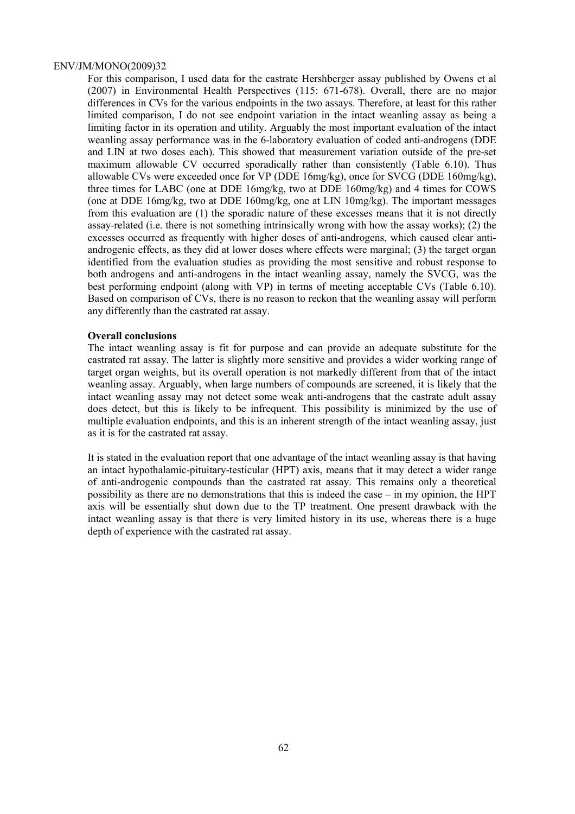For this comparison, I used data for the castrate Hershberger assay published by Owens et al (2007) in Environmental Health Perspectives (115: 671-678). Overall, there are no major differences in CVs for the various endpoints in the two assays. Therefore, at least for this rather limited comparison, I do not see endpoint variation in the intact weanling assay as being a limiting factor in its operation and utility. Arguably the most important evaluation of the intact weanling assay performance was in the 6-laboratory evaluation of coded anti-androgens (DDE and LIN at two doses each). This showed that measurement variation outside of the pre-set maximum allowable CV occurred sporadically rather than consistently (Table 6.10). Thus allowable CVs were exceeded once for VP (DDE 16mg/kg), once for SVCG (DDE 160mg/kg), three times for LABC (one at DDE 16mg/kg, two at DDE 160mg/kg) and 4 times for COWS (one at DDE 16mg/kg, two at DDE 160mg/kg, one at LIN 10mg/kg). The important messages from this evaluation are (1) the sporadic nature of these excesses means that it is not directly assay-related (i.e. there is not something intrinsically wrong with how the assay works); (2) the excesses occurred as frequently with higher doses of anti-androgens, which caused clear antiandrogenic effects, as they did at lower doses where effects were marginal; (3) the target organ identified from the evaluation studies as providing the most sensitive and robust response to both androgens and anti-androgens in the intact weanling assay, namely the SVCG, was the best performing endpoint (along with VP) in terms of meeting acceptable CVs (Table 6.10). Based on comparison of CVs, there is no reason to reckon that the weanling assay will perform any differently than the castrated rat assay.

# **Overall conclusions**

The intact weanling assay is fit for purpose and can provide an adequate substitute for the castrated rat assay. The latter is slightly more sensitive and provides a wider working range of target organ weights, but its overall operation is not markedly different from that of the intact weanling assay. Arguably, when large numbers of compounds are screened, it is likely that the intact weanling assay may not detect some weak anti-androgens that the castrate adult assay does detect, but this is likely to be infrequent. This possibility is minimized by the use of multiple evaluation endpoints, and this is an inherent strength of the intact weanling assay, just as it is for the castrated rat assay.

It is stated in the evaluation report that one advantage of the intact weanling assay is that having an intact hypothalamic-pituitary-testicular (HPT) axis, means that it may detect a wider range of anti-androgenic compounds than the castrated rat assay. This remains only a theoretical possibility as there are no demonstrations that this is indeed the case – in my opinion, the HPT axis will be essentially shut down due to the TP treatment. One present drawback with the intact weanling assay is that there is very limited history in its use, whereas there is a huge depth of experience with the castrated rat assay.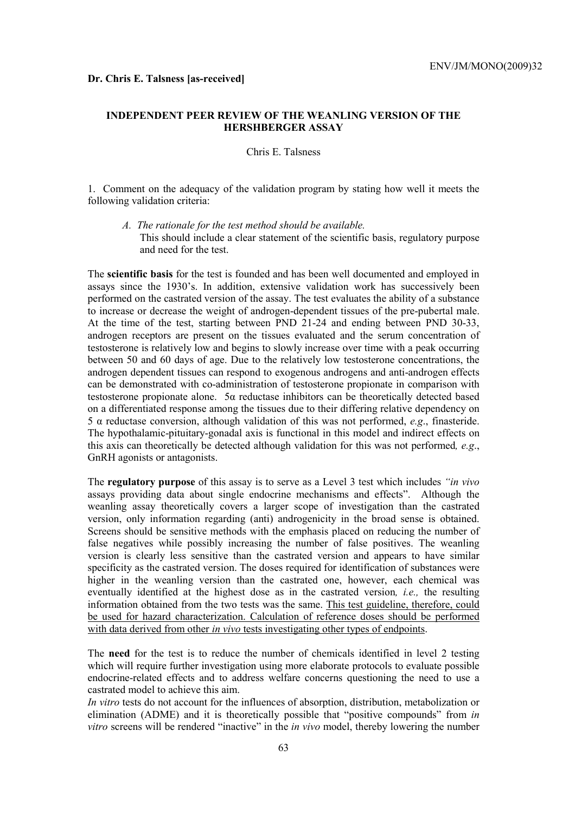# **INDEPENDENT PEER REVIEW OF THE WEANLING VERSION OF THE HERSHBERGER ASSAY**

# Chris E. Talsness

1. Comment on the adequacy of the validation program by stating how well it meets the following validation criteria:

*A. The rationale for the test method should be available.*  This should include a clear statement of the scientific basis, regulatory purpose and need for the test.

The **scientific basis** for the test is founded and has been well documented and employed in assays since the 1930's. In addition, extensive validation work has successively been performed on the castrated version of the assay. The test evaluates the ability of a substance to increase or decrease the weight of androgen-dependent tissues of the pre-pubertal male. At the time of the test, starting between PND 21-24 and ending between PND 30-33, androgen receptors are present on the tissues evaluated and the serum concentration of testosterone is relatively low and begins to slowly increase over time with a peak occurring between 50 and 60 days of age. Due to the relatively low testosterone concentrations, the androgen dependent tissues can respond to exogenous androgens and anti-androgen effects can be demonstrated with co-administration of testosterone propionate in comparison with testosterone propionate alone. 5α reductase inhibitors can be theoretically detected based on a differentiated response among the tissues due to their differing relative dependency on 5 α reductase conversion, although validation of this was not performed, *e.g*., finasteride. The hypothalamic-pituitary-gonadal axis is functional in this model and indirect effects on this axis can theoretically be detected although validation for this was not performed*, e.g*., GnRH agonists or antagonists.

The **regulatory purpose** of this assay is to serve as a Level 3 test which includes *"in vivo* assays providing data about single endocrine mechanisms and effects". Although the weanling assay theoretically covers a larger scope of investigation than the castrated version, only information regarding (anti) androgenicity in the broad sense is obtained. Screens should be sensitive methods with the emphasis placed on reducing the number of false negatives while possibly increasing the number of false positives. The weanling version is clearly less sensitive than the castrated version and appears to have similar specificity as the castrated version. The doses required for identification of substances were higher in the weanling version than the castrated one, however, each chemical was eventually identified at the highest dose as in the castrated version*, i.e.,* the resulting information obtained from the two tests was the same. This test guideline, therefore, could be used for hazard characterization. Calculation of reference doses should be performed with data derived from other *in vivo* tests investigating other types of endpoints.

The **need** for the test is to reduce the number of chemicals identified in level 2 testing which will require further investigation using more elaborate protocols to evaluate possible endocrine-related effects and to address welfare concerns questioning the need to use a castrated model to achieve this aim.

*In vitro* tests do not account for the influences of absorption, distribution, metabolization or elimination (ADME) and it is theoretically possible that "positive compounds" from *in vitro* screens will be rendered "inactive" in the *in vivo* model, thereby lowering the number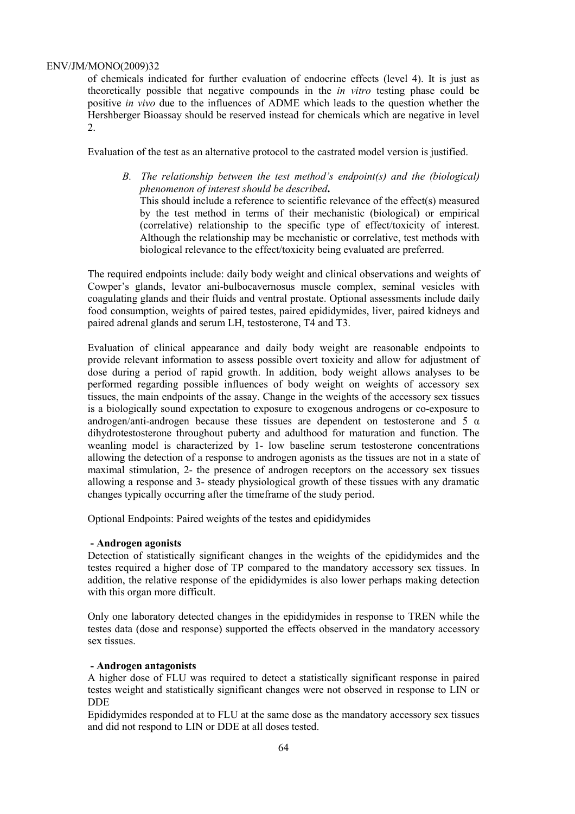of chemicals indicated for further evaluation of endocrine effects (level 4). It is just as theoretically possible that negative compounds in the *in vitro* testing phase could be positive *in vivo* due to the influences of ADME which leads to the question whether the Hershberger Bioassay should be reserved instead for chemicals which are negative in level 2.

Evaluation of the test as an alternative protocol to the castrated model version is justified.

*B. The relationship between the test method's endpoint(s) and the (biological) phenomenon of interest should be described***.**  This should include a reference to scientific relevance of the effect(s) measured

by the test method in terms of their mechanistic (biological) or empirical (correlative) relationship to the specific type of effect/toxicity of interest. Although the relationship may be mechanistic or correlative, test methods with biological relevance to the effect/toxicity being evaluated are preferred.

The required endpoints include: daily body weight and clinical observations and weights of Cowper's glands, levator ani-bulbocavernosus muscle complex, seminal vesicles with coagulating glands and their fluids and ventral prostate. Optional assessments include daily food consumption, weights of paired testes, paired epididymides, liver, paired kidneys and paired adrenal glands and serum LH, testosterone, T4 and T3.

Evaluation of clinical appearance and daily body weight are reasonable endpoints to provide relevant information to assess possible overt toxicity and allow for adjustment of dose during a period of rapid growth. In addition, body weight allows analyses to be performed regarding possible influences of body weight on weights of accessory sex tissues, the main endpoints of the assay. Change in the weights of the accessory sex tissues is a biologically sound expectation to exposure to exogenous androgens or co-exposure to androgen/anti-androgen because these tissues are dependent on testosterone and 5  $\alpha$ dihydrotestosterone throughout puberty and adulthood for maturation and function. The weanling model is characterized by 1- low baseline serum testosterone concentrations allowing the detection of a response to androgen agonists as the tissues are not in a state of maximal stimulation, 2- the presence of androgen receptors on the accessory sex tissues allowing a response and 3- steady physiological growth of these tissues with any dramatic changes typically occurring after the timeframe of the study period.

Optional Endpoints: Paired weights of the testes and epididymides

# **- Androgen agonists**

Detection of statistically significant changes in the weights of the epididymides and the testes required a higher dose of TP compared to the mandatory accessory sex tissues. In addition, the relative response of the epididymides is also lower perhaps making detection with this organ more difficult.

Only one laboratory detected changes in the epididymides in response to TREN while the testes data (dose and response) supported the effects observed in the mandatory accessory sex tissues.

# **- Androgen antagonists**

A higher dose of FLU was required to detect a statistically significant response in paired testes weight and statistically significant changes were not observed in response to LIN or DDE

Epididymides responded at to FLU at the same dose as the mandatory accessory sex tissues and did not respond to LIN or DDE at all doses tested.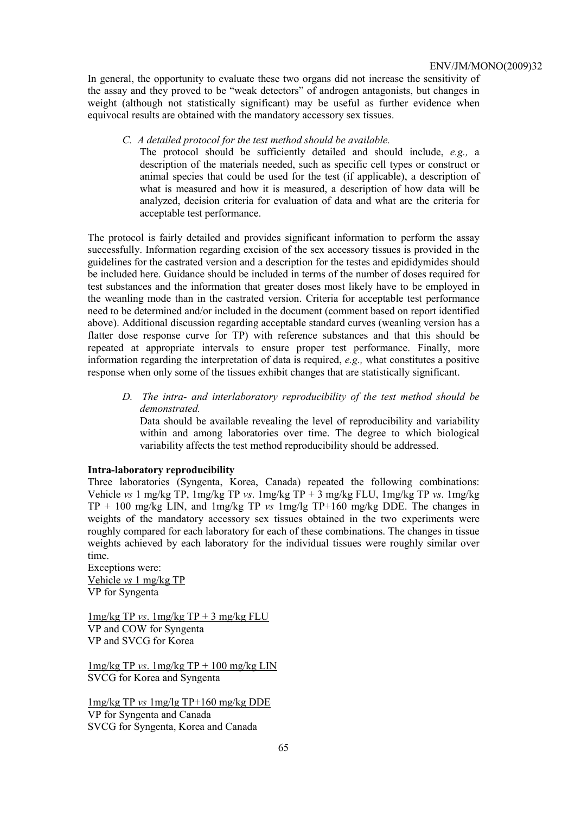In general, the opportunity to evaluate these two organs did not increase the sensitivity of the assay and they proved to be "weak detectors" of androgen antagonists, but changes in weight (although not statistically significant) may be useful as further evidence when equivocal results are obtained with the mandatory accessory sex tissues.

*C. A detailed protocol for the test method should be available.* 

The protocol should be sufficiently detailed and should include, *e.g.,* a description of the materials needed, such as specific cell types or construct or animal species that could be used for the test (if applicable), a description of what is measured and how it is measured, a description of how data will be analyzed, decision criteria for evaluation of data and what are the criteria for acceptable test performance.

The protocol is fairly detailed and provides significant information to perform the assay successfully. Information regarding excision of the sex accessory tissues is provided in the guidelines for the castrated version and a description for the testes and epididymides should be included here. Guidance should be included in terms of the number of doses required for test substances and the information that greater doses most likely have to be employed in the weanling mode than in the castrated version. Criteria for acceptable test performance need to be determined and/or included in the document (comment based on report identified above). Additional discussion regarding acceptable standard curves (weanling version has a flatter dose response curve for TP) with reference substances and that this should be repeated at appropriate intervals to ensure proper test performance. Finally, more information regarding the interpretation of data is required, *e.g.,* what constitutes a positive response when only some of the tissues exhibit changes that are statistically significant.

*D. The intra- and interlaboratory reproducibility of the test method should be demonstrated.* 

Data should be available revealing the level of reproducibility and variability within and among laboratories over time. The degree to which biological variability affects the test method reproducibility should be addressed.

# **Intra-laboratory reproducibility**

Three laboratories (Syngenta, Korea, Canada) repeated the following combinations: Vehicle *vs* 1 mg/kg TP, 1mg/kg TP *vs*. 1mg/kg TP + 3 mg/kg FLU, 1mg/kg TP *vs*. 1mg/kg TP + 100 mg/kg LIN, and 1mg/kg TP *vs* 1mg/lg TP+160 mg/kg DDE. The changes in weights of the mandatory accessory sex tissues obtained in the two experiments were roughly compared for each laboratory for each of these combinations. The changes in tissue weights achieved by each laboratory for the individual tissues were roughly similar over time.

Exceptions were: Vehicle *vs* 1 mg/kg TP VP for Syngenta

1mg/kg TP *vs*. 1mg/kg TP + 3 mg/kg FLU VP and COW for Syngenta VP and SVCG for Korea

1mg/kg TP *vs*. 1mg/kg TP + 100 mg/kg LIN SVCG for Korea and Syngenta

1mg/kg TP *vs* 1mg/lg TP+160 mg/kg DDE VP for Syngenta and Canada SVCG for Syngenta, Korea and Canada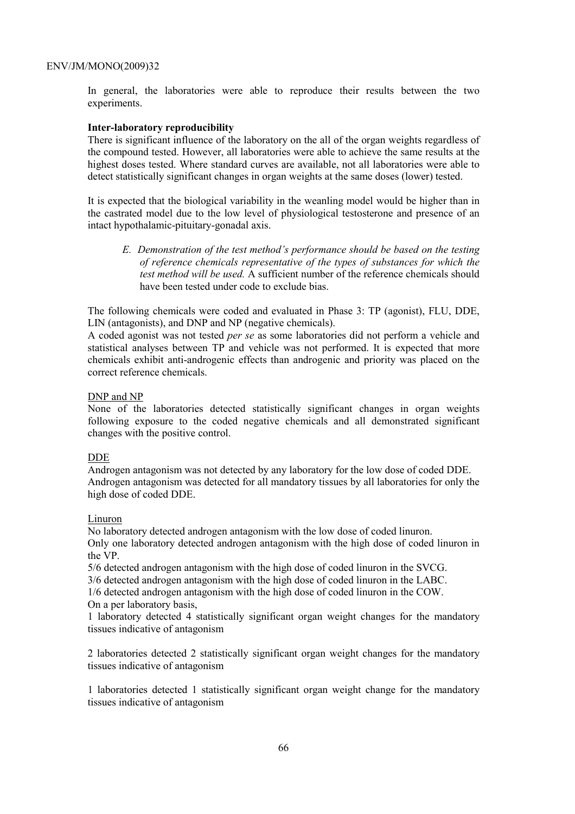In general, the laboratories were able to reproduce their results between the two experiments.

# **Inter-laboratory reproducibility**

There is significant influence of the laboratory on the all of the organ weights regardless of the compound tested. However, all laboratories were able to achieve the same results at the highest doses tested. Where standard curves are available, not all laboratories were able to detect statistically significant changes in organ weights at the same doses (lower) tested.

It is expected that the biological variability in the weanling model would be higher than in the castrated model due to the low level of physiological testosterone and presence of an intact hypothalamic-pituitary-gonadal axis.

*E. Demonstration of the test method's performance should be based on the testing of reference chemicals representative of the types of substances for which the test method will be used.* A sufficient number of the reference chemicals should have been tested under code to exclude bias.

The following chemicals were coded and evaluated in Phase 3: TP (agonist), FLU, DDE, LIN (antagonists), and DNP and NP (negative chemicals).

A coded agonist was not tested *per se* as some laboratories did not perform a vehicle and statistical analyses between TP and vehicle was not performed. It is expected that more chemicals exhibit anti-androgenic effects than androgenic and priority was placed on the correct reference chemicals.

#### DNP and NP

None of the laboratories detected statistically significant changes in organ weights following exposure to the coded negative chemicals and all demonstrated significant changes with the positive control.

#### DDE

Androgen antagonism was not detected by any laboratory for the low dose of coded DDE. Androgen antagonism was detected for all mandatory tissues by all laboratories for only the high dose of coded DDE.

#### Linuron

No laboratory detected androgen antagonism with the low dose of coded linuron.

Only one laboratory detected androgen antagonism with the high dose of coded linuron in the VP.

5/6 detected androgen antagonism with the high dose of coded linuron in the SVCG.

3/6 detected androgen antagonism with the high dose of coded linuron in the LABC.

1/6 detected androgen antagonism with the high dose of coded linuron in the COW.

On a per laboratory basis,

1 laboratory detected 4 statistically significant organ weight changes for the mandatory tissues indicative of antagonism

2 laboratories detected 2 statistically significant organ weight changes for the mandatory tissues indicative of antagonism

1 laboratories detected 1 statistically significant organ weight change for the mandatory tissues indicative of antagonism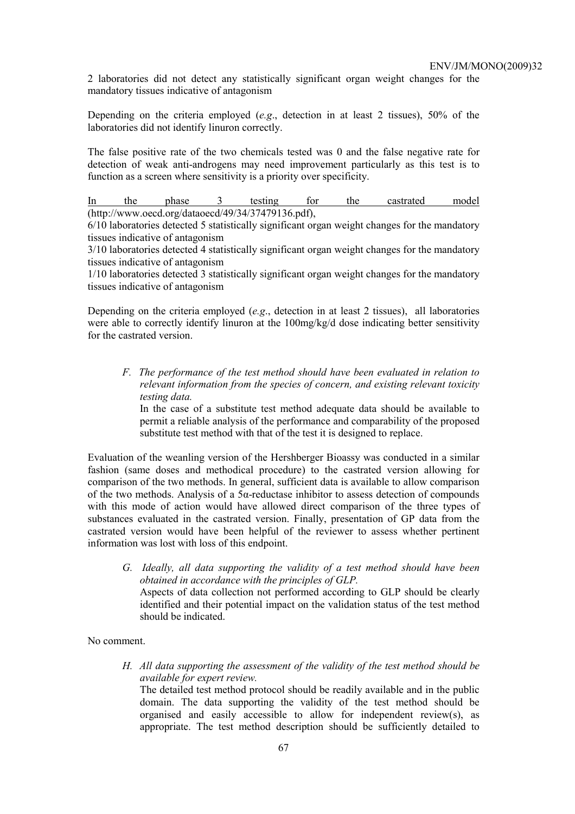2 laboratories did not detect any statistically significant organ weight changes for the mandatory tissues indicative of antagonism

Depending on the criteria employed (*e.g*., detection in at least 2 tissues), 50% of the laboratories did not identify linuron correctly.

The false positive rate of the two chemicals tested was 0 and the false negative rate for detection of weak anti-androgens may need improvement particularly as this test is to function as a screen where sensitivity is a priority over specificity.

In the phase 3 testing for the castrated model (http://www.oecd.org/dataoecd/49/34/37479136.pdf),

6/10 laboratories detected 5 statistically significant organ weight changes for the mandatory tissues indicative of antagonism

3/10 laboratories detected 4 statistically significant organ weight changes for the mandatory tissues indicative of antagonism

1/10 laboratories detected 3 statistically significant organ weight changes for the mandatory tissues indicative of antagonism

Depending on the criteria employed (*e.g*., detection in at least 2 tissues), all laboratories were able to correctly identify linuron at the 100mg/kg/d dose indicating better sensitivity for the castrated version.

*F. The performance of the test method should have been evaluated in relation to relevant information from the species of concern, and existing relevant toxicity testing data.* 

In the case of a substitute test method adequate data should be available to permit a reliable analysis of the performance and comparability of the proposed substitute test method with that of the test it is designed to replace.

Evaluation of the weanling version of the Hershberger Bioassy was conducted in a similar fashion (same doses and methodical procedure) to the castrated version allowing for comparison of the two methods. In general, sufficient data is available to allow comparison of the two methods. Analysis of a  $5\alpha$ -reductase inhibitor to assess detection of compounds with this mode of action would have allowed direct comparison of the three types of substances evaluated in the castrated version. Finally, presentation of GP data from the castrated version would have been helpful of the reviewer to assess whether pertinent information was lost with loss of this endpoint.

*G. Ideally, all data supporting the validity of a test method should have been obtained in accordance with the principles of GLP.*  Aspects of data collection not performed according to GLP should be clearly identified and their potential impact on the validation status of the test method should be indicated.

No comment.

*H. All data supporting the assessment of the validity of the test method should be available for expert review.* 

The detailed test method protocol should be readily available and in the public domain. The data supporting the validity of the test method should be organised and easily accessible to allow for independent review(s), as appropriate. The test method description should be sufficiently detailed to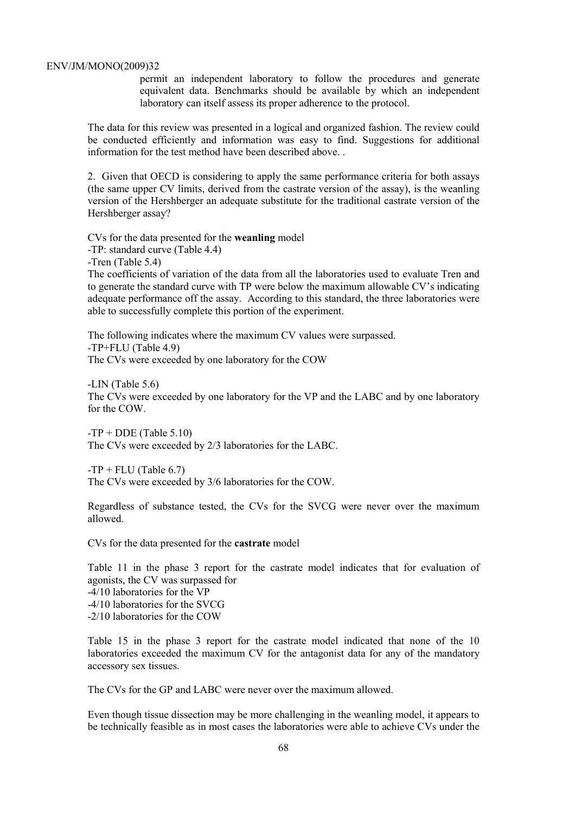permit an independent laboratory to follow the procedures and generate equivalent data. Benchmarks should be available by which an independent laboratory can itself assess its proper adherence to the protocol.

The data for this review was presented in a logical and organized fashion. The review could be conducted efficiently and information was easy to find. Suggestions for additional information for the test method have been described above. .

2. Given that OECD is considering to apply the same performance criteria for both assays (the same upper CV limits, derived from the castrate version of the assay), is the weanling version of the Hershberger an adequate substitute for the traditional castrate version of the Hershberger assay?

CVs for the data presented for the **weanling** model -TP: standard curve (Table 4.4)

-Tren (Table 5.4)

The coefficients of variation of the data from all the laboratories used to evaluate Tren and to generate the standard curve with TP were below the maximum allowable CV's indicating adequate performance off the assay. According to this standard, the three laboratories were able to successfully complete this portion of the experiment.

The following indicates where the maximum CV values were surpassed. -TP+FLU (Table 4.9) The CVs were exceeded by one laboratory for the COW

-LIN (Table 5.6) The CVs were exceeded by one laboratory for the VP and the LABC and by one laboratory for the COW.

 $-TP + DDE$  (Table 5.10) The CVs were exceeded by 2/3 laboratories for the LABC.

 $-TP + FLU$  (Table 6.7) The CVs were exceeded by 3/6 laboratories for the COW.

Regardless of substance tested, the CVs for the SVCG were never over the maximum allowed.

CVs for the data presented for the **castrate** model

Table 11 in the phase 3 report for the castrate model indicates that for evaluation of agonists, the CV was surpassed for -4/10 laboratories for the VP -4/10 laboratories for the SVCG -2/10 laboratories for the COW

Table 15 in the phase 3 report for the castrate model indicated that none of the 10 laboratories exceeded the maximum CV for the antagonist data for any of the mandatory accessory sex tissues.

The CVs for the GP and LABC were never over the maximum allowed.

Even though tissue dissection may be more challenging in the weanling model, it appears to be technically feasible as in most cases the laboratories were able to achieve CVs under the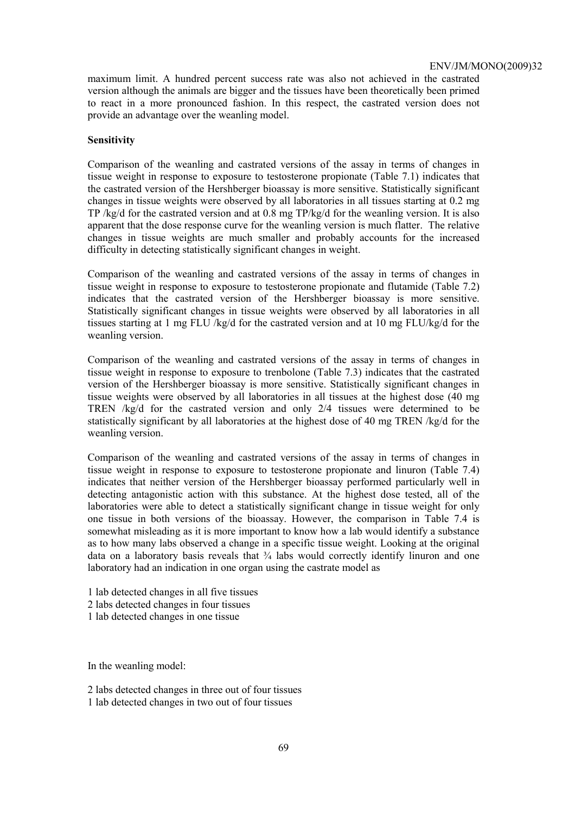maximum limit. A hundred percent success rate was also not achieved in the castrated version although the animals are bigger and the tissues have been theoretically been primed to react in a more pronounced fashion. In this respect, the castrated version does not provide an advantage over the weanling model.

#### **Sensitivity**

Comparison of the weanling and castrated versions of the assay in terms of changes in tissue weight in response to exposure to testosterone propionate (Table 7.1) indicates that the castrated version of the Hershberger bioassay is more sensitive. Statistically significant changes in tissue weights were observed by all laboratories in all tissues starting at 0.2 mg TP /kg/d for the castrated version and at 0.8 mg TP/kg/d for the weanling version. It is also apparent that the dose response curve for the weanling version is much flatter. The relative changes in tissue weights are much smaller and probably accounts for the increased difficulty in detecting statistically significant changes in weight.

Comparison of the weanling and castrated versions of the assay in terms of changes in tissue weight in response to exposure to testosterone propionate and flutamide (Table 7.2) indicates that the castrated version of the Hershberger bioassay is more sensitive. Statistically significant changes in tissue weights were observed by all laboratories in all tissues starting at 1 mg FLU /kg/d for the castrated version and at 10 mg FLU/kg/d for the weanling version.

Comparison of the weanling and castrated versions of the assay in terms of changes in tissue weight in response to exposure to trenbolone (Table 7.3) indicates that the castrated version of the Hershberger bioassay is more sensitive. Statistically significant changes in tissue weights were observed by all laboratories in all tissues at the highest dose (40 mg TREN /kg/d for the castrated version and only 2/4 tissues were determined to be statistically significant by all laboratories at the highest dose of 40 mg TREN /kg/d for the weanling version.

Comparison of the weanling and castrated versions of the assay in terms of changes in tissue weight in response to exposure to testosterone propionate and linuron (Table 7.4) indicates that neither version of the Hershberger bioassay performed particularly well in detecting antagonistic action with this substance. At the highest dose tested, all of the laboratories were able to detect a statistically significant change in tissue weight for only one tissue in both versions of the bioassay. However, the comparison in Table 7.4 is somewhat misleading as it is more important to know how a lab would identify a substance as to how many labs observed a change in a specific tissue weight. Looking at the original data on a laboratory basis reveals that ¾ labs would correctly identify linuron and one laboratory had an indication in one organ using the castrate model as

- 1 lab detected changes in all five tissues
- 2 labs detected changes in four tissues
- 1 lab detected changes in one tissue

In the weanling model:

2 labs detected changes in three out of four tissues

1 lab detected changes in two out of four tissues